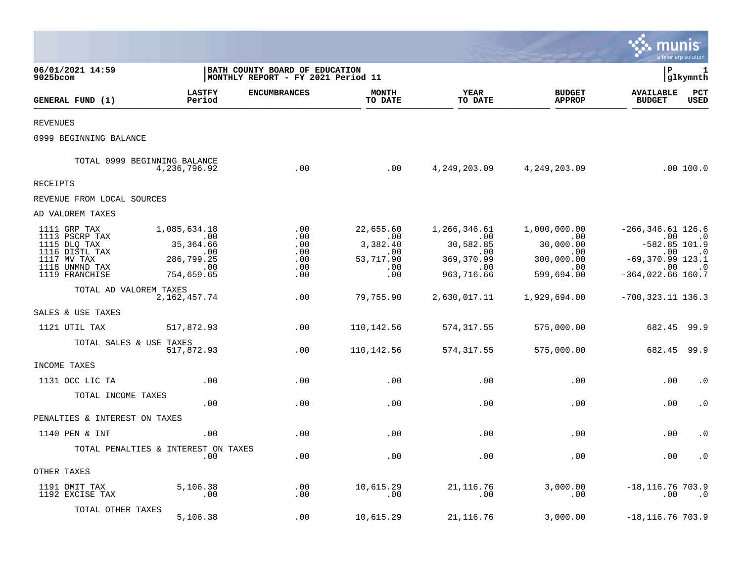|                                                                                                                     |                                                                                   |                                                                      |                                                                |                                                                            |                                                                            |                                                                                                            | munis<br>a tyler erp solution                                           |
|---------------------------------------------------------------------------------------------------------------------|-----------------------------------------------------------------------------------|----------------------------------------------------------------------|----------------------------------------------------------------|----------------------------------------------------------------------------|----------------------------------------------------------------------------|------------------------------------------------------------------------------------------------------------|-------------------------------------------------------------------------|
| 06/01/2021 14:59<br>9025bcom                                                                                        |                                                                                   | BATH COUNTY BOARD OF EDUCATION<br>MONTHLY REPORT - FY 2021 Period 11 |                                                                |                                                                            |                                                                            | P                                                                                                          | 1<br>glkymnth                                                           |
| GENERAL FUND (1)                                                                                                    | <b>LASTFY</b><br>Period                                                           | <b>ENCUMBRANCES</b>                                                  | <b>MONTH</b><br>TO DATE                                        | <b>YEAR</b><br>TO DATE                                                     | <b>BUDGET</b><br><b>APPROP</b>                                             | <b>AVAILABLE</b><br><b>BUDGET</b>                                                                          | $_{\rm PCT}$<br><b>USED</b>                                             |
| <b>REVENUES</b>                                                                                                     |                                                                                   |                                                                      |                                                                |                                                                            |                                                                            |                                                                                                            |                                                                         |
| 0999 BEGINNING BALANCE                                                                                              |                                                                                   |                                                                      |                                                                |                                                                            |                                                                            |                                                                                                            |                                                                         |
|                                                                                                                     | TOTAL 0999 BEGINNING BALANCE<br>4,236,796.92                                      | .00                                                                  | .00                                                            |                                                                            | 4, 249, 203.09 4, 249, 203.09                                              |                                                                                                            | .00 100.0                                                               |
| RECEIPTS                                                                                                            |                                                                                   |                                                                      |                                                                |                                                                            |                                                                            |                                                                                                            |                                                                         |
| REVENUE FROM LOCAL SOURCES                                                                                          |                                                                                   |                                                                      |                                                                |                                                                            |                                                                            |                                                                                                            |                                                                         |
| AD VALOREM TAXES                                                                                                    |                                                                                   |                                                                      |                                                                |                                                                            |                                                                            |                                                                                                            |                                                                         |
| 1111 GRP TAX<br>1113 PSCRP TAX<br>1115 DLQ TAX<br>1116 DISTL TAX<br>1117 MV TAX<br>1118 UNMND TAX<br>1119 FRANCHISE | 1,085,634.18<br>$\sim$ 00<br>35, 364.66<br>.00<br>286,799.25<br>.00<br>754,659.65 | .00<br>.00<br>.00<br>.00<br>.00<br>.00<br>.00                        | 22,655.60<br>.00<br>3,382.40<br>.00<br>53,717.90<br>.00<br>.00 | 1,266,346.61<br>.00<br>30,582.85<br>.00<br>369,370.99<br>.00<br>963,716.66 | 1,000,000.00<br>.00<br>30,000.00<br>.00<br>300,000.00<br>.00<br>599,694.00 | $-266, 346.61$ 126.6<br>.00<br>$-582.85$ 101.9<br>.00<br>$-69,370.99$ 123.1<br>.00<br>$-364, 022.66$ 160.7 | $\cdot$ 0<br>$\overline{\phantom{0}}$ .0<br>$\overline{\phantom{0}}$ .0 |
| TOTAL AD VALOREM TAXES                                                                                              | 2, 162, 457. 74                                                                   | .00                                                                  | 79,755.90                                                      | 2,630,017.11                                                               | 1,929,694.00                                                               | $-700, 323.11$ 136.3                                                                                       |                                                                         |
| SALES & USE TAXES                                                                                                   |                                                                                   |                                                                      |                                                                |                                                                            |                                                                            |                                                                                                            |                                                                         |
| 1121 UTIL TAX                                                                                                       | 517,872.93                                                                        | .00                                                                  | 110,142.56                                                     | 574,317.55                                                                 | 575,000.00                                                                 | 682.45 99.9                                                                                                |                                                                         |
| TOTAL SALES & USE TAXES                                                                                             | 517,872.93                                                                        | .00                                                                  | 110,142.56                                                     | 574, 317.55                                                                | 575,000.00                                                                 | 682.45 99.9                                                                                                |                                                                         |
| INCOME TAXES                                                                                                        |                                                                                   |                                                                      |                                                                |                                                                            |                                                                            |                                                                                                            |                                                                         |
| 1131 OCC LIC TA                                                                                                     | .00                                                                               | .00                                                                  | .00                                                            | .00                                                                        | .00                                                                        | .00                                                                                                        | . 0                                                                     |
| TOTAL INCOME TAXES                                                                                                  | .00                                                                               | .00                                                                  | .00                                                            | .00                                                                        | .00                                                                        | .00                                                                                                        | $\cdot$ 0                                                               |
| PENALTIES & INTEREST ON TAXES                                                                                       |                                                                                   |                                                                      |                                                                |                                                                            |                                                                            |                                                                                                            |                                                                         |
| 1140 PEN & INT                                                                                                      | .00                                                                               | .00                                                                  | .00                                                            | .00                                                                        | .00                                                                        | .00                                                                                                        | $\cdot$ 0                                                               |
|                                                                                                                     | TOTAL PENALTIES & INTEREST ON TAXES<br>.00                                        | .00                                                                  | .00                                                            | .00                                                                        | .00                                                                        | .00                                                                                                        | $\cdot$ 0                                                               |
| OTHER TAXES                                                                                                         |                                                                                   |                                                                      |                                                                |                                                                            |                                                                            |                                                                                                            |                                                                         |
| 1191 OMIT TAX<br>1192 EXCISE TAX                                                                                    | 5,106.38<br>$\ldots$                                                              | .00<br>.00                                                           | 10,615.29<br>.00                                               | 21, 116.76<br>.00                                                          | 3,000.00<br>.00                                                            | $-18, 116.76$ 703.9<br>.00                                                                                 | $\cdot$ .0                                                              |
| TOTAL OTHER TAXES                                                                                                   | 5,106.38                                                                          | .00                                                                  | 10,615.29                                                      | 21,116.76                                                                  | 3,000.00                                                                   | $-18, 116.76$ 703.9                                                                                        |                                                                         |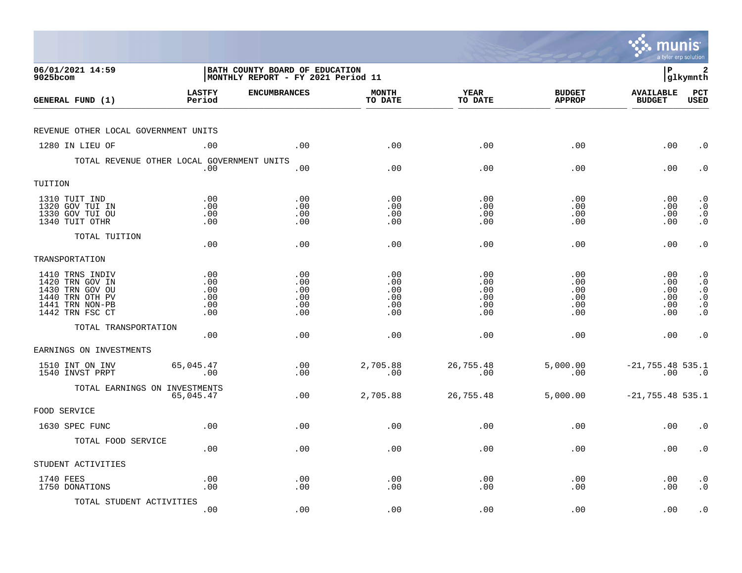|                                                                                                                |                                        |                                                                             |                                        |                                        |                                        | munis                                   | a tyler erp solution                                                                    |
|----------------------------------------------------------------------------------------------------------------|----------------------------------------|-----------------------------------------------------------------------------|----------------------------------------|----------------------------------------|----------------------------------------|-----------------------------------------|-----------------------------------------------------------------------------------------|
| 06/01/2021 14:59<br>9025bcom                                                                                   |                                        | <b>BATH COUNTY BOARD OF EDUCATION</b><br>MONTHLY REPORT - FY 2021 Period 11 |                                        |                                        |                                        | l P                                     | 2<br> glkymnth                                                                          |
| GENERAL FUND (1)                                                                                               | <b>LASTFY</b><br>Period                | <b>ENCUMBRANCES</b>                                                         | <b>MONTH</b><br>TO DATE                | <b>YEAR</b><br>TO DATE                 | <b>BUDGET</b><br><b>APPROP</b>         | <b>AVAILABLE</b><br><b>BUDGET</b>       | PCT<br><b>USED</b>                                                                      |
| REVENUE OTHER LOCAL GOVERNMENT UNITS                                                                           |                                        |                                                                             |                                        |                                        |                                        |                                         |                                                                                         |
| 1280 IN LIEU OF                                                                                                | .00                                    | .00                                                                         | .00                                    | .00                                    | .00                                    | .00                                     | $\cdot$ 0                                                                               |
| TOTAL REVENUE OTHER LOCAL GOVERNMENT UNITS                                                                     | .00                                    | .00                                                                         | .00                                    | .00                                    | .00                                    | .00                                     | $\cdot$ 0                                                                               |
| TUITION                                                                                                        |                                        |                                                                             |                                        |                                        |                                        |                                         |                                                                                         |
| 1310 TUIT IND<br>1320 GOV TUI IN<br>1330 GOV TUI OU<br>1340 TUIT OTHR                                          | .00<br>.00<br>.00<br>.00               | .00<br>.00<br>.00<br>.00                                                    | .00<br>.00<br>.00<br>.00               | .00<br>.00<br>.00<br>.00               | .00<br>.00<br>.00<br>.00               | $.00 \,$<br>$.00 \,$<br>.00<br>$.00 \,$ | $\cdot$ 0<br>$\cdot$ 0<br>$\begin{smallmatrix} 0 \\ 0 \\ 0 \end{smallmatrix}$           |
| TOTAL TUITION                                                                                                  | .00                                    | .00                                                                         | .00                                    | .00                                    | .00                                    | .00                                     | $\cdot$ 0                                                                               |
| TRANSPORTATION                                                                                                 |                                        |                                                                             |                                        |                                        |                                        |                                         |                                                                                         |
| 1410 TRNS INDIV<br>1420 TRN GOV IN<br>1430 TRN GOV OU<br>1440 TRN OTH PV<br>1441 TRN NON-PB<br>1442 TRN FSC CT | .00<br>.00<br>.00<br>.00<br>.00<br>.00 | .00<br>.00<br>.00<br>.00<br>.00<br>.00                                      | .00<br>.00<br>.00<br>.00<br>.00<br>.00 | .00<br>.00<br>.00<br>.00<br>.00<br>.00 | .00<br>.00<br>.00<br>.00<br>.00<br>.00 | .00<br>.00<br>.00<br>.00<br>.00<br>.00  | $\cdot$ 0<br>$\cdot$ 0<br>$\cdot$ 0<br>$\boldsymbol{\cdot}$ 0<br>$\cdot$ 0<br>$\cdot$ 0 |
| TOTAL TRANSPORTATION                                                                                           | .00                                    | .00                                                                         | .00                                    | .00                                    | .00                                    | $.00 \,$                                | $\cdot$ 0                                                                               |
| EARNINGS ON INVESTMENTS                                                                                        |                                        |                                                                             |                                        |                                        |                                        |                                         |                                                                                         |
| 1510 INT ON INV<br>1540 INVST PRPT                                                                             | 65,045.47<br>.00                       | .00<br>.00                                                                  | 2,705.88<br>.00                        | 26,755.48<br>.00                       | 5,000.00<br>.00                        | $-21, 755.48$ 535.1<br>.00              | $\overline{\phantom{0}}$ .0                                                             |
| TOTAL EARNINGS ON INVESTMENTS                                                                                  | 65,045.47                              | .00                                                                         | 2,705.88                               | 26,755.48                              | 5,000.00                               | $-21, 755.48$ 535.1                     |                                                                                         |
| FOOD SERVICE                                                                                                   |                                        |                                                                             |                                        |                                        |                                        |                                         |                                                                                         |
| 1630 SPEC FUNC                                                                                                 | .00                                    | .00                                                                         | .00                                    | .00                                    | .00                                    | .00                                     | $\cdot$ 0                                                                               |
| TOTAL FOOD SERVICE                                                                                             | .00                                    | .00                                                                         | .00                                    | .00                                    | .00                                    | $.00 \,$                                | $\cdot$ 0                                                                               |
| STUDENT ACTIVITIES                                                                                             |                                        |                                                                             |                                        |                                        |                                        |                                         |                                                                                         |
| 1740 FEES<br>1750 DONATIONS                                                                                    | .00<br>.00                             | .00<br>.00                                                                  | .00<br>.00                             | .00<br>.00                             | .00<br>.00                             | $.00 \,$<br>.00                         | $\cdot$ 0<br>$\cdot$ 0                                                                  |
| TOTAL STUDENT ACTIVITIES                                                                                       | .00                                    | .00                                                                         | .00                                    | .00                                    | .00                                    | .00                                     | $\cdot$ 0                                                                               |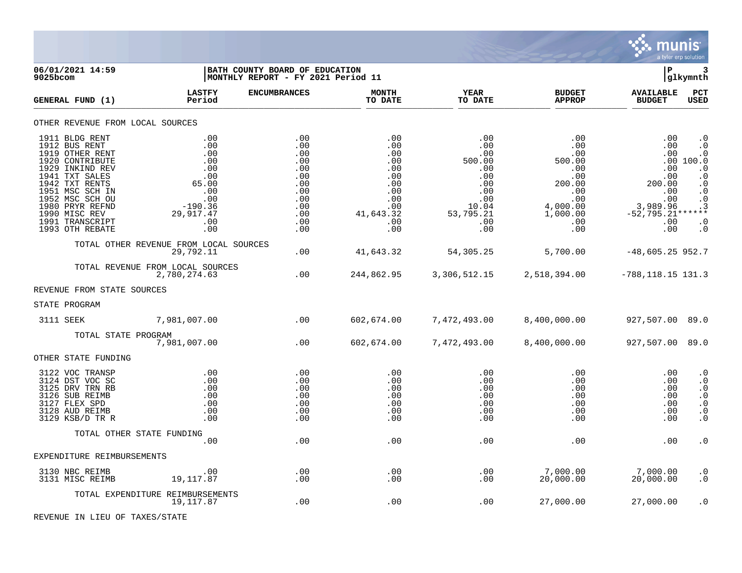

| 06/01/2021 14:59<br>9025bcom                                                                                                                                                                                                                 |                                                                                                       | BATH COUNTY BOARD OF EDUCATION<br> MONTHLY REPORT - FY 2021 Period 11                   |                                                                                               |                                                                                                                   |                                                                                                         | l P                                                                                                 | glkymnth                                                                                                                                                                          |
|----------------------------------------------------------------------------------------------------------------------------------------------------------------------------------------------------------------------------------------------|-------------------------------------------------------------------------------------------------------|-----------------------------------------------------------------------------------------|-----------------------------------------------------------------------------------------------|-------------------------------------------------------------------------------------------------------------------|---------------------------------------------------------------------------------------------------------|-----------------------------------------------------------------------------------------------------|-----------------------------------------------------------------------------------------------------------------------------------------------------------------------------------|
| GENERAL FUND (1)                                                                                                                                                                                                                             | <b>LASTFY</b><br>Period                                                                               | <b>ENCUMBRANCES</b>                                                                     | <b>MONTH</b><br>TO DATE                                                                       | <b>YEAR</b><br>TO DATE                                                                                            | <b>BUDGET</b><br><b>APPROP</b>                                                                          | <b>AVAILABLE</b><br><b>BUDGET</b>                                                                   | PCT<br><b>USED</b>                                                                                                                                                                |
| OTHER REVENUE FROM LOCAL SOURCES                                                                                                                                                                                                             |                                                                                                       |                                                                                         |                                                                                               |                                                                                                                   |                                                                                                         |                                                                                                     |                                                                                                                                                                                   |
| 1911 BLDG RENT<br>1912 BUS RENT<br>1919 OTHER RENT<br>1920 CONTRIBUTE<br>1929 INKIND REV<br>1941 TXT SALES<br>1942 TXT RENTS<br>1951 MSC SCH IN<br>1952 MSC SCH OU<br>1980 PRYR REFND<br>1990 MISC REV<br>1991 TRANSCRIPT<br>1993 OTH REBATE | .00<br>.00<br>.00<br>.00<br>.00<br>.00<br>65.00<br>.00<br>.00<br>$-190.36$<br>29,917.47<br>.00<br>.00 | .00<br>.00<br>.00<br>.00<br>.00<br>.00<br>.00<br>.00<br>.00<br>.00<br>.00<br>.00<br>.00 | .00<br>.00<br>.00<br>.00<br>.00<br>.00<br>.00<br>.00<br>.00<br>.00<br>41,643.32<br>.00<br>.00 | $.00 \,$<br>$.00 \,$<br>.00<br>500.00<br>.00<br>.00<br>.00<br>$.00 \,$<br>.00<br>10.04<br>53,795.21<br>.00<br>.00 | .00<br>.00<br>.00<br>500.00<br>.00<br>.00<br>200.00<br>.00<br>.00<br>4,000.00<br>1,000.00<br>.00<br>.00 | .00<br>.00<br>.00<br>.00<br>.00<br>200.00<br>.00<br>.00<br>3,989.96<br>$-52,795.21**$<br>.00<br>.00 | $\cdot$ 0<br>$\cdot$ 0<br>$\cdot$ 0<br>.00100.0<br>$\cdot$ 0<br>$\cdot$ 0<br>$\cdot$ 0<br>$\cdot$ 0<br>$\boldsymbol{\cdot}$ 0<br>$\cdot$ 3<br>$\boldsymbol{\cdot}$ 0<br>$\cdot$ 0 |
|                                                                                                                                                                                                                                              | TOTAL OTHER REVENUE FROM LOCAL SOURCES<br>29,792.11                                                   | .00                                                                                     | 41,643.32                                                                                     | 54,305.25                                                                                                         | 5,700.00                                                                                                | $-48,605.25$ 952.7                                                                                  |                                                                                                                                                                                   |
|                                                                                                                                                                                                                                              | TOTAL REVENUE FROM LOCAL SOURCES<br>2,780,274.63                                                      | .00                                                                                     | 244,862.95                                                                                    | 3,306,512.15                                                                                                      | 2,518,394.00                                                                                            | $-788, 118.15$ 131.3                                                                                |                                                                                                                                                                                   |
| REVENUE FROM STATE SOURCES                                                                                                                                                                                                                   |                                                                                                       |                                                                                         |                                                                                               |                                                                                                                   |                                                                                                         |                                                                                                     |                                                                                                                                                                                   |
| STATE PROGRAM                                                                                                                                                                                                                                |                                                                                                       |                                                                                         |                                                                                               |                                                                                                                   |                                                                                                         |                                                                                                     |                                                                                                                                                                                   |
| 3111 SEEK                                                                                                                                                                                                                                    | 7,981,007.00                                                                                          | .00                                                                                     | 602,674.00                                                                                    | 7,472,493.00                                                                                                      | 8,400,000.00                                                                                            | 927,507.00 89.0                                                                                     |                                                                                                                                                                                   |
|                                                                                                                                                                                                                                              | TOTAL STATE PROGRAM<br>7,981,007.00                                                                   | .00                                                                                     | 602,674.00                                                                                    | 7,472,493.00                                                                                                      | 8,400,000.00                                                                                            | 927,507.00 89.0                                                                                     |                                                                                                                                                                                   |
| OTHER STATE FUNDING                                                                                                                                                                                                                          |                                                                                                       |                                                                                         |                                                                                               |                                                                                                                   |                                                                                                         |                                                                                                     |                                                                                                                                                                                   |
| 3122 VOC TRANSP<br>3124 DST VOC SC<br>3125 DRV TRN RB<br>3126 SUB REIMB<br>3127 FLEX SPD<br>3128 AUD REIMB<br>3129 KSB/D TR R                                                                                                                | .00<br>.00<br>.00<br>.00<br>.00<br>.00<br>.00                                                         | .00<br>.00<br>.00<br>.00<br>.00<br>.00<br>.00                                           | .00<br>.00<br>.00<br>.00<br>.00<br>.00<br>.00                                                 | $.00 \,$<br>.00<br>.00<br>.00<br>.00<br>.00<br>.00                                                                | .00<br>.00<br>.00<br>.00<br>.00<br>.00<br>.00                                                           | .00<br>.00<br>.00<br>.00<br>.00<br>.00<br>.00                                                       | $\cdot$ 0<br>$\boldsymbol{\cdot}$ 0<br>$\cdot$ 0<br>$\cdot$ 0<br>$\boldsymbol{\cdot}$ 0<br>$\cdot$ 0<br>$\cdot$ 0                                                                 |
|                                                                                                                                                                                                                                              | TOTAL OTHER STATE FUNDING                                                                             |                                                                                         |                                                                                               |                                                                                                                   |                                                                                                         |                                                                                                     |                                                                                                                                                                                   |
| EXPENDITURE REIMBURSEMENTS                                                                                                                                                                                                                   | .00                                                                                                   | .00                                                                                     | .00                                                                                           | .00                                                                                                               | .00                                                                                                     | .00                                                                                                 | $\boldsymbol{\cdot}$ 0                                                                                                                                                            |
| 3130 NBC REIMB                                                                                                                                                                                                                               | .00                                                                                                   | .00                                                                                     | .00                                                                                           | .00                                                                                                               | 7,000.00                                                                                                | 7,000.00                                                                                            | $\cdot$ 0                                                                                                                                                                         |
| 3131 MISC REIMB                                                                                                                                                                                                                              | 19, 117.87                                                                                            | .00                                                                                     | .00                                                                                           | .00                                                                                                               | 20,000.00                                                                                               | 20,000.00                                                                                           | $\cdot$ 0                                                                                                                                                                         |
|                                                                                                                                                                                                                                              | TOTAL EXPENDITURE REIMBURSEMENTS<br>19,117.87                                                         | .00                                                                                     | .00                                                                                           | .00                                                                                                               | 27,000.00                                                                                               | 27,000.00                                                                                           | $\cdot$ 0                                                                                                                                                                         |

REVENUE IN LIEU OF TAXES/STATE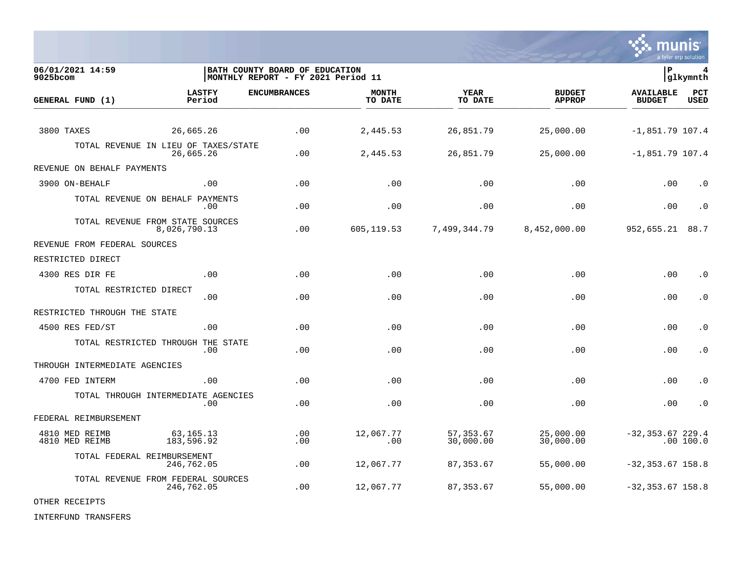

| 06/01/2021 14:59<br>$9025$ bcom  |                                                   | BATH COUNTY BOARD OF EDUCATION<br>MONTHLY REPORT - FY 2021 Period 11 |                         |                         |                                | l P                               | 4<br>glkymnth      |
|----------------------------------|---------------------------------------------------|----------------------------------------------------------------------|-------------------------|-------------------------|--------------------------------|-----------------------------------|--------------------|
| GENERAL FUND (1)                 | <b>LASTFY</b><br>Period                           | <b>ENCUMBRANCES</b>                                                  | <b>MONTH</b><br>TO DATE | YEAR<br>TO DATE         | <b>BUDGET</b><br><b>APPROP</b> | <b>AVAILABLE</b><br><b>BUDGET</b> | PCT<br><b>USED</b> |
| 3800 TAXES                       | 26,665.26                                         | .00                                                                  | 2,445.53                | 26,851.79               | 25,000.00                      | $-1,851.79$ 107.4                 |                    |
|                                  | TOTAL REVENUE IN LIEU OF TAXES/STATE<br>26,665.26 | .00                                                                  | 2,445.53                | 26,851.79               | 25,000.00                      | $-1,851.79$ 107.4                 |                    |
| REVENUE ON BEHALF PAYMENTS       |                                                   |                                                                      |                         |                         |                                |                                   |                    |
| 3900 ON-BEHALF                   | .00                                               | .00                                                                  | .00                     | .00                     | .00                            | .00                               | $\cdot$ 0          |
|                                  | TOTAL REVENUE ON BEHALF PAYMENTS<br>.00.          | .00                                                                  | .00                     | .00                     | .00                            | .00                               | $\cdot$ 0          |
|                                  | TOTAL REVENUE FROM STATE SOURCES<br>8,026,790.13  | .00                                                                  | 605, 119.53             | 7,499,344.79            | 8,452,000.00                   | 952,655.21                        | 88.7               |
| REVENUE FROM FEDERAL SOURCES     |                                                   |                                                                      |                         |                         |                                |                                   |                    |
| RESTRICTED DIRECT                |                                                   |                                                                      |                         |                         |                                |                                   |                    |
| 4300 RES DIR FE                  | .00                                               | .00                                                                  | .00                     | .00                     | .00                            | .00                               | $\cdot$ 0          |
| TOTAL RESTRICTED DIRECT          | .00                                               | .00                                                                  | .00                     | .00                     | .00                            | .00                               | $\cdot$ 0          |
| RESTRICTED THROUGH THE STATE     |                                                   |                                                                      |                         |                         |                                |                                   |                    |
| 4500 RES FED/ST                  | .00                                               | .00                                                                  | .00                     | .00                     | .00                            | .00                               | $\cdot$ 0          |
|                                  | TOTAL RESTRICTED THROUGH THE STATE<br>.00         | .00                                                                  | .00                     | .00                     | .00                            | .00                               | $\cdot$ 0          |
| THROUGH INTERMEDIATE AGENCIES    |                                                   |                                                                      |                         |                         |                                |                                   |                    |
| 4700 FED INTERM                  | .00                                               | .00                                                                  | .00                     | .00                     | .00                            | .00                               | $\cdot$ 0          |
|                                  | TOTAL THROUGH INTERMEDIATE AGENCIES<br>.00        | .00                                                                  | .00                     | .00                     | .00                            | .00                               | $\cdot$ 0          |
| FEDERAL REIMBURSEMENT            |                                                   |                                                                      |                         |                         |                                |                                   |                    |
| 4810 MED REIMB<br>4810 MED REIMB | 63,165.13<br>183,596.92                           | .00<br>.00                                                           | 12,067.77<br>.00        | 57, 353.67<br>30,000.00 | 25,000.00<br>30,000.00         | $-32, 353.67$ 229.4               | .00 100.0          |
| TOTAL FEDERAL REIMBURSEMENT      | 246,762.05                                        | .00                                                                  | 12,067.77               | 87, 353.67              | 55,000.00                      | $-32, 353.67$ 158.8               |                    |
|                                  | TOTAL REVENUE FROM FEDERAL SOURCES<br>246,762.05  | .00                                                                  | 12,067.77               | 87,353.67               | 55,000.00                      | $-32, 353.67$ 158.8               |                    |

OTHER RECEIPTS

INTERFUND TRANSFERS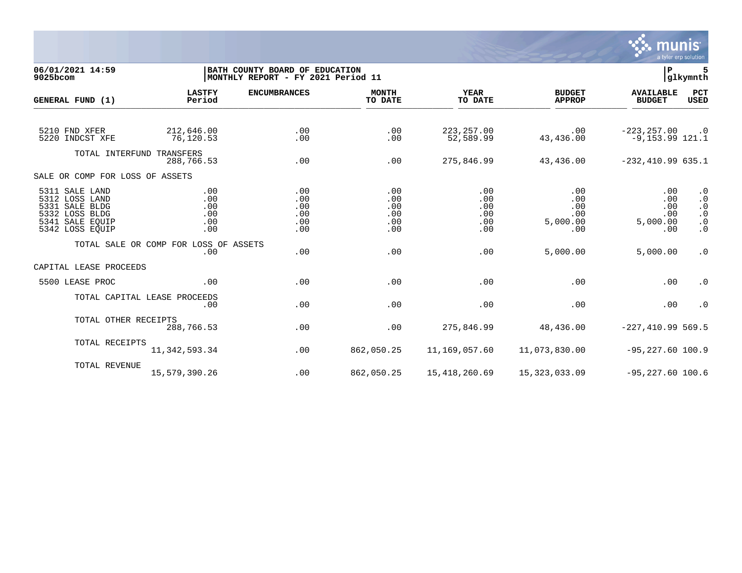

06/01/2021 14:59 **| BATH COUNTY BOARD OF EDUCATION**<br>9025bcom **| BATH COUNTY BOARD OF EDUCATION** | **BATH COUNTY BOARD OF EDUCATION 9025bcom |MONTHLY REPORT - FY 2021 Period 11 |glkymnth LASTFY ENCUMBRANCES MONTH YEAR BUDGET AVAILABLE PCT GENERAL FUND (1)** TO DATE THE RELIGION CONDUCT TO DATE THE RELIGION CONDUCT TO DATE THE RELIGION OF THE RELIGION OF THE RELIGION OF THE RELIGION OF THE RELIGION OF THE RELIGION OF THE RELIGION OF THE RELIGION OF THE RELIGION OF THE RELIGION 5210 FND XFER 212,646.00 .00 .00 223,257.00 .00 -223,257.00 .0 5220 INDCST XFE 76,120.53 .00 .00 52,589.99 43,436.00 -9,153.99 121.1 TOTAL INTERFUND TRANSFERS<br>288.766.53 288,766.53 .00 .00 275,846.99 43,436.00 -232,410.99 635.1 SALE OR COMP FOR LOSS OF ASSETS 5311 SALE LAND .00 .00 .00 .00 .00 .00 .0 5312 LOSS LAND .00 .00 .00 .00 .00 .00 .0 5331 SALE BLDG .00 .00 .00 .00 .00 .00 .0 5332 LOSS BLDG .00 .00 .00 .00 .00 .00 .0 5341 SALE EQUIP .00 .00 .00 .00 5,000.00 5,000.00 .0 5342 LOSS EQUIP .00 .00 .00 .00 .00 .00 .0 TOTAL SALE OR COMP FOR LOSS OF ASSETS .00 .00 .00 .00 5,000.00 5,000.00 .0 CAPITAL LEASE PROCEEDS 5500 LEASE PROC .00 .00 .00 .00 .00 .00 .0 TOTAL CAPITAL LEASE PROCEEDS .00 .00 .00 .00 .00 .00 .0 TOTAL OTHER RECEIPTS<br>288.766.53 288,766.53 .00 .00 275,846.99 48,436.00 -227,410.99 569.5 TOTAL RECEIPTS 11,342,593.34 .00 862,050.25 11,169,057.60 11,073,830.00 -95,227.60 100.9 TOTAL REVENUE 15,579,390.26 .00 862,050.25 15,418,260.69 15,323,033.09 -95,227.60 100.6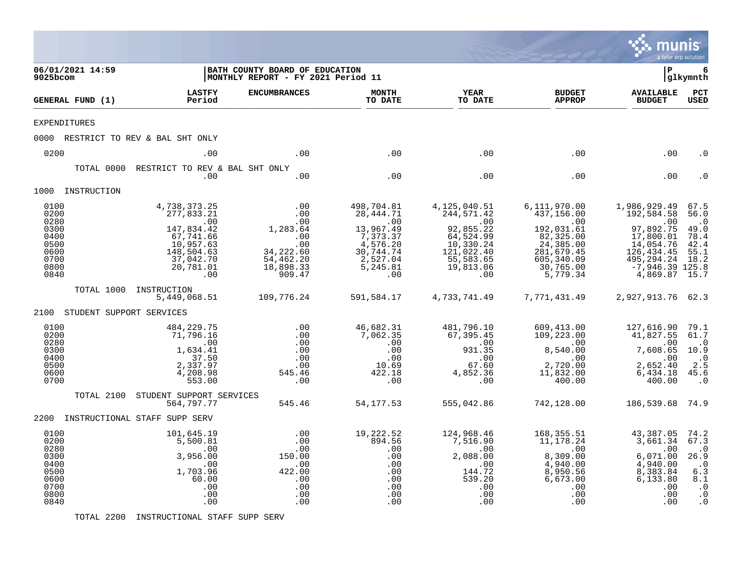|                                                                                                                                      |                               |                                                                                                                                                                                                                                                   |                                                                                                                                                                 |                                                                                                                                                                                                              |                                                                                                                                                                                                                            |                                                                                                                                                                                                                                                                | munis                                                                                                                                                                                                                                                        | a tyler erp solution                                                                                                          |
|--------------------------------------------------------------------------------------------------------------------------------------|-------------------------------|---------------------------------------------------------------------------------------------------------------------------------------------------------------------------------------------------------------------------------------------------|-----------------------------------------------------------------------------------------------------------------------------------------------------------------|--------------------------------------------------------------------------------------------------------------------------------------------------------------------------------------------------------------|----------------------------------------------------------------------------------------------------------------------------------------------------------------------------------------------------------------------------|----------------------------------------------------------------------------------------------------------------------------------------------------------------------------------------------------------------------------------------------------------------|--------------------------------------------------------------------------------------------------------------------------------------------------------------------------------------------------------------------------------------------------------------|-------------------------------------------------------------------------------------------------------------------------------|
| 9025bcom                                                                                                                             | 06/01/2021 14:59              |                                                                                                                                                                                                                                                   | BATH COUNTY BOARD OF EDUCATION<br>MONTHLY REPORT - FY 2021 Period 11                                                                                            |                                                                                                                                                                                                              |                                                                                                                                                                                                                            |                                                                                                                                                                                                                                                                | l P                                                                                                                                                                                                                                                          | 6<br> glkymnth                                                                                                                |
|                                                                                                                                      | GENERAL FUND (1)              | <b>LASTFY</b><br>Period                                                                                                                                                                                                                           | <b>ENCUMBRANCES</b>                                                                                                                                             | <b>MONTH</b><br>TO DATE                                                                                                                                                                                      | <b>YEAR</b><br>TO DATE                                                                                                                                                                                                     | <b>BUDGET</b><br><b>APPROP</b>                                                                                                                                                                                                                                 | <b>AVAILABLE</b><br><b>BUDGET</b>                                                                                                                                                                                                                            | $_{\rm PCT}$<br><b>USED</b>                                                                                                   |
| <b>EXPENDITURES</b>                                                                                                                  |                               |                                                                                                                                                                                                                                                   |                                                                                                                                                                 |                                                                                                                                                                                                              |                                                                                                                                                                                                                            |                                                                                                                                                                                                                                                                |                                                                                                                                                                                                                                                              |                                                                                                                               |
|                                                                                                                                      |                               | 0000 RESTRICT TO REV & BAL SHT ONLY                                                                                                                                                                                                               |                                                                                                                                                                 |                                                                                                                                                                                                              |                                                                                                                                                                                                                            |                                                                                                                                                                                                                                                                |                                                                                                                                                                                                                                                              |                                                                                                                               |
| 0200                                                                                                                                 |                               | .00                                                                                                                                                                                                                                               | .00                                                                                                                                                             | .00                                                                                                                                                                                                          | .00                                                                                                                                                                                                                        | .00                                                                                                                                                                                                                                                            | .00                                                                                                                                                                                                                                                          | . 0                                                                                                                           |
|                                                                                                                                      | TOTAL 0000                    | RESTRICT TO REV & BAL SHT ONLY<br>.00                                                                                                                                                                                                             | .00                                                                                                                                                             | .00                                                                                                                                                                                                          | .00                                                                                                                                                                                                                        | .00                                                                                                                                                                                                                                                            | .00                                                                                                                                                                                                                                                          |                                                                                                                               |
|                                                                                                                                      | 1000 INSTRUCTION              |                                                                                                                                                                                                                                                   |                                                                                                                                                                 |                                                                                                                                                                                                              |                                                                                                                                                                                                                            |                                                                                                                                                                                                                                                                |                                                                                                                                                                                                                                                              |                                                                                                                               |
| 0100<br>0200<br>0280<br>0300<br>0400<br>0500<br>0600<br>0700<br>0800<br>0840<br>0100<br>0200<br>0280<br>0300<br>0400<br>0500<br>0600 | 2100 STUDENT SUPPORT SERVICES | 4,738,373.25<br>277,833.21<br>.00<br>147,834.42<br>67,741.66<br>10,957.63<br>148,504.63<br>37,042.70<br>20,781.01<br>.00<br>TOTAL 1000 INSTRUCTION<br>5,449,068.51<br>484,229.75<br>71,796.16<br>.00<br>1,634.41<br>37.50<br>2,337.97<br>4,208.98 | .00<br>.00<br>.00<br>1,283.64<br>.00<br>.00<br>34, 222.60<br>54,462.20<br>18,898.33<br>909.47<br>109,776.24<br>.00<br>.00<br>.00<br>.00<br>.00<br>.00<br>545.46 | 498,704.81<br>28,444.71<br>$\overline{00}$<br>13,967.49<br>$7,373.37$<br>4,576.20<br>30,744.74<br>2,527.04<br>5,245.81<br>.00<br>591,584.17<br>46,682.31<br>7,062.35<br>.00<br>.00<br>.00<br>10.69<br>422.18 | 4,125,040.51<br>244,571.42<br>.00<br>92,855.22<br>$64,524.99$<br>$10,330.24$<br>$121,022.40$<br>55,583.65<br>19,813.06<br>.00<br>4,733,741.49<br>481,796.10<br>67,395.45<br>$\ddots$<br>931.35<br>.00<br>67.60<br>4,852.36 | 6,111,970.00<br>437,156.00<br>$\sim 00$<br>192,031.61<br>82,325.00<br>24,385.00<br>281,679.45<br>605, 340.09<br>30,765.00<br>5,779.34<br>7,771,431.49<br>609,413.00<br>109,223.00<br>109,223.00<br>00.<br>00.040.8<br>8,540.00<br>.00<br>2,720.00<br>11,832.00 | 1,986,929.49<br>192,584.58<br>.00<br>97,892.75<br>17,800.01<br>14,054.76<br>126, 434.45<br>495,294.24<br>-7,946.39 125.8<br>4,869.87 15.7<br>2,927,913.76 62.3<br>127,616.90 79.1<br>41,827.55 61.7<br>$\cdot$ 00<br>7,608.65<br>.00<br>2,652.40<br>6,434.18 | 67.5<br>56.0<br>$\cdot$ 0<br>49.0<br>78.4<br>42.4<br>55.1<br>18.2<br>$\cdot$ <sup>0</sup><br>10.9<br>$\cdot$ 0<br>2.5<br>45.6 |
| 0700                                                                                                                                 |                               | 553.00                                                                                                                                                                                                                                            | .00                                                                                                                                                             | .00                                                                                                                                                                                                          | .00                                                                                                                                                                                                                        | 400.00                                                                                                                                                                                                                                                         | 400.00                                                                                                                                                                                                                                                       | $\cdot$ 0                                                                                                                     |
|                                                                                                                                      | TOTAL 2100                    | STUDENT SUPPORT SERVICES<br>564,797.77                                                                                                                                                                                                            | 545.46                                                                                                                                                          | 54,177.53                                                                                                                                                                                                    | 555,042.86                                                                                                                                                                                                                 | 742,128.00                                                                                                                                                                                                                                                     | 186,539.68 74.9                                                                                                                                                                                                                                              |                                                                                                                               |
|                                                                                                                                      |                               | 2200 INSTRUCTIONAL STAFF SUPP SERV                                                                                                                                                                                                                |                                                                                                                                                                 |                                                                                                                                                                                                              |                                                                                                                                                                                                                            |                                                                                                                                                                                                                                                                |                                                                                                                                                                                                                                                              |                                                                                                                               |
| 0100<br>0200<br>0280<br>0300<br>0400<br>0500<br>0600<br>0700<br>0800<br>0840                                                         |                               | 101,645.19<br>5,500.81<br>$\cdot$ 00<br>3,956.00<br>.00<br>1,703.96<br>60.00<br>.00<br>.00<br>.00                                                                                                                                                 | .00<br>.00<br>.00<br>150.00<br>.00<br>422.00<br>.00<br>.00<br>.00<br>.00                                                                                        | 19,222.52<br>894.56<br>.00<br>.00<br>.00<br>.00<br>.00<br>.00<br>.00<br>.00                                                                                                                                  | 124,968.46<br>7,516.90<br>$\overline{\phantom{0}}$ .00<br>2,088.00<br>.00<br>144.72<br>539.20<br>.00<br>.00<br>.00                                                                                                         | 168,355.51<br>11,178.24<br>.00<br>8,309.00<br>4,940.00<br>8,950.56<br>6,673.00<br>.00<br>.00<br>.00                                                                                                                                                            | 43,387.05<br>3,661.34<br>.00<br>6,071.00<br>4,940.00<br>8,383.84<br>6, 133.80<br>.00<br>.00<br>.00                                                                                                                                                           | 74.2<br>67.3<br>$\cdot$ 0<br>26.9<br>$\cdot$ 0<br>6.3<br>8.1<br>$\cdot$ 0<br>$\cdot$ 0<br>$\cdot$ 0                           |

TOTAL 2200 INSTRUCTIONAL STAFF SUPP SERV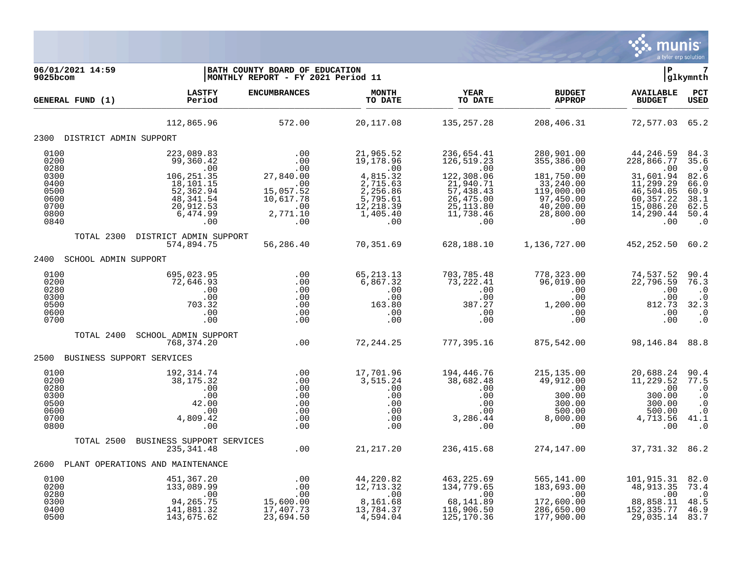

| 06/01/2021 14:59<br>9025bcom                                                 |                                                                                                                            | BATH COUNTY BOARD OF EDUCATION<br>MONTHLY REPORT - FY 2021 Period 11                      |                                                                                                                |                                                                                                                        |                                                                                                                        | $\mathbf{P}$                                                                                                         | glkymnth                                                                               |
|------------------------------------------------------------------------------|----------------------------------------------------------------------------------------------------------------------------|-------------------------------------------------------------------------------------------|----------------------------------------------------------------------------------------------------------------|------------------------------------------------------------------------------------------------------------------------|------------------------------------------------------------------------------------------------------------------------|----------------------------------------------------------------------------------------------------------------------|----------------------------------------------------------------------------------------|
| GENERAL FUND (1)                                                             | <b>LASTFY</b><br>Period                                                                                                    | <b>ENCUMBRANCES</b>                                                                       | <b>MONTH</b><br>TO DATE                                                                                        | <b>YEAR</b><br>TO DATE                                                                                                 | <b>BUDGET</b><br><b>APPROP</b>                                                                                         | <b>AVAILABLE</b><br><b>BUDGET</b>                                                                                    | PCT<br><b>USED</b>                                                                     |
|                                                                              | 112,865.96                                                                                                                 | 572.00                                                                                    | 20,117.08                                                                                                      | 135,257.28                                                                                                             | 208,406.31                                                                                                             | 72,577.03                                                                                                            | 65.2                                                                                   |
| 2300 DISTRICT ADMIN SUPPORT                                                  |                                                                                                                            |                                                                                           |                                                                                                                |                                                                                                                        |                                                                                                                        |                                                                                                                      |                                                                                        |
| 0100<br>0200<br>0280<br>0300<br>0400<br>0500<br>0600<br>0700<br>0800<br>0840 | 223,089.83<br>99,360.42<br>.00<br>$106, 251.35$<br>$18, 101.15$<br>52,362.94<br>48, 341.54<br>20,912.53<br>6,474.99<br>.00 | .00<br>.00<br>.00<br>27,840.00<br>.00<br>15,057.52<br>10,617.78<br>.00<br>2,771.10<br>.00 | 21,965.52<br>19,178.96<br>.00<br>4,815.32<br>2,715.63<br>2,256.86<br>5,795.61<br>12, 218.39<br>1,405.40<br>.00 | 236,654.41<br>126,519.23<br>.00<br>122,308.06<br>21,940.71<br>57,438.43<br>26,475.00<br>25, 113.80<br>11,738.46<br>.00 | 280,901.00<br>355,386.00<br>.00<br>181,750.00<br>33,240.00<br>119,000.00<br>97,450.00<br>40,200.00<br>28,800.00<br>.00 | 44,246.59<br>228,866.77<br>.00<br>31,601.94<br>11,299.29<br>46,504.05<br>60, 357.22<br>15,086.20<br>14,290.44<br>.00 | 84.3<br>35.6<br>$\cdot$ 0<br>82.6<br>66.0<br>60.9<br>38.1<br>62.5<br>50.4<br>$\cdot$ 0 |
|                                                                              | TOTAL 2300 DISTRICT ADMIN SUPPORT                                                                                          |                                                                                           |                                                                                                                |                                                                                                                        |                                                                                                                        |                                                                                                                      |                                                                                        |
|                                                                              | 574,894.75                                                                                                                 | 56,286.40                                                                                 | 70,351.69                                                                                                      | 628,188.10                                                                                                             | 1,136,727.00                                                                                                           | 452,252.50 60.2                                                                                                      |                                                                                        |
| 2400<br>SCHOOL ADMIN SUPPORT                                                 |                                                                                                                            |                                                                                           |                                                                                                                |                                                                                                                        |                                                                                                                        |                                                                                                                      |                                                                                        |
| 0100<br>0200<br>0280<br>0300<br>0500<br>0600<br>0700                         | 695,023.95<br>72,646.93<br>.00<br>.00<br>703.32<br>.00<br>.00                                                              | .00<br>.00<br>.00<br>.00<br>.00<br>.00<br>.00                                             | 65, 213. 13<br>6,867.32<br>.00<br>.00<br>163.80<br>.00<br>.00                                                  | 703,785.48<br>73,222.41<br>.00<br>.00<br>387.27<br>.00<br>.00                                                          | 778,323.00<br>96,019.00<br>.00<br>.00<br>1,200.00<br>.00<br>.00                                                        | 74,537.52<br>22,796.59<br>.00<br>.00<br>812.73<br>.00<br>.00                                                         | 90.4<br>76.3<br>$\cdot$ 0<br>$\cdot$ 0<br>32.3<br>$\cdot$ 0<br>$\cdot$ 0               |
| TOTAL 2400                                                                   | SCHOOL ADMIN SUPPORT<br>768,374.20                                                                                         | .00                                                                                       | 72,244.25                                                                                                      | 777,395.16                                                                                                             | 875,542.00                                                                                                             | 98,146.84 88.8                                                                                                       |                                                                                        |
| BUSINESS SUPPORT SERVICES<br>2500                                            |                                                                                                                            |                                                                                           |                                                                                                                |                                                                                                                        |                                                                                                                        |                                                                                                                      |                                                                                        |
| 0100<br>0200<br>0280<br>0300<br>0500<br>0600<br>0700<br>0800                 | 192,314.74<br>38, 175. 32<br>.00<br>.00<br>42.00<br>.00<br>4,809.42<br>.00                                                 | $\overline{00}$<br>.00<br>.00<br>.00<br>.00<br>.00<br>.00<br>.00                          | 17,701.96<br>3,515.24<br>.00<br>.00<br>.00<br>.00<br>.00<br>.00                                                | 194,446.76<br>38,682.48<br>.00<br>.00<br>.00<br>.00<br>3,286.44<br>.00                                                 | 215, 135.00<br>49,912.00<br>.00<br>300.00<br>300.00<br>500.00<br>8,000.00<br>.00                                       | 20,688.24<br>11,229.52<br>.00<br>300.00<br>300.00<br>500.00<br>4,713.56<br>.00                                       | 90.4<br>77.5<br>$\cdot$ 0<br>$\cdot$ 0<br>$\cdot$ 0<br>$\cdot$ 0<br>41.1<br>$\cdot$ 0  |
| TOTAL 2500                                                                   | BUSINESS SUPPORT SERVICES                                                                                                  |                                                                                           |                                                                                                                |                                                                                                                        |                                                                                                                        |                                                                                                                      |                                                                                        |
|                                                                              | 235, 341.48                                                                                                                | .00                                                                                       | 21,217.20                                                                                                      | 236,415.68                                                                                                             | 274,147.00                                                                                                             | 37, 731.32 86.2                                                                                                      |                                                                                        |
| 2600                                                                         | PLANT OPERATIONS AND MAINTENANCE                                                                                           |                                                                                           |                                                                                                                |                                                                                                                        |                                                                                                                        |                                                                                                                      |                                                                                        |
| 0100<br>0200<br>0280<br>0300<br>0400<br>0500                                 | 451,367.20<br>133,089.99<br>.00<br>94,265.75<br>141,881.32<br>143,675.62                                                   | .00<br>00<br>00.<br>00.00<br>15,600.00<br>17,407.73<br>23,694.50                          | 44,220.82<br>12, 713.32<br>$\overline{00}$<br>8,161.68<br>13,784.37<br>4,594.04                                | 463,225.69<br>134,779.65<br>.00<br>68,141.89<br>116,906.50<br>125,170.36                                               | 565,141.00<br>183,693.00<br>.00<br>172,600.00<br>286,650.00<br>177,900.00                                              | 101,915.31<br>48, 913.35<br>.00<br>88,858.11<br>152,335.77<br>29,035.14                                              | 82.0<br>73.4<br>$\cdot$ 0<br>48.5<br>46.9<br>83.7                                      |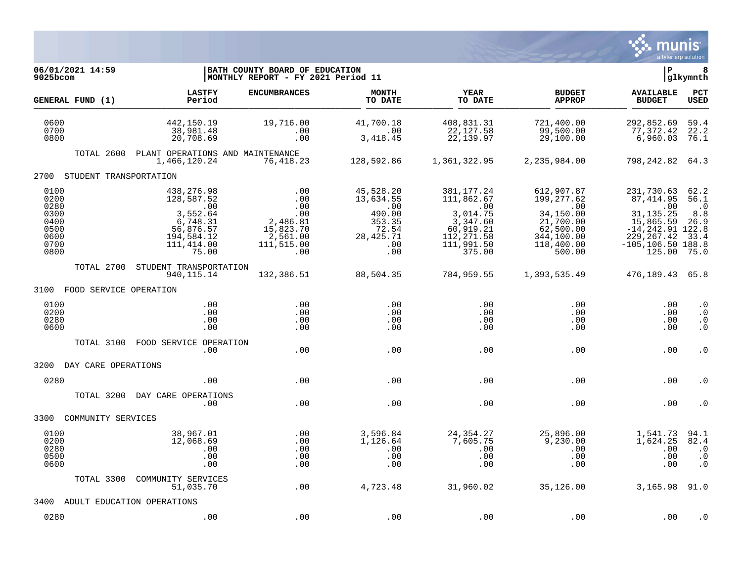

| 06/01/2021 14:59<br>9025bcom                                         |                                                                                                           | BATH COUNTY BOARD OF EDUCATION<br>MONTHLY REPORT - FY 2021 Period 11                         |                                                                                         |                                                                                                      |                                                                                                                    | lР                                                                                                                                 | 8<br> glkymnth                                           |
|----------------------------------------------------------------------|-----------------------------------------------------------------------------------------------------------|----------------------------------------------------------------------------------------------|-----------------------------------------------------------------------------------------|------------------------------------------------------------------------------------------------------|--------------------------------------------------------------------------------------------------------------------|------------------------------------------------------------------------------------------------------------------------------------|----------------------------------------------------------|
| GENERAL FUND (1)                                                     | <b>LASTFY</b><br>Period                                                                                   | <b>ENCUMBRANCES</b>                                                                          | <b>MONTH</b><br>TO DATE                                                                 | <b>YEAR</b><br>TO DATE                                                                               | <b>BUDGET</b><br><b>APPROP</b>                                                                                     | <b>AVAILABLE</b><br><b>BUDGET</b>                                                                                                  | PCT<br><b>USED</b>                                       |
| 0600<br>0700<br>0800                                                 | 442,150.19<br>38,981.48<br>20,708.69                                                                      | 19,716.00<br>.00<br>.00                                                                      | 41,700.18<br>$\sim$ 00<br>3, 418.45                                                     | 408,831.31<br>22,127.58<br>22,139.97                                                                 | 721,400.00<br>99,500.00<br>29,100.00                                                                               | 292,852.69<br>77,372.42<br>6,960.03                                                                                                | 59.4<br>22.2<br>76.1                                     |
|                                                                      | TOTAL 2600 PLANT OPERATIONS AND MAINTENANCE<br>1,466,120.24                                               | 76,418.23                                                                                    | 128,592.86                                                                              | 1,361,322.95                                                                                         | 2,235,984.00                                                                                                       | 798, 242.82 64.3                                                                                                                   |                                                          |
| 2700 STUDENT TRANSPORTATION                                          |                                                                                                           |                                                                                              |                                                                                         |                                                                                                      |                                                                                                                    |                                                                                                                                    |                                                          |
| 0100<br>0200<br>0280<br>0300<br>0400<br>0500<br>0600<br>0700<br>0800 | 438,276.98<br>128,587.52<br>.00<br>3,552.64<br>6,748.31<br>56,876.57<br>194,584.12<br>111,414.00<br>75.00 | .00<br>.00<br>$0.00$<br>.00<br>.00<br>2,486.81<br>15,823.70<br>2,561.00<br>111,515.00<br>.00 | 45,528.20<br>13,634.55<br>.00<br>490.00<br>353.35<br>72.54<br>28, 425. 71<br>.00<br>.00 | 381,177.24<br>111,862.67<br>3,014.75<br>3,347.60<br>60,919.21<br>112, 271.58<br>111,991.50<br>375.00 | 612,907.87<br>199,277.62<br>$\sim 00$<br>34,150.00<br>21,700.00<br>62,500.00<br>344,100.00<br>118,400.00<br>500.00 | 231,730.63<br>87,414.95<br>.00<br>31, 135. 25<br>15,865.59<br>$-14, 242.91$ 122.8<br>229, 267.42<br>$-105, 106.50$ 188.8<br>125.00 | 62.2<br>56.1<br>$\cdot$ 0<br>8.8<br>26.9<br>33.4<br>75.0 |
|                                                                      | TOTAL 2700 STUDENT TRANSPORTATION<br>940, 115. 14                                                         | 132,386.51                                                                                   | 88,504.35                                                                               | 784,959.55                                                                                           | 1,393,535.49                                                                                                       | 476,189.43 65.8                                                                                                                    |                                                          |
| 3100 FOOD SERVICE OPERATION                                          |                                                                                                           |                                                                                              |                                                                                         |                                                                                                      |                                                                                                                    |                                                                                                                                    |                                                          |
| 0100<br>0200<br>0280<br>0600                                         | .00<br>.00<br>.00<br>.00                                                                                  | .00<br>.00<br>.00<br>.00                                                                     | .00<br>.00<br>.00<br>.00                                                                | .00<br>.00<br>.00<br>.00                                                                             | .00<br>.00<br>.00<br>.00                                                                                           | .00<br>.00<br>.00<br>.00                                                                                                           | $\cdot$ 0<br>$\cdot$ 0<br>$\cdot$ 0<br>$\cdot$ 0         |
| TOTAL 3100                                                           | FOOD SERVICE OPERATION<br>.00                                                                             | .00                                                                                          | .00                                                                                     | .00                                                                                                  | .00                                                                                                                | .00                                                                                                                                | $\cdot$ 0                                                |
| 3200 DAY CARE OPERATIONS                                             |                                                                                                           |                                                                                              |                                                                                         |                                                                                                      |                                                                                                                    |                                                                                                                                    |                                                          |
| 0280                                                                 | .00                                                                                                       | .00                                                                                          | .00                                                                                     | .00                                                                                                  | .00                                                                                                                | .00                                                                                                                                | . 0                                                      |
| TOTAL 3200                                                           | DAY CARE OPERATIONS<br>.00                                                                                | .00                                                                                          | .00                                                                                     | .00                                                                                                  | .00                                                                                                                | .00                                                                                                                                | . 0                                                      |
| 3300<br>COMMUNITY SERVICES                                           |                                                                                                           |                                                                                              |                                                                                         |                                                                                                      |                                                                                                                    |                                                                                                                                    |                                                          |
| 0100<br>0200<br>0280<br>0500<br>0600                                 | 38,967.01<br>12,068.69<br>$\,$ .00<br>.00<br>.00                                                          | .00<br>.00<br>.00<br>.00<br>.00                                                              | 3,596.84<br>1,126.64<br>.00<br>.00<br>.00                                               | 24,354.27<br>7,605.75<br>.00<br>.00<br>.00                                                           | 25,896.00<br>9,230.00<br>.00<br>.00<br>.00                                                                         | 1,541.73<br>1,624.25<br>.00<br>.00<br>.00                                                                                          | 94.1<br>82.4<br>$\cdot$ 0<br>$\cdot$ 0<br>$\cdot$ 0      |
| TOTAL 3300                                                           | COMMUNITY SERVICES<br>51,035.70                                                                           | .00                                                                                          | 4,723.48                                                                                | 31,960.02                                                                                            | 35,126.00                                                                                                          | $3,165.98$ $91.0$                                                                                                                  |                                                          |
| 3400                                                                 | ADULT EDUCATION OPERATIONS                                                                                |                                                                                              |                                                                                         |                                                                                                      |                                                                                                                    |                                                                                                                                    |                                                          |
| 0280                                                                 | .00                                                                                                       | .00                                                                                          | .00                                                                                     | .00                                                                                                  | .00                                                                                                                | .00                                                                                                                                | . 0                                                      |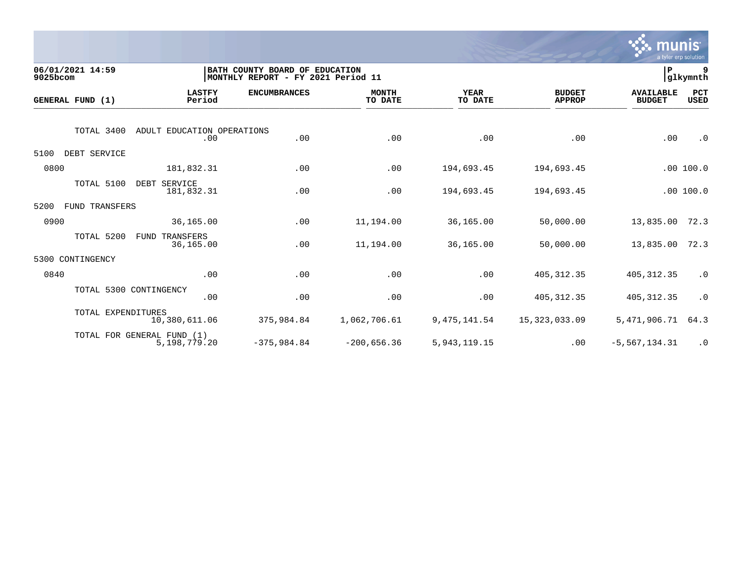

| 06/01/2021 14:59<br>9025bcom |                                                 | BATH COUNTY BOARD OF EDUCATION<br>MONTHLY REPORT - FY 2021 Period 11 |                         |                        |                                | ∣P                                | 9<br>glkymnth |
|------------------------------|-------------------------------------------------|----------------------------------------------------------------------|-------------------------|------------------------|--------------------------------|-----------------------------------|---------------|
| GENERAL FUND (1)             | <b>LASTFY</b><br>Period                         | <b>ENCUMBRANCES</b>                                                  | <b>MONTH</b><br>TO DATE | <b>YEAR</b><br>TO DATE | <b>BUDGET</b><br><b>APPROP</b> | <b>AVAILABLE</b><br><b>BUDGET</b> | PCT<br>USED   |
|                              | TOTAL 3400<br>ADULT EDUCATION OPERATIONS<br>.00 | .00                                                                  | .00                     | .00                    | .00                            | .00                               | $\cdot$ 0     |
| 5100                         | DEBT SERVICE                                    |                                                                      |                         |                        |                                |                                   |               |
| 0800                         | 181,832.31                                      | .00                                                                  | .00                     | 194,693.45             | 194,693.45                     |                                   | .00100.0      |
|                              | TOTAL 5100<br>DEBT SERVICE<br>181,832.31        | .00                                                                  | .00                     | 194,693.45             | 194,693.45                     |                                   | .00100.0      |
| 5200                         | FUND TRANSFERS                                  |                                                                      |                         |                        |                                |                                   |               |
| 0900                         | 36,165.00                                       | .00                                                                  | 11,194.00               | 36,165.00              | 50,000.00                      | 13,835.00                         | 72.3          |
|                              | TOTAL 5200<br>TRANSFERS<br>FUND<br>36,165.00    | .00                                                                  | 11,194.00               | 36,165.00              | 50,000.00                      | 13,835.00                         | 72.3          |
| CONTINGENCY<br>5300          |                                                 |                                                                      |                         |                        |                                |                                   |               |
| 0840                         | .00                                             | .00                                                                  | .00                     | .00                    | 405, 312.35                    | 405, 312.35                       | $\cdot$ 0     |
|                              | TOTAL 5300 CONTINGENCY<br>.00                   | .00                                                                  | .00                     | .00                    | 405, 312.35                    | 405, 312.35                       | $\cdot$ 0     |
|                              | TOTAL EXPENDITURES<br>10,380,611.06             | 375,984.84                                                           | 1,062,706.61            | 9, 475, 141.54         | 15,323,033.09                  | 5,471,906.71                      | 64.3          |
|                              | TOTAL FOR GENERAL FUND (1)<br>5,198,779.20      | $-375,984.84$                                                        | $-200,656.36$           | 5, 943, 119. 15        | .00                            | $-5, 567, 134.31$                 | $\cdot$ 0     |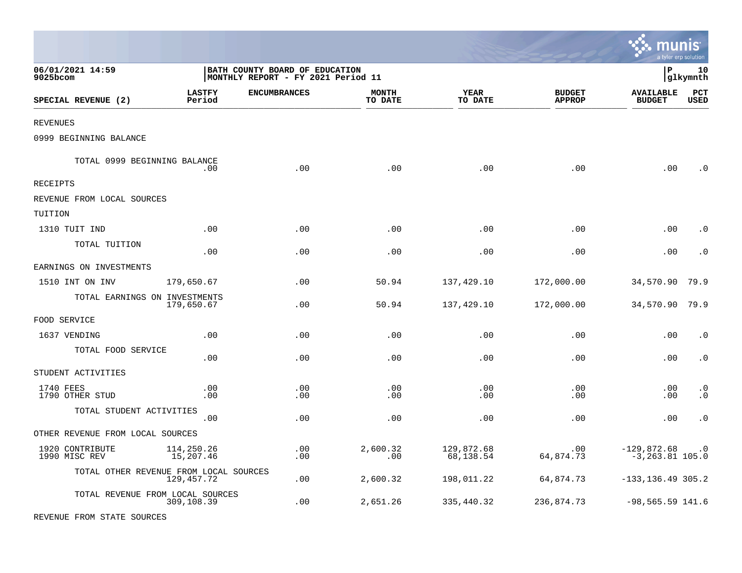|                                        |                         |                                                                      |                         |                         |                                |                                        | a tyler erp solution   |
|----------------------------------------|-------------------------|----------------------------------------------------------------------|-------------------------|-------------------------|--------------------------------|----------------------------------------|------------------------|
| 06/01/2021 14:59<br>9025bcom           |                         | BATH COUNTY BOARD OF EDUCATION<br>MONTHLY REPORT - FY 2021 Period 11 |                         |                         |                                | ΙP                                     | 10<br> glkymnth        |
| SPECIAL REVENUE (2)                    | <b>LASTFY</b><br>Period | <b>ENCUMBRANCES</b>                                                  | <b>MONTH</b><br>TO DATE | YEAR<br>TO DATE         | <b>BUDGET</b><br><b>APPROP</b> | <b>AVAILABLE</b><br><b>BUDGET</b>      | PCT<br><b>USED</b>     |
| REVENUES                               |                         |                                                                      |                         |                         |                                |                                        |                        |
| 0999 BEGINNING BALANCE                 |                         |                                                                      |                         |                         |                                |                                        |                        |
| TOTAL 0999 BEGINNING BALANCE           | .00.                    | .00                                                                  | .00                     | .00                     | .00                            | .00                                    | . 0                    |
| RECEIPTS                               |                         |                                                                      |                         |                         |                                |                                        |                        |
| REVENUE FROM LOCAL SOURCES             |                         |                                                                      |                         |                         |                                |                                        |                        |
| TUITION                                |                         |                                                                      |                         |                         |                                |                                        |                        |
| 1310 TUIT IND                          | .00                     | .00                                                                  | .00                     | .00                     | .00                            | .00                                    | . 0                    |
| TOTAL TUITION                          | .00                     | .00                                                                  | .00                     | .00                     | .00                            | .00                                    | . 0                    |
| EARNINGS ON INVESTMENTS                |                         |                                                                      |                         |                         |                                |                                        |                        |
| 1510 INT ON INV                        | 179,650.67              | .00                                                                  | 50.94                   | 137,429.10              | 172,000.00                     | 34,570.90                              | 79.9                   |
| TOTAL EARNINGS ON INVESTMENTS          | 179,650.67              | .00                                                                  | 50.94                   | 137,429.10              | 172,000.00                     | 34,570.90                              | 79.9                   |
| FOOD SERVICE                           |                         |                                                                      |                         |                         |                                |                                        |                        |
| 1637 VENDING                           | .00                     | $.00 \,$                                                             | .00                     | .00                     | .00                            | .00                                    | . 0                    |
| TOTAL FOOD SERVICE                     | .00                     | .00                                                                  | .00                     | .00                     | .00                            | .00                                    | $\cdot$ 0              |
| STUDENT ACTIVITIES                     |                         |                                                                      |                         |                         |                                |                                        |                        |
| 1740 FEES<br>1790 OTHER STUD           | .00<br>.00              | $.00 \,$<br>.00                                                      | .00<br>.00              | .00<br>.00              | .00<br>.00                     | .00<br>.00                             | $\cdot$ 0<br>$\cdot$ 0 |
| TOTAL STUDENT ACTIVITIES               | .00                     | .00                                                                  | .00                     | .00                     | .00                            | .00                                    | $\cdot$ 0              |
| OTHER REVENUE FROM LOCAL SOURCES       |                         |                                                                      |                         |                         |                                |                                        |                        |
| 1920 CONTRIBUTE<br>1990 MISC REV       | 114,250.26<br>15,207.46 | .00<br>.00                                                           | 2,600.32<br>.00         | 129,872.68<br>68,138.54 | .00<br>64,874.73               | $-129,872.68$ .0<br>$-3, 263.81$ 105.0 |                        |
| TOTAL OTHER REVENUE FROM LOCAL SOURCES | 129,457.72              | .00                                                                  | 2,600.32                | 198,011.22              | 64,874.73                      | $-133, 136.49$ 305.2                   |                        |
| TOTAL REVENUE FROM LOCAL SOURCES       | 309,108.39              | $.00 \,$                                                             | 2,651.26                | 335,440.32              | 236,874.73                     | $-98,565.59$ 141.6                     |                        |
| REVENUE FROM STATE SOURCES             |                         |                                                                      |                         |                         |                                |                                        |                        |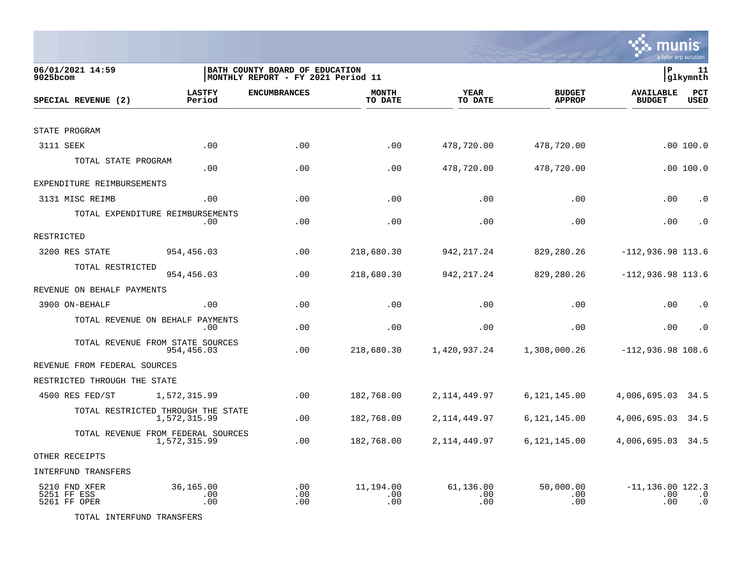

| 06/01/2021 14:59<br>9025bcom                 |                                                    | BATH COUNTY BOARD OF EDUCATION<br> MONTHLY REPORT - FY 2021 Period 11 |                         |                         |                                | lР                                | 11<br> glkymnth        |
|----------------------------------------------|----------------------------------------------------|-----------------------------------------------------------------------|-------------------------|-------------------------|--------------------------------|-----------------------------------|------------------------|
| SPECIAL REVENUE (2)                          | <b>LASTFY</b><br>Period                            | <b>ENCUMBRANCES</b>                                                   | <b>MONTH</b><br>TO DATE | YEAR<br>TO DATE         | <b>BUDGET</b><br><b>APPROP</b> | <b>AVAILABLE</b><br><b>BUDGET</b> | PCT<br><b>USED</b>     |
|                                              |                                                    |                                                                       |                         |                         |                                |                                   |                        |
| STATE PROGRAM                                |                                                    |                                                                       |                         |                         |                                |                                   |                        |
| 3111 SEEK                                    | .00                                                | .00                                                                   | .00                     | 478,720.00              | 478,720.00                     |                                   | .00100.0               |
| TOTAL STATE PROGRAM                          | .00                                                | .00                                                                   | .00                     | 478,720.00              | 478,720.00                     |                                   | .00100.0               |
| EXPENDITURE REIMBURSEMENTS                   |                                                    |                                                                       |                         |                         |                                |                                   |                        |
| 3131 MISC REIMB                              | .00                                                | .00                                                                   | .00                     | .00                     | .00                            | .00                               | $\cdot$ 0              |
| TOTAL EXPENDITURE REIMBURSEMENTS             | .00                                                | .00                                                                   | .00                     | .00                     | .00                            | .00                               | $\cdot$ 0              |
| RESTRICTED                                   |                                                    |                                                                       |                         |                         |                                |                                   |                        |
| 3200 RES STATE                               | 954,456.03                                         | .00                                                                   | 218,680.30              | 942, 217.24             | 829,280.26                     | $-112,936.98$ 113.6               |                        |
| TOTAL RESTRICTED                             | 954,456.03                                         | .00                                                                   | 218,680.30              | 942,217.24              | 829,280.26                     | $-112,936.98$ 113.6               |                        |
| REVENUE ON BEHALF PAYMENTS                   |                                                    |                                                                       |                         |                         |                                |                                   |                        |
| 3900 ON-BEHALF                               | .00                                                | .00                                                                   | .00                     | .00                     | .00                            | .00                               | $\cdot$ 0              |
| TOTAL REVENUE ON BEHALF PAYMENTS             | .00                                                | .00                                                                   | .00                     | .00                     | .00                            | .00                               | $\cdot$ 0              |
| TOTAL REVENUE FROM STATE SOURCES             | 954,456.03                                         | .00                                                                   | 218,680.30              | 1,420,937.24            | 1,308,000.26                   | $-112,936.98$ 108.6               |                        |
| REVENUE FROM FEDERAL SOURCES                 |                                                    |                                                                       |                         |                         |                                |                                   |                        |
| RESTRICTED THROUGH THE STATE                 |                                                    |                                                                       |                         |                         |                                |                                   |                        |
| 4500 RES FED/ST                              | 1,572,315.99                                       | .00                                                                   | 182,768.00              | 2, 114, 449.97          | 6,121,145.00                   | 4,006,695.03                      | 34.5                   |
|                                              | TOTAL RESTRICTED THROUGH THE STATE<br>1,572,315.99 | .00                                                                   | 182,768.00              | 2, 114, 449.97          | 6,121,145.00                   | 4,006,695.03                      | 34.5                   |
|                                              | TOTAL REVENUE FROM FEDERAL SOURCES<br>1,572,315.99 | .00                                                                   | 182,768.00              | 2, 114, 449.97          | 6, 121, 145.00                 | 4,006,695.03 34.5                 |                        |
| OTHER RECEIPTS                               |                                                    |                                                                       |                         |                         |                                |                                   |                        |
| INTERFUND TRANSFERS                          |                                                    |                                                                       |                         |                         |                                |                                   |                        |
| 5210 FND XFER<br>5251 FF ESS<br>5261 FF OPER | 36,165.00<br>.00<br>.00                            | .00<br>.00<br>.00                                                     | 11,194.00<br>.00<br>.00 | 61,136.00<br>.00<br>.00 | 50,000.00<br>.00<br>.00        | $-11, 136.00$ 122.3<br>.00<br>.00 | $\cdot$ 0<br>$\cdot$ 0 |

TOTAL INTERFUND TRANSFERS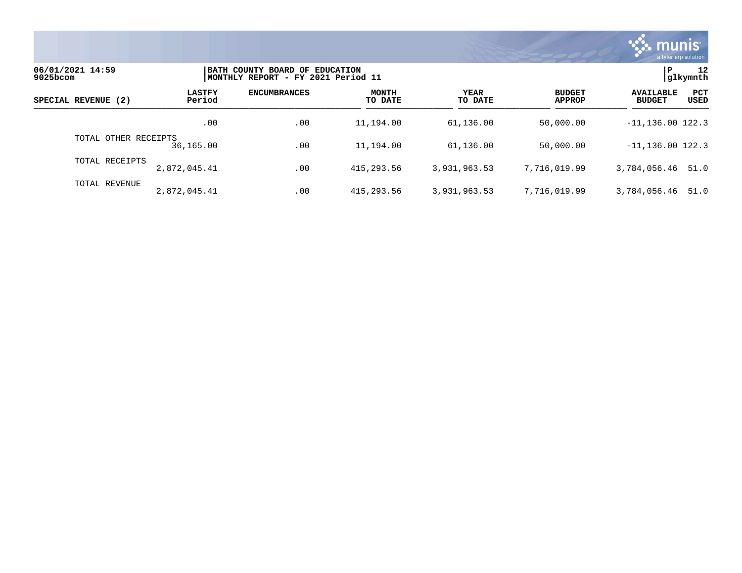

| 06/01/2021 14:59<br>9025bcom |                         | BATH COUNTY BOARD OF EDUCATION<br> MONTHLY REPORT - FY 2021 Period 11 |                         |                 |                                |                                                         |  |  |
|------------------------------|-------------------------|-----------------------------------------------------------------------|-------------------------|-----------------|--------------------------------|---------------------------------------------------------|--|--|
| SPECIAL REVENUE (2)          | <b>LASTFY</b><br>Period | <b>ENCUMBRANCES</b>                                                   | <b>MONTH</b><br>TO DATE | YEAR<br>TO DATE | <b>BUDGET</b><br><b>APPROP</b> | <b>PCT</b><br><b>AVAILABLE</b><br>USED<br><b>BUDGET</b> |  |  |
|                              | .00                     | .00                                                                   | 11,194.00               | 61,136.00       | 50,000.00                      | $-11, 136.00$ 122.3                                     |  |  |
| TOTAL OTHER RECEIPTS         | 36,165.00               | .00                                                                   | 11,194.00               | 61,136.00       | 50,000.00                      | $-11, 136.00$ 122.3                                     |  |  |
| TOTAL RECEIPTS               | 2,872,045.41            | .00                                                                   | 415,293.56              | 3,931,963.53    | 7,716,019.99                   | 3,784,056.46 51.0                                       |  |  |
| TOTAL REVENUE                | 2,872,045.41            | .00                                                                   | 415,293.56              | 3,931,963.53    | 7,716,019.99                   | 51.0<br>3,784,056.46                                    |  |  |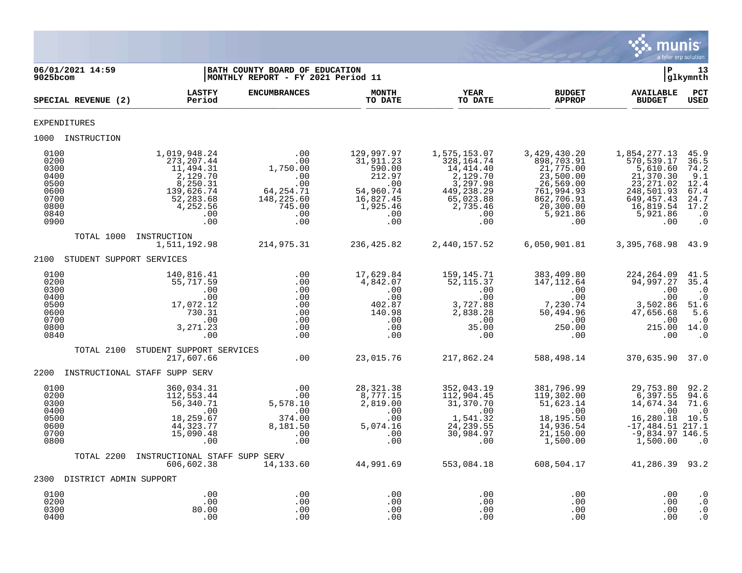

| 06/01/2021 14:59<br>9025bcom                                                 |                                                                                                                      | BATH COUNTY BOARD OF EDUCATION<br>MONTHLY REPORT - FY 2021 Period 11                                                                                                                                                                                                                                                                                                                           |                                                                                                                        |                                                                                                                                                                                                                                                                                                                                                                                                                                                                          |                                                                                                                                            | ∣P                                                                                                                            | 13<br> glkymnth                                                                                         |
|------------------------------------------------------------------------------|----------------------------------------------------------------------------------------------------------------------|------------------------------------------------------------------------------------------------------------------------------------------------------------------------------------------------------------------------------------------------------------------------------------------------------------------------------------------------------------------------------------------------|------------------------------------------------------------------------------------------------------------------------|--------------------------------------------------------------------------------------------------------------------------------------------------------------------------------------------------------------------------------------------------------------------------------------------------------------------------------------------------------------------------------------------------------------------------------------------------------------------------|--------------------------------------------------------------------------------------------------------------------------------------------|-------------------------------------------------------------------------------------------------------------------------------|---------------------------------------------------------------------------------------------------------|
| SPECIAL REVENUE (2)                                                          | <b>LASTFY</b><br>Period                                                                                              | <b>ENCUMBRANCES</b>                                                                                                                                                                                                                                                                                                                                                                            | <b>MONTH</b><br>TO DATE                                                                                                | YEAR<br>TO DATE                                                                                                                                                                                                                                                                                                                                                                                                                                                          | <b>BUDGET</b><br><b>APPROP</b>                                                                                                             | <b>AVAILABLE</b><br><b>BUDGET</b>                                                                                             | PCT<br><b>USED</b>                                                                                      |
| <b>EXPENDITURES</b>                                                          |                                                                                                                      |                                                                                                                                                                                                                                                                                                                                                                                                |                                                                                                                        |                                                                                                                                                                                                                                                                                                                                                                                                                                                                          |                                                                                                                                            |                                                                                                                               |                                                                                                         |
| 1000 INSTRUCTION                                                             |                                                                                                                      |                                                                                                                                                                                                                                                                                                                                                                                                |                                                                                                                        |                                                                                                                                                                                                                                                                                                                                                                                                                                                                          |                                                                                                                                            |                                                                                                                               |                                                                                                         |
| 0100<br>0200<br>0300<br>0400<br>0500<br>0600<br>0700<br>0800<br>0840<br>0900 | 1,019,948.24<br>273,207.44<br>11,494.31<br>2,129.70<br>8,250.31<br>139,626.74<br>52,283.68<br>4,252.56<br>.00<br>.00 | .00<br>$1,750.00$<br>$1,750.00$<br>$.00$<br>$.00$<br>$.00$<br>$.01$<br>$148,225.60$<br>$745.00$<br>$.00$<br>.00                                                                                                                                                                                                                                                                                | 129,997.97<br>31,911.23<br>590.00<br>212.97<br>.00<br>$54,960.74$<br>16,827.45<br>1,925.46<br>$\overline{00}$ .<br>.00 | 1,575,153.07<br>328, 164. 74<br>14,414.40<br>$7\overline{4}$<br>$7\overline{4}$<br>$7\overline{4}$<br>$7\overline{4}$<br>$7\overline{4}$<br>$7\overline{4}$<br>$7\overline{4}$<br>$7\overline{4}$<br>$7\overline{4}$<br>$7\overline{4}$<br>$7\overline{4}$<br>$7\overline{4}$<br>$7\overline{4}$<br>$7\overline{4}$<br>$7\overline{4}$<br>$7\overline{4}$<br>$7\overline{4}$<br>$7\overline{4}$<br>$7\overline{4}$<br>$7\overline{4}$<br><br>$2, 1, 3, 5, $<br>00.<br>00 | 3,429,430.20<br>898,703.91<br>21,775.00<br>23,500.00<br>26,569.00<br>26,569.00<br>761,994.93<br>862,706.91<br>20,300.00<br>5,921.86<br>.00 | 1,854,277.13<br>570,539.17<br>5,610.60<br>21,370.30<br>23, 271.02<br>248,501.93<br>649,457.43<br>16,819.54<br>5,921.86<br>.00 | 45.9<br>36.5<br>74.2<br>$9.1$<br>$12.4$<br>67.4<br>24.7<br>17.2<br>$\ddot{\phantom{0}}$ .0<br>$\cdot$ 0 |
| TOTAL 1000                                                                   | INSTRUCTION                                                                                                          |                                                                                                                                                                                                                                                                                                                                                                                                |                                                                                                                        |                                                                                                                                                                                                                                                                                                                                                                                                                                                                          | 2,440,157.52 6,050,901.81 3,395,768.98 43.9                                                                                                |                                                                                                                               |                                                                                                         |
| 2100 STUDENT SUPPORT SERVICES                                                |                                                                                                                      |                                                                                                                                                                                                                                                                                                                                                                                                |                                                                                                                        |                                                                                                                                                                                                                                                                                                                                                                                                                                                                          |                                                                                                                                            |                                                                                                                               |                                                                                                         |
| 0100<br>0200<br>0300<br>0400<br>0500<br>0600<br>0700<br>0800<br>0840         | 140,816.41<br>55,717.59<br>.00<br>.00<br>17,072.12<br>730.31<br>.00<br>3, 271.23<br>.00                              | $\begin{array}{c} . & 0 & 0 \\ . & 0 & 0 \\ . & 0 & 0 \\ . & 0 & 0 \\ . & 0 & 0 \\ . & 0 & 0 \\ . & 0 & 0 \\ . & 0 & 0 \\ . & 0 & 0 \\ . & 0 & 0 \\ . & 0 & 0 \\ . & 0 & 0 \\ . & 0 & 0 \\ . & 0 & 0 \\ . & 0 & 0 \\ . & 0 & 0 & 0 \\ . & 0 & 0 & 0 \\ . & 0 & 0 & 0 \\ . & 0 & 0 & 0 \\ . & 0 & 0 & 0 & 0 \\ . & 0 & 0 & 0 & 0 \\ . & 0 & 0 & 0 & 0 \\ . & 0 & 0$<br>.00<br>.00<br>.00<br>.00 | 17,629.84<br>4,842.07<br>.00<br>.00<br>402.87<br>140.98<br>.00<br>.00<br>.00                                           | 159,145.71<br>52,115.37<br>3,727.88                                                                                                                                                                                                                                                                                                                                                                                                                                      |                                                                                                                                            | 215.00 14.0                                                                                                                   | 41.5<br>35.4<br>$\cdot$ 0<br>$\cdot$ 0<br>51.6<br>$\overline{5.6}$<br>$\cdot$ 0<br>$\cdot$ 0            |
| TOTAL 2100                                                                   | STUDENT SUPPORT SERVICES<br>217,607.66                                                                               | $\overline{00}$ .                                                                                                                                                                                                                                                                                                                                                                              | 23,015.76                                                                                                              | 217,862.24                                                                                                                                                                                                                                                                                                                                                                                                                                                               | 588,498.14                                                                                                                                 | 370,635.90 37.0                                                                                                               |                                                                                                         |
| 2200 INSTRUCTIONAL STAFF SUPP SERV                                           |                                                                                                                      |                                                                                                                                                                                                                                                                                                                                                                                                |                                                                                                                        |                                                                                                                                                                                                                                                                                                                                                                                                                                                                          |                                                                                                                                            |                                                                                                                               |                                                                                                         |
| 0100<br>0200<br>0300<br>0400<br>0500<br>0600<br>0700<br>0800                 | 360,034.31<br>112,553.44<br>56,340.71<br>.00<br>18,259.67<br>44,323.77<br>15,090.48<br>.00                           | .00<br>.00<br>5,578.10<br>.00<br>374.00<br>8,181.50<br>$\sim$ 00<br>.00                                                                                                                                                                                                                                                                                                                        | 28, 321.38                                                                                                             | 352,043.19<br>112,904.45<br>31,370.70<br>$\overline{1}$ $\overline{1}$ $\overline{1}$ $\overline{1}$ $\overline{0}$<br>1,541.32<br>24, 239.55<br>30,984.97<br>.00                                                                                                                                                                                                                                                                                                        | 381,796.99<br>119,302.00<br>51,623.14<br>.00<br>18,195.50<br>14,936.54<br>21,150.00<br>1,500.00                                            | 29,753.80<br>6,397.55<br>14,674.34<br>.00<br>16,280.18<br>$-17,484.51$ 217.1<br>$-9,834.97$ 146.5<br>1,500.00                 | 92.2<br>94.6<br>71.6<br>$\cdot$ 0<br>10.5<br>$\cdot$ . 0                                                |
| TOTAL 2200                                                                   | INSTRUCTIONAL STAFF SUPP SERV<br>606,602.38                                                                          |                                                                                                                                                                                                                                                                                                                                                                                                | $14, 133.60$ $44, 991.69$                                                                                              | 553,084.18                                                                                                                                                                                                                                                                                                                                                                                                                                                               | 608,504.17                                                                                                                                 | 41,286.39 93.2                                                                                                                |                                                                                                         |
| 2300 DISTRICT ADMIN SUPPORT                                                  |                                                                                                                      |                                                                                                                                                                                                                                                                                                                                                                                                |                                                                                                                        |                                                                                                                                                                                                                                                                                                                                                                                                                                                                          |                                                                                                                                            |                                                                                                                               |                                                                                                         |
| 0100<br>0200<br>0300<br>0400                                                 | .00<br>.00<br>80.00<br>.00                                                                                           | .00<br>.00<br>.00<br>.00                                                                                                                                                                                                                                                                                                                                                                       | .00<br>.00<br>.00<br>.00                                                                                               | .00<br>.00<br>.00<br>.00                                                                                                                                                                                                                                                                                                                                                                                                                                                 | .00<br>.00<br>.00<br>.00                                                                                                                   | .00<br>.00<br>.00<br>.00                                                                                                      | $\cdot$ 0<br>$\cdot$ 0<br>$\cdot$ 0<br>$\cdot$ 0                                                        |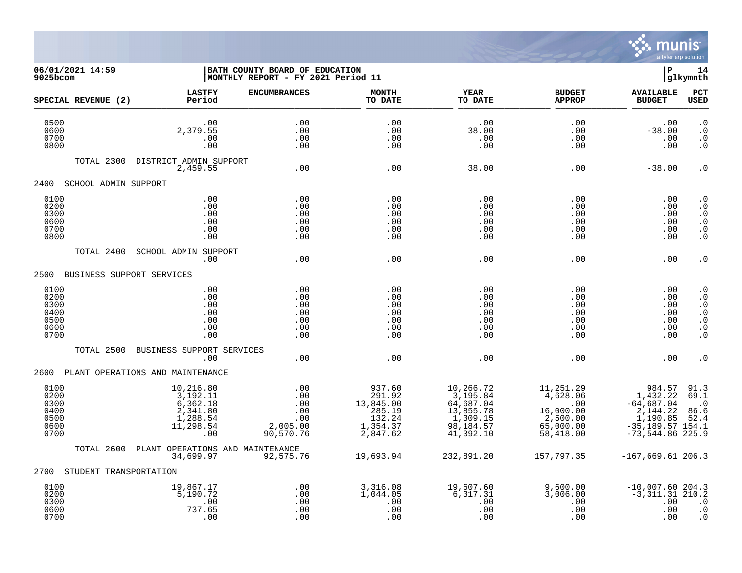

**06/01/2021 14:59 |BATH COUNTY BOARD OF EDUCATION |P 14 9025bcom |MONTHLY REPORT - FY 2021 Period 11 |glkymnth LASTFY ENCUMBRANCES MONTH YEAR BUDGET AVAILABLE PCT SPECIAL REVENUE (2) Period TO DATE TO DATE APPROP BUDGET USED** \_\_\_\_\_\_\_\_\_\_\_\_\_\_\_\_\_\_\_\_\_\_\_\_\_\_\_\_\_\_\_\_\_\_\_\_\_\_\_\_\_\_\_\_\_\_\_\_\_\_\_\_\_\_\_\_\_\_\_\_\_\_\_\_ \_\_\_\_\_\_\_\_\_\_\_\_\_\_\_\_\_ \_\_\_\_\_\_\_\_\_\_\_\_\_\_\_\_\_\_ \_\_\_\_\_\_\_\_\_\_\_\_\_\_ \_\_\_\_\_\_\_\_\_\_\_\_\_\_\_ 0500 .00 .00 .00 .00 .00 .00 .0 0600 2,379.55 .00 .00 38.00 .00 -38.00 .0 0700 .00 .00 .00 .00 .00 .00 .0 0800 .00 .00 .00 .00 .00 .00 .0 TOTAL 2300 DISTRICT ADMIN SUPPORT 2,459.55 .00 .00 38.00 .00 -38.00 .0 2400 SCHOOL ADMIN SUPPORT 0100 .00 .00 .00 .00 .00 .00 .0 0200 .00 .00 .00 .00 .00 .00 .0 0300 .00 .00 .00 .00 .00 .00 .0 0600 .00 .00 .00 .00 .00 .00 .0 0700 .00 .00 .00 .00 .00 .00 .0 0800 .00 .00 .00 .00 .00 .00 .0 TOTAL 2400 SCHOOL ADMIN SUPPORT .00 .00 .00 .00 .00 .00 .0 2500 BUSINESS SUPPORT SERVICES 0100 .00 .00 .00 .00 .00 .00 .0 0200 .00 .00 .00 .00 .00 .00 .0 0300 .00 .00 .00 .00 .00 .00 .0 0400 .00 .00 .00 .00 .00 .00 .0 0500 .00 .00 .00 .00 .00 .00 .0 0600 .00 .00 .00 .00 .00 .00 .0 0700 .00 .00 .00 .00 .00 .00 .0 TOTAL 2500 BUSINESS SUPPORT SERVICES .00 .00 .00 .00 .00 .00 .0 2600 PLANT OPERATIONS AND MAINTENANCE 0100 10,216.80 .00 937.60 10,266.72 11,251.29 984.57 91.3  $0.200$   $3,192.11$   $0.0$   $291.92$   $3,195.84$   $4,628.06$   $1,432.22$   $69.1$  0300 6,362.18 .00 13,845.00 64,687.04 .00 -64,687.04 .0 0400 2,341.80 .00 285.19 13,855.78 16,000.00 2,144.22 86.6 0500 1,288.54 .00 132.24 1,309.15 2,500.00 1,190.85 52.4 0600 11,298.54 2,005.00 1,354.37 98,184.57 65,000.00 -35,189.57 154.1 0700 .00 90,570.76 2,847.62 41,392.10 58,418.00 -73,544.86 225.9 TOTAL 2600 PLANT OPERATIONS AND MAINTENANCE 34,699.97 92,575.76 19,693.94 232,891.20 157,797.35 -167,669.61 206.3 2700 STUDENT TRANSPORTATION 0100 19,867.17 .00 3,316.08 19,607.60 9,600.00 -10,007.60 204.3

 0200 5,190.72 .00 1,044.05 6,317.31 3,006.00 -3,311.31 210.2 0300 .00 .00 .00 .00 .00 .00 .0 0600 737.65 .00 .00 .00 .00 .00 .0 0700 .00 .00 .00 .00 .00 .00 .0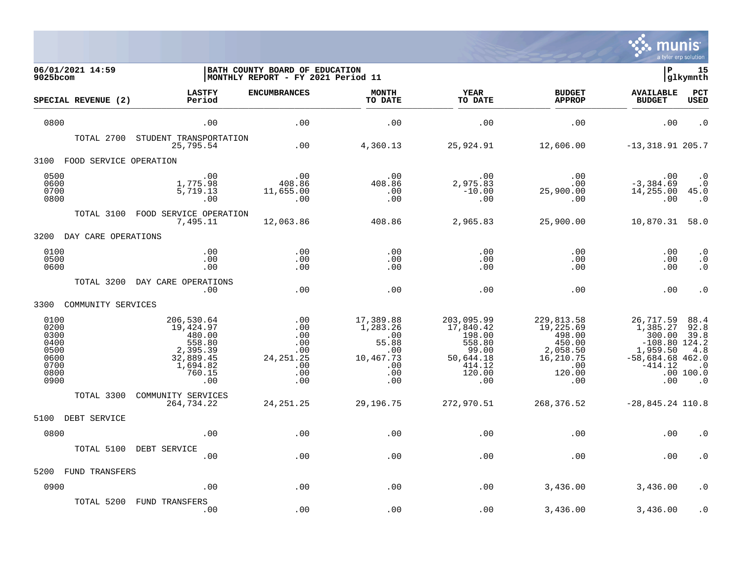

| 06/01/2021 14:59<br>9025bcom                                         |                                                                                                   | BATH COUNTY BOARD OF EDUCATION<br>MONTHLY REPORT - FY 2021 Period 11 |                                                                                                         |                                                                                              |                                                                                              | ΙP                                                                                                       | 15<br> glkymnth                                                    |
|----------------------------------------------------------------------|---------------------------------------------------------------------------------------------------|----------------------------------------------------------------------|---------------------------------------------------------------------------------------------------------|----------------------------------------------------------------------------------------------|----------------------------------------------------------------------------------------------|----------------------------------------------------------------------------------------------------------|--------------------------------------------------------------------|
| SPECIAL REVENUE (2)                                                  | <b>LASTFY</b><br>Period                                                                           | <b>ENCUMBRANCES</b>                                                  | <b>MONTH</b><br>TO DATE                                                                                 | YEAR<br>TO DATE                                                                              | <b>BUDGET</b><br><b>APPROP</b>                                                               | <b>AVAILABLE</b><br><b>BUDGET</b>                                                                        | PCT<br><b>USED</b>                                                 |
| 0800                                                                 | .00                                                                                               | .00                                                                  | .00                                                                                                     | .00                                                                                          | .00                                                                                          | .00                                                                                                      | $\cdot$ 0                                                          |
| TOTAL 2700                                                           | STUDENT TRANSPORTATION<br>25,795.54                                                               | .00                                                                  | 4,360.13                                                                                                | 25,924.91                                                                                    | 12,606.00                                                                                    | $-13,318.91$ 205.7                                                                                       |                                                                    |
| FOOD SERVICE OPERATION<br>3100                                       |                                                                                                   |                                                                      |                                                                                                         |                                                                                              |                                                                                              |                                                                                                          |                                                                    |
| 0500<br>0600<br>0700<br>0800                                         | .00<br>1,775.98<br>5,719.13<br>.00                                                                | .00<br>408.86<br>11,655.00<br>.00                                    | $\cdot$ 00<br>408.86<br>.00<br>.00                                                                      | .00<br>2,975.83<br>$-10.00$<br>.00                                                           | .00<br>.00<br>25,900.00<br>.00                                                               | .00<br>$-3,384.69$<br>14,255.00<br>.00                                                                   | $\cdot$ 0<br>$\cdot$ 0<br>45.0<br>$\cdot$ 0                        |
|                                                                      | TOTAL 3100 FOOD SERVICE OPERATION<br>7,495.11                                                     | 12,063.86                                                            | 408.86                                                                                                  | 2,965.83                                                                                     | 25,900.00                                                                                    | 10,870.31 58.0                                                                                           |                                                                    |
| 3200 DAY CARE OPERATIONS                                             |                                                                                                   |                                                                      |                                                                                                         |                                                                                              |                                                                                              |                                                                                                          |                                                                    |
| 0100<br>0500<br>0600                                                 | .00<br>.00<br>.00                                                                                 | .00<br>.00<br>.00                                                    | .00<br>.00<br>.00                                                                                       | .00<br>.00<br>.00                                                                            | .00<br>.00<br>.00                                                                            | .00<br>.00<br>.00                                                                                        | $\cdot$ 0<br>$\cdot$ 0<br>. 0                                      |
| TOTAL 3200                                                           | DAY CARE OPERATIONS<br>.00                                                                        | .00                                                                  | .00                                                                                                     | .00                                                                                          | .00                                                                                          | .00                                                                                                      | $\cdot$ 0                                                          |
| 3300<br>COMMUNITY SERVICES                                           |                                                                                                   |                                                                      |                                                                                                         |                                                                                              |                                                                                              |                                                                                                          |                                                                    |
| 0100<br>0200<br>0300<br>0400<br>0500<br>0600<br>0700<br>0800<br>0900 | 206,530.64<br>19,424.97<br>480.00<br>558.80<br>2,395.39<br>32,889.45<br>1,694.82<br>760.15<br>.00 | .00<br>.00<br>.00<br>.00<br>.00<br>24, 251. 25<br>.00<br>.00<br>.00  | 17,389.88<br>1,283.26<br>.00<br>55.88<br>$\overline{\phantom{0}}$ .00<br>10,467.73<br>.00<br>.00<br>.00 | 203,095.99<br>17,840.42<br>198.00<br>558.80<br>99.00<br>50,644.18<br>414.12<br>120.00<br>.00 | 229,813.58<br>19,225.69<br>498.00<br>450.00<br>2,058.50<br>16,210.75<br>.00<br>120.00<br>.00 | 26,717.59<br>1,385.27<br>300.00<br>$-108.80$ 124.2<br>1,959.50<br>$-58,684.68$ 462.0<br>$-414.12$<br>.00 | 88.4<br>92.8<br>39.8<br>4.8<br>$\cdot$ 0<br>.00 100.0<br>$\cdot$ 0 |
| TOTAL 3300                                                           | COMMUNITY SERVICES<br>264,734.22                                                                  | 24, 251. 25                                                          | 29,196.75                                                                                               | 272,970.51                                                                                   | 268,376.52                                                                                   | $-28,845.24$ 110.8                                                                                       |                                                                    |
| 5100<br>DEBT SERVICE                                                 |                                                                                                   |                                                                      |                                                                                                         |                                                                                              |                                                                                              |                                                                                                          |                                                                    |
| 0800                                                                 | .00                                                                                               | .00                                                                  | .00                                                                                                     | .00                                                                                          | .00                                                                                          | .00                                                                                                      | . 0                                                                |
| TOTAL 5100                                                           | DEBT SERVICE<br>.00                                                                               | .00                                                                  | .00                                                                                                     | .00                                                                                          | .00                                                                                          | .00                                                                                                      | $\cdot$ 0                                                          |
| FUND TRANSFERS<br>5200                                               |                                                                                                   |                                                                      |                                                                                                         |                                                                                              |                                                                                              |                                                                                                          |                                                                    |
| 0900                                                                 | .00                                                                                               | .00                                                                  | .00                                                                                                     | .00                                                                                          | 3,436.00                                                                                     | 3,436.00                                                                                                 | . 0                                                                |
| TOTAL 5200                                                           | FUND TRANSFERS<br>.00                                                                             | .00                                                                  | .00                                                                                                     | .00                                                                                          | 3,436.00                                                                                     | 3,436.00                                                                                                 | $\cdot$ 0                                                          |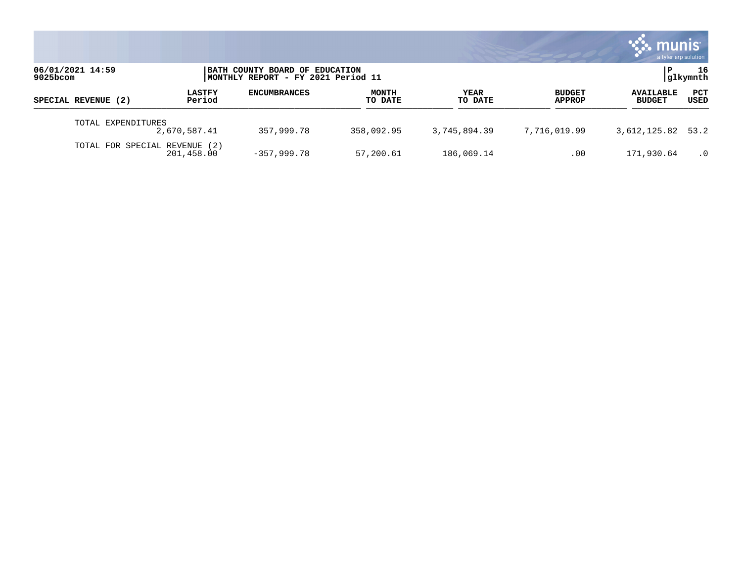|                               |                         |                                                                      |                         |                 |                                | munis<br>a tyler erp solution     |                |
|-------------------------------|-------------------------|----------------------------------------------------------------------|-------------------------|-----------------|--------------------------------|-----------------------------------|----------------|
| 06/01/2021 14:59<br>9025bcom  |                         | BATH COUNTY BOARD OF EDUCATION<br>MONTHLY REPORT - FY 2021 Period 11 |                         |                 |                                |                                   | 16<br>glkymnth |
| SPECIAL REVENUE (2)           | <b>LASTFY</b><br>Period | <b>ENCUMBRANCES</b>                                                  | <b>MONTH</b><br>TO DATE | YEAR<br>TO DATE | <b>BUDGET</b><br><b>APPROP</b> | <b>AVAILABLE</b><br><b>BUDGET</b> | PCT<br>USED    |
| TOTAL EXPENDITURES            | 2,670,587.41            | 357,999.78                                                           | 358,092.95              | 3,745,894.39    | 7,716,019.99                   | 3,612,125.82 53.2                 |                |
| TOTAL FOR SPECIAL REVENUE (2) | 201,458.00              | $-357,999.78$                                                        | 57,200.61               | 186,069.14      | .00                            | 171,930.64                        | $\cdot$ 0      |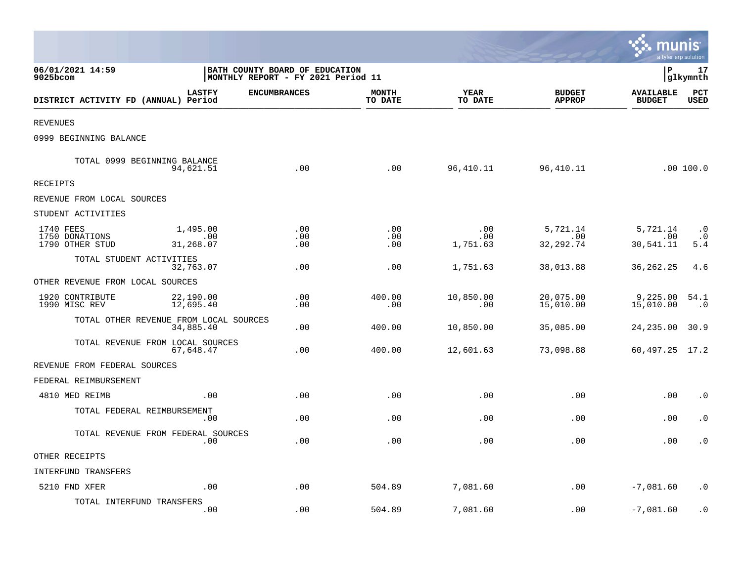|                                                |                                                     |                                                                              |                         |                        |                                | <u>ः munis</u><br>a tyler erp solution |                               |
|------------------------------------------------|-----------------------------------------------------|------------------------------------------------------------------------------|-------------------------|------------------------|--------------------------------|----------------------------------------|-------------------------------|
| 06/01/2021 14:59<br>9025bcom                   |                                                     | <b>BATH COUNTY BOARD OF EDUCATION</b><br> MONTHLY REPORT - FY 2021 Period 11 |                         |                        |                                | l P                                    | 17<br> glkymnth               |
| DISTRICT ACTIVITY FD (ANNUAL) Period           | <b>LASTFY</b>                                       | <b>ENCUMBRANCES</b>                                                          | <b>MONTH</b><br>TO DATE | YEAR<br>TO DATE        | <b>BUDGET</b><br><b>APPROP</b> | <b>AVAILABLE</b><br><b>BUDGET</b>      | PCT<br><b>USED</b>            |
| <b>REVENUES</b>                                |                                                     |                                                                              |                         |                        |                                |                                        |                               |
| 0999 BEGINNING BALANCE                         |                                                     |                                                                              |                         |                        |                                |                                        |                               |
| TOTAL 0999 BEGINNING BALANCE                   | 94,621.51                                           | .00                                                                          | .00                     | 96,410.11              | 96,410.11                      |                                        | .00100.0                      |
| RECEIPTS                                       |                                                     |                                                                              |                         |                        |                                |                                        |                               |
| REVENUE FROM LOCAL SOURCES                     |                                                     |                                                                              |                         |                        |                                |                                        |                               |
| STUDENT ACTIVITIES                             |                                                     |                                                                              |                         |                        |                                |                                        |                               |
| 1740 FEES<br>1750 DONATIONS<br>1790 OTHER STUD | 1,495.00<br>.00<br>31,268.07                        | .00<br>.00<br>.00                                                            | .00<br>.00<br>.00       | .00<br>.00<br>1,751.63 | 5,721.14<br>.00<br>32, 292. 74 | 5,721.14<br>.00<br>30,541.11           | $\cdot$ 0<br>$\cdot$ 0<br>5.4 |
| TOTAL STUDENT ACTIVITIES                       | 32,763.07                                           | .00                                                                          | .00                     | 1,751.63               | 38,013.88                      | 36, 262. 25                            | 4.6                           |
| OTHER REVENUE FROM LOCAL SOURCES               |                                                     |                                                                              |                         |                        |                                |                                        |                               |
| 1920 CONTRIBUTE<br>1990 MISC REV               | 22,190.00<br>12,695.40                              | .00<br>.00                                                                   | 400.00<br>.00           | 10,850.00<br>.00       | 20,075.00<br>15,010.00         | 9,225.00<br>15,010.00                  | 54.1<br>$\cdot$ 0             |
|                                                | TOTAL OTHER REVENUE FROM LOCAL SOURCES<br>34,885.40 | .00                                                                          | 400.00                  | 10,850.00              | 35,085.00                      | 24,235.00                              | 30.9                          |
|                                                | TOTAL REVENUE FROM LOCAL SOURCES<br>67,648.47       | .00                                                                          | 400.00                  | 12,601.63              | 73,098.88                      | 60, 497. 25 17. 2                      |                               |
| REVENUE FROM FEDERAL SOURCES                   |                                                     |                                                                              |                         |                        |                                |                                        |                               |
| FEDERAL REIMBURSEMENT                          |                                                     |                                                                              |                         |                        |                                |                                        |                               |
| 4810 MED REIMB                                 | .00                                                 | .00                                                                          | .00                     | .00                    | .00                            | .00                                    | $\cdot$ 0                     |
| TOTAL FEDERAL REIMBURSEMENT                    | .00                                                 | .00                                                                          | .00                     | .00                    | .00                            | .00                                    | $\cdot$ 0                     |
|                                                | TOTAL REVENUE FROM FEDERAL SOURCES<br>.00           | .00                                                                          | .00                     | .00                    | .00                            | .00                                    | $\cdot$ 0                     |
| OTHER RECEIPTS                                 |                                                     |                                                                              |                         |                        |                                |                                        |                               |
| INTERFUND TRANSFERS                            |                                                     |                                                                              |                         |                        |                                |                                        |                               |
| 5210 FND XFER                                  | .00                                                 | .00                                                                          | 504.89                  | 7,081.60               | .00                            | $-7,081.60$                            | . 0                           |
| TOTAL INTERFUND TRANSFERS                      | .00                                                 | .00                                                                          | 504.89                  | 7,081.60               | .00                            | $-7,081.60$                            | $\cdot$ 0                     |

and the contract of the contract of the contract of the contract of the contract of the contract of the contract of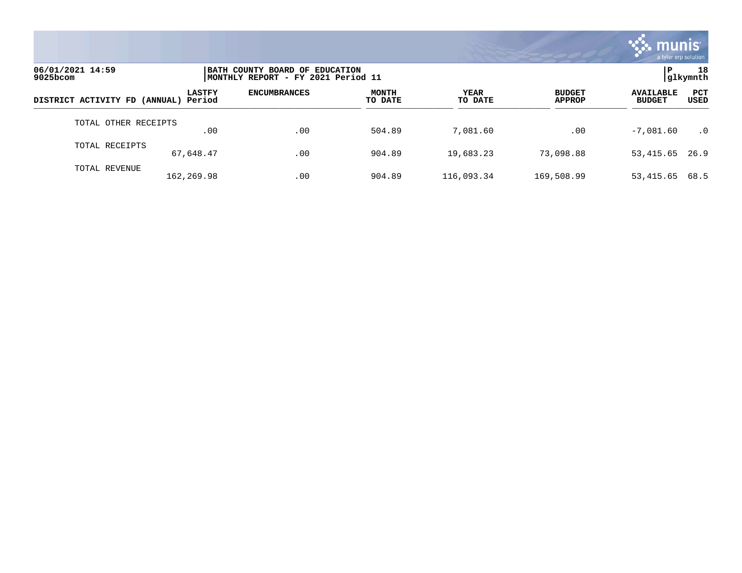

| 06/01/2021 14:59<br>9025bcom         |               | BATH COUNTY BOARD OF EDUCATION<br>MONTHLY REPORT - FY 2021 Period 11 |                         |                        |                                |                                                         |  |
|--------------------------------------|---------------|----------------------------------------------------------------------|-------------------------|------------------------|--------------------------------|---------------------------------------------------------|--|
| DISTRICT ACTIVITY FD (ANNUAL) Period | <b>LASTFY</b> | <b>ENCUMBRANCES</b>                                                  | <b>MONTH</b><br>TO DATE | <b>YEAR</b><br>TO DATE | <b>BUDGET</b><br><b>APPROP</b> | <b>PCT</b><br><b>AVAILABLE</b><br><b>BUDGET</b><br>USED |  |
| TOTAL OTHER RECEIPTS                 | .00           | .00                                                                  | 504.89                  | 7,081.60               | .00                            | $-7,081.60$<br>$\cdot$ 0                                |  |
| TOTAL RECEIPTS                       | 67,648.47     | .00                                                                  | 904.89                  | 19,683.23              | 73,098.88                      | 53, 415.65 26.9                                         |  |
| TOTAL REVENUE                        | 162,269.98    | .00                                                                  | 904.89                  | 116,093.34             | 169,508.99                     | 53,415.65<br>68.5                                       |  |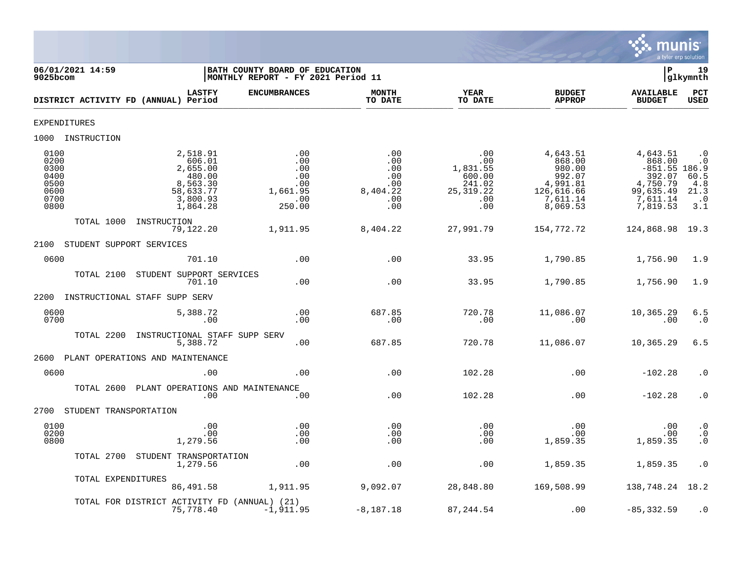

| 06/01/2021 14:59<br>9025bcom                                 |                                                                                           | BATH COUNTY BOARD OF EDUCATION<br>MONTHLY REPORT - FY 2021 Period 11 |                                                                |                                                                         |                                                                                          | l P                                                                                              | 19<br>glkymnth                                                |
|--------------------------------------------------------------|-------------------------------------------------------------------------------------------|----------------------------------------------------------------------|----------------------------------------------------------------|-------------------------------------------------------------------------|------------------------------------------------------------------------------------------|--------------------------------------------------------------------------------------------------|---------------------------------------------------------------|
|                                                              | <b>LASTFY</b><br>DISTRICT ACTIVITY FD (ANNUAL) Period                                     | <b>ENCUMBRANCES</b>                                                  | <b>MONTH</b><br>TO DATE                                        | YEAR<br>TO DATE                                                         | <b>BUDGET</b><br><b>APPROP</b>                                                           | <b>AVAILABLE</b><br><b>BUDGET</b>                                                                | PCT<br><b>USED</b>                                            |
| EXPENDITURES                                                 |                                                                                           |                                                                      |                                                                |                                                                         |                                                                                          |                                                                                                  |                                                               |
| 1000 INSTRUCTION                                             |                                                                                           |                                                                      |                                                                |                                                                         |                                                                                          |                                                                                                  |                                                               |
| 0100<br>0200<br>0300<br>0400<br>0500<br>0600<br>0700<br>0800 | 2,518.91<br>606.01<br>2,655.00<br>480.00<br>8,563.30<br>58,633.77<br>3,800.93<br>1,864.28 | .00<br>.00<br>.00<br>.00<br>.00<br>1,661.95<br>.00<br>250.00         | .00<br>.00<br>$.00 \,$<br>.00<br>.00<br>8,404.22<br>.00<br>.00 | .00<br>.00<br>1,831.55<br>600.00<br>241.02<br>25, 319. 22<br>.00<br>.00 | 4,643.51<br>868.00<br>980.00<br>992.07<br>4,991.81<br>126,616.66<br>7,611.14<br>8,069.53 | 4,643.51<br>868.00<br>$-851.55$ 186.9<br>392.07<br>4,750.79<br>99,635.49<br>7,611.14<br>7,819.53 | $\cdot$ 0<br>. 0<br>$60.5$<br>4.8<br>21.3<br>$\cdot$ 0<br>3.1 |
| TOTAL 1000                                                   | INSTRUCTION<br>79,122.20                                                                  | 1,911.95                                                             | 8,404.22                                                       | 27,991.79                                                               | 154,772.72                                                                               | 124,868.98 19.3                                                                                  |                                                               |
| 2100                                                         | STUDENT SUPPORT SERVICES                                                                  |                                                                      |                                                                |                                                                         |                                                                                          |                                                                                                  |                                                               |
| 0600                                                         | 701.10                                                                                    | .00                                                                  | .00                                                            | 33.95                                                                   | 1,790.85                                                                                 | 1,756.90                                                                                         | 1.9                                                           |
| TOTAL 2100                                                   | STUDENT SUPPORT SERVICES<br>701.10                                                        | .00                                                                  | .00                                                            | 33.95                                                                   | 1,790.85                                                                                 | 1,756.90                                                                                         | 1.9                                                           |
| 2200                                                         | INSTRUCTIONAL STAFF SUPP SERV                                                             |                                                                      |                                                                |                                                                         |                                                                                          |                                                                                                  |                                                               |
| 0600<br>0700                                                 | 5,388.72<br>.00                                                                           | .00<br>.00                                                           | 687.85<br>.00                                                  | 720.78<br>.00                                                           | 11,086.07<br>.00                                                                         | 10,365.29<br>.00                                                                                 | 6.5<br>$\cdot$ 0                                              |
| TOTAL 2200                                                   | INSTRUCTIONAL STAFF SUPP SERV<br>5,388.72                                                 | .00                                                                  | 687.85                                                         | 720.78                                                                  | 11,086.07                                                                                | 10,365.29                                                                                        | 6.5                                                           |
| 2600                                                         | PLANT OPERATIONS AND MAINTENANCE                                                          |                                                                      |                                                                |                                                                         |                                                                                          |                                                                                                  |                                                               |
| 0600                                                         | .00                                                                                       | .00                                                                  | .00                                                            | 102.28                                                                  | .00                                                                                      | $-102.28$                                                                                        | $\cdot$ 0                                                     |
| TOTAL 2600                                                   | PLANT OPERATIONS AND MAINTENANCE<br>.00                                                   | .00                                                                  | .00                                                            | 102.28                                                                  | .00                                                                                      | $-102.28$                                                                                        | $\cdot$ 0                                                     |
| 2700                                                         | STUDENT TRANSPORTATION                                                                    |                                                                      |                                                                |                                                                         |                                                                                          |                                                                                                  |                                                               |
| 0100<br>0200<br>0800                                         | .00<br>.00<br>1,279.56                                                                    | .00<br>.00<br>.00                                                    | .00<br>$.00 \,$<br>.00                                         | .00<br>.00<br>.00                                                       | .00<br>$.00 \ \rm$<br>1,859.35                                                           | .00<br>.00<br>1,859.35                                                                           | $\cdot$ 0<br>$\begin{matrix} 0 \\ 0 \\ 0 \end{matrix}$        |
| TOTAL 2700                                                   | STUDENT TRANSPORTATION<br>1,279.56                                                        | .00                                                                  | .00                                                            | .00                                                                     | 1,859.35                                                                                 | 1,859.35                                                                                         | $\cdot$ 0                                                     |
| TOTAL EXPENDITURES                                           | 86,491.58                                                                                 | 1,911.95                                                             | 9,092.07                                                       | 28,848.80                                                               | 169,508.99                                                                               | 138,748.24 18.2                                                                                  |                                                               |
|                                                              | TOTAL FOR DISTRICT ACTIVITY FD (ANNUAL) (21)<br>75,778.40                                 | $-1,911.95$                                                          | $-8,187.18$                                                    | 87,244.54                                                               | .00                                                                                      | $-85, 332.59$                                                                                    | $\cdot$ 0                                                     |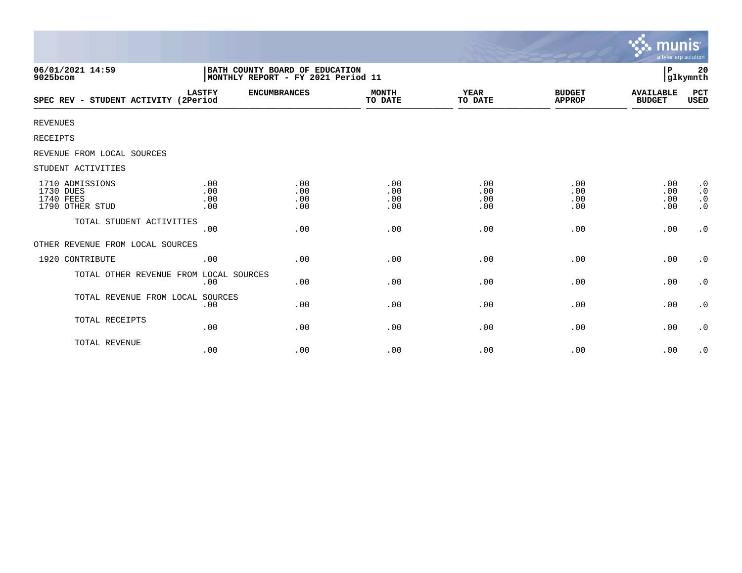|                                                              |                                                                      |                          |                          |                          |                                | munis<br>a tyler erp solution     |                                                  |
|--------------------------------------------------------------|----------------------------------------------------------------------|--------------------------|--------------------------|--------------------------|--------------------------------|-----------------------------------|--------------------------------------------------|
| 06/01/2021 14:59<br>9025bcom                                 | BATH COUNTY BOARD OF EDUCATION<br>MONTHLY REPORT - FY 2021 Period 11 |                          |                          |                          |                                | P                                 | 20<br>glkymnth                                   |
| SPEC REV - STUDENT ACTIVITY (2Period                         | <b>LASTFY</b>                                                        | <b>ENCUMBRANCES</b>      | <b>MONTH</b><br>TO DATE  | YEAR<br>TO DATE          | <b>BUDGET</b><br><b>APPROP</b> | <b>AVAILABLE</b><br><b>BUDGET</b> | PCT<br>USED                                      |
| <b>REVENUES</b>                                              |                                                                      |                          |                          |                          |                                |                                   |                                                  |
| RECEIPTS                                                     |                                                                      |                          |                          |                          |                                |                                   |                                                  |
| REVENUE FROM LOCAL SOURCES                                   |                                                                      |                          |                          |                          |                                |                                   |                                                  |
| STUDENT ACTIVITIES                                           |                                                                      |                          |                          |                          |                                |                                   |                                                  |
| 1710 ADMISSIONS<br>1730 DUES<br>1740 FEES<br>1790 OTHER STUD | .00<br>.00<br>.00<br>.00                                             | .00<br>.00<br>.00<br>.00 | .00<br>.00<br>.00<br>.00 | .00<br>.00<br>.00<br>.00 | .00<br>.00<br>.00<br>.00       | .00<br>.00<br>.00<br>.00          | $\cdot$ 0<br>$\cdot$ 0<br>$\cdot$ 0<br>$\cdot$ 0 |
| TOTAL STUDENT ACTIVITIES                                     | .00                                                                  | .00                      | .00                      | .00                      | .00                            | .00                               | $\cdot$ 0                                        |
| OTHER REVENUE FROM LOCAL SOURCES                             |                                                                      |                          |                          |                          |                                |                                   |                                                  |
| 1920 CONTRIBUTE                                              | .00                                                                  | .00                      | .00                      | .00                      | .00                            | .00                               | $\cdot$ 0                                        |
| TOTAL OTHER REVENUE FROM LOCAL SOURCES                       | .00                                                                  | .00                      | .00                      | .00                      | .00                            | .00                               | $\cdot$ 0                                        |
| TOTAL REVENUE FROM LOCAL                                     | SOURCES<br>.00                                                       | .00                      | .00                      | .00                      | .00                            | .00                               | $\cdot$ 0                                        |
| TOTAL RECEIPTS                                               | .00                                                                  | .00                      | .00                      | .00                      | .00                            | .00                               | $\cdot$ 0                                        |
| TOTAL REVENUE                                                | .00                                                                  | .00                      | .00                      | .00                      | .00                            | .00                               | $\cdot$ 0                                        |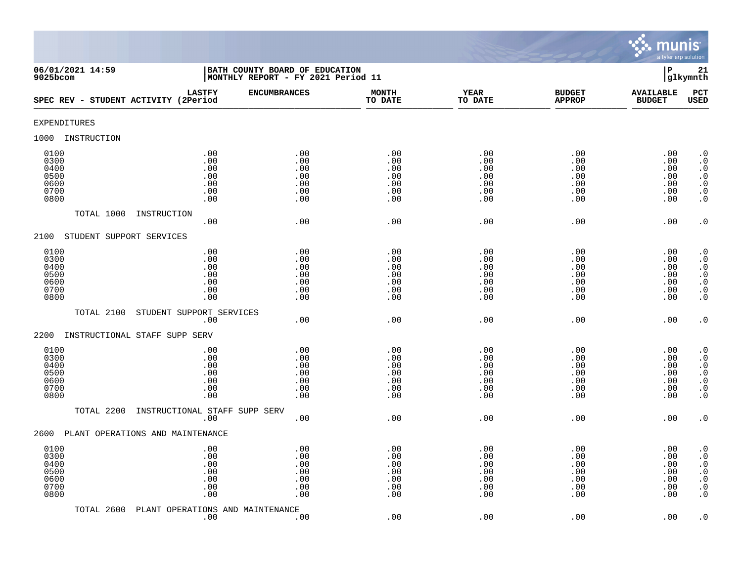

| 06/01/2021 14:59<br>9025bcom                         |                                               | BATH COUNTY BOARD OF EDUCATION<br>MONTHLY REPORT - FY 2021 Period 11 |                                               |                                               |                                               | $\, {\bf P}$                                  | 21<br>glkymnth                                                                                                                                    |
|------------------------------------------------------|-----------------------------------------------|----------------------------------------------------------------------|-----------------------------------------------|-----------------------------------------------|-----------------------------------------------|-----------------------------------------------|---------------------------------------------------------------------------------------------------------------------------------------------------|
| SPEC REV - STUDENT ACTIVITY (2Period                 | <b>LASTFY</b>                                 | <b>ENCUMBRANCES</b>                                                  | <b>MONTH</b><br>TO DATE                       | <b>YEAR</b><br>TO DATE                        | <b>BUDGET</b><br><b>APPROP</b>                | <b>AVAILABLE</b><br><b>BUDGET</b>             | PCT<br><b>USED</b>                                                                                                                                |
| <b>EXPENDITURES</b>                                  |                                               |                                                                      |                                               |                                               |                                               |                                               |                                                                                                                                                   |
| 1000<br>INSTRUCTION                                  |                                               |                                                                      |                                               |                                               |                                               |                                               |                                                                                                                                                   |
| 0100<br>0300<br>0400<br>0500<br>0600<br>0700<br>0800 | .00<br>.00<br>.00<br>.00<br>.00<br>.00<br>.00 | .00<br>.00<br>.00<br>.00<br>.00<br>.00<br>.00                        | .00<br>.00<br>.00<br>.00<br>.00<br>.00<br>.00 | .00<br>.00<br>.00<br>.00<br>.00<br>.00<br>.00 | .00<br>.00<br>.00<br>.00<br>.00<br>.00<br>.00 | .00<br>.00<br>.00<br>.00<br>.00<br>.00<br>.00 | $\cdot$ 0<br>$\boldsymbol{\cdot}$ 0<br>$\cdot$ 0<br>$\begin{smallmatrix} . & 0 \\ . & 0 \end{smallmatrix}$<br>$\boldsymbol{\cdot}$ 0<br>$\cdot$ 0 |
| TOTAL 1000<br>INSTRUCTION                            | .00                                           | .00                                                                  | .00                                           | .00                                           | .00                                           | .00                                           | $\cdot$ 0                                                                                                                                         |
| STUDENT SUPPORT SERVICES<br>2100                     |                                               |                                                                      |                                               |                                               |                                               |                                               |                                                                                                                                                   |
| 0100<br>0300<br>0400<br>0500<br>0600<br>0700<br>0800 | .00<br>.00<br>.00<br>.00<br>.00<br>.00<br>.00 | .00<br>.00<br>.00<br>.00<br>.00<br>.00<br>.00                        | .00<br>.00<br>.00<br>.00<br>.00<br>.00<br>.00 | .00<br>.00<br>.00<br>.00<br>.00<br>.00<br>.00 | .00<br>.00<br>.00<br>.00<br>.00<br>.00<br>.00 | .00<br>.00<br>.00<br>.00<br>.00<br>.00<br>.00 | $\cdot$ 0<br>$\overline{0}$<br>$\cdot$ 0<br>$\frac{0}{0}$<br>$\ddot{\theta}$<br>$\overline{0}$ .                                                  |
| TOTAL 2100                                           | STUDENT SUPPORT SERVICES<br>.00               | .00                                                                  | .00                                           | .00                                           | .00                                           | .00                                           | $\cdot$ 0                                                                                                                                         |
| 2200<br>INSTRUCTIONAL STAFF SUPP SERV                |                                               |                                                                      |                                               |                                               |                                               |                                               |                                                                                                                                                   |
| 0100<br>0300<br>0400<br>0500<br>0600<br>0700<br>0800 | .00<br>.00<br>.00<br>.00<br>.00<br>.00<br>.00 | .00<br>.00<br>.00<br>.00<br>.00<br>.00<br>.00                        | .00<br>.00<br>.00<br>.00<br>.00<br>.00<br>.00 | .00<br>.00<br>.00<br>.00<br>.00<br>.00<br>.00 | .00<br>.00<br>.00<br>.00<br>.00<br>.00<br>.00 | .00<br>.00<br>.00<br>.00<br>.00<br>.00<br>.00 | $\cdot$ 0<br>$\ddot{0}$<br>$\cdot$ 0<br>$\ddot{0}$<br>$\boldsymbol{\cdot}$ 0<br>$\boldsymbol{\cdot}$ 0<br>$\ddot{0}$                              |
| TOTAL 2200                                           | INSTRUCTIONAL STAFF SUPP SERV<br>.00          | .00                                                                  | .00                                           | .00                                           | .00                                           | .00                                           | $\cdot$ 0                                                                                                                                         |
| 2600<br>PLANT OPERATIONS AND MAINTENANCE             |                                               |                                                                      |                                               |                                               |                                               |                                               |                                                                                                                                                   |
| 0100<br>0300<br>0400<br>0500<br>0600<br>0700<br>0800 | .00<br>.00<br>.00<br>.00<br>.00<br>.00<br>.00 | .00<br>.00<br>.00<br>.00<br>.00<br>.00<br>.00                        | .00<br>.00<br>.00<br>.00<br>.00<br>.00<br>.00 | .00<br>.00<br>.00<br>.00<br>.00<br>.00<br>.00 | .00<br>.00<br>.00<br>.00<br>.00<br>.00<br>.00 | .00<br>.00<br>.00<br>.00<br>.00<br>.00<br>.00 | $\cdot$ 0<br>$\boldsymbol{\cdot}$ 0<br>$\boldsymbol{\cdot}$ 0<br>$\ddot{0}$<br>$\boldsymbol{\cdot}$ 0<br>$\boldsymbol{\cdot}$ 0<br>$\cdot$ 0      |
| TOTAL 2600                                           | PLANT OPERATIONS AND MAINTENANCE<br>.00       | .00                                                                  | .00                                           | .00                                           | .00                                           | .00                                           | $\cdot$ 0                                                                                                                                         |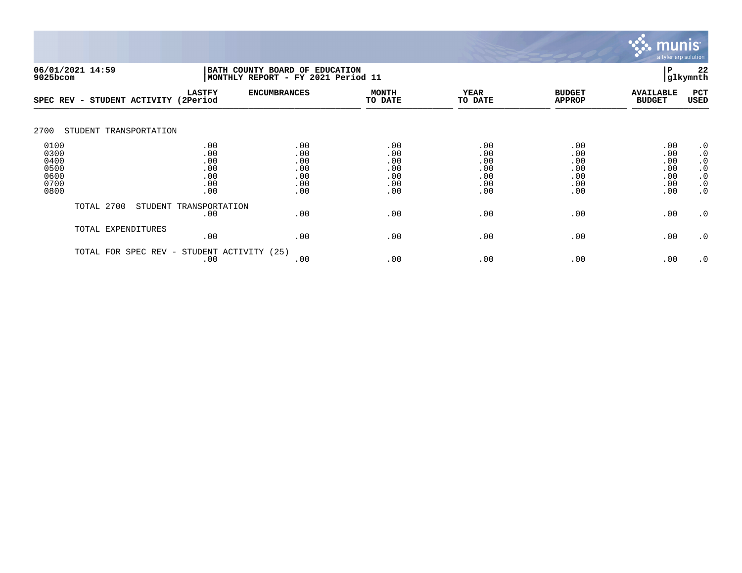

|                                                      | 06/01/2021 14:59<br>BATH COUNTY BOARD OF EDUCATION<br>9025bcom |                                               |                                               | MONTHLY REPORT - FY 2021 Period 11            |                                               |                                               |                                               |                                                                                         |  |
|------------------------------------------------------|----------------------------------------------------------------|-----------------------------------------------|-----------------------------------------------|-----------------------------------------------|-----------------------------------------------|-----------------------------------------------|-----------------------------------------------|-----------------------------------------------------------------------------------------|--|
| SPEC REV                                             | STUDENT ACTIVITY<br>$\overline{\phantom{0}}$                   | <b>LASTFY</b><br>(2Period                     | <b>ENCUMBRANCES</b>                           | <b>MONTH</b><br>TO DATE                       | <b>YEAR</b><br>TO DATE                        | <b>BUDGET</b><br><b>APPROP</b>                | <b>AVAILABLE</b><br><b>BUDGET</b>             | PCT<br><b>USED</b>                                                                      |  |
| 2700                                                 | STUDENT TRANSPORTATION                                         |                                               |                                               |                                               |                                               |                                               |                                               |                                                                                         |  |
| 0100<br>0300<br>0400<br>0500<br>0600<br>0700<br>0800 |                                                                | .00<br>.00<br>.00<br>.00<br>.00<br>.00<br>.00 | .00<br>.00<br>.00<br>.00<br>.00<br>.00<br>.00 | .00<br>.00<br>.00<br>.00<br>.00<br>.00<br>.00 | .00<br>.00<br>.00<br>.00<br>.00<br>.00<br>.00 | .00<br>.00<br>.00<br>.00<br>.00<br>.00<br>.00 | .00<br>.00<br>.00<br>.00<br>.00<br>.00<br>.00 | $\cdot$ 0<br>$\cdot$ 0<br>$\cdot$ 0<br>$\cdot$ 0<br>$\cdot$ 0<br>$\cdot$ 0<br>$\cdot$ 0 |  |
|                                                      | TOTAL 2700                                                     | STUDENT TRANSPORTATION<br>.00                 | .00                                           | .00                                           | .00                                           | .00                                           | .00                                           | $\cdot$ 0                                                                               |  |
|                                                      | TOTAL EXPENDITURES                                             | .00                                           | .00                                           | .00                                           | .00                                           | .00                                           | .00                                           | $\cdot$ 0                                                                               |  |
|                                                      | TOTAL FOR<br>SPEC REV -                                        | STUDENT ACTIVITY (25)<br>.00                  | .00                                           | .00                                           | .00                                           | .00                                           | .00                                           | $\cdot$ 0                                                                               |  |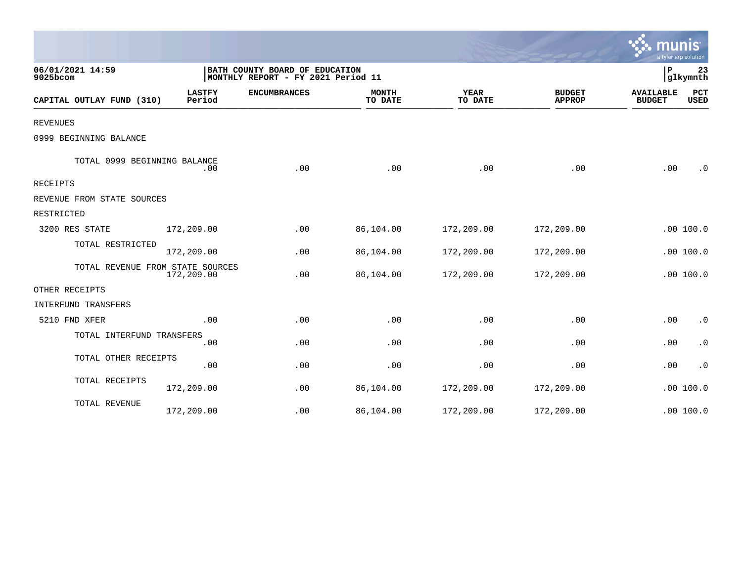|                                  |                         |                                                                      |                         |                        |                                |                                   | a tyler erp solution |
|----------------------------------|-------------------------|----------------------------------------------------------------------|-------------------------|------------------------|--------------------------------|-----------------------------------|----------------------|
| 06/01/2021 14:59<br>9025bcom     |                         | BATH COUNTY BOARD OF EDUCATION<br>MONTHLY REPORT - FY 2021 Period 11 |                         |                        |                                | ∣P                                | 23<br>glkymnth       |
| CAPITAL OUTLAY FUND (310)        | <b>LASTFY</b><br>Period | <b>ENCUMBRANCES</b>                                                  | <b>MONTH</b><br>TO DATE | <b>YEAR</b><br>TO DATE | <b>BUDGET</b><br><b>APPROP</b> | <b>AVAILABLE</b><br><b>BUDGET</b> | PCT<br>USED          |
| <b>REVENUES</b>                  |                         |                                                                      |                         |                        |                                |                                   |                      |
| 0999 BEGINNING BALANCE           |                         |                                                                      |                         |                        |                                |                                   |                      |
| TOTAL 0999 BEGINNING BALANCE     | .00                     | .00                                                                  | .00                     | .00                    | .00                            | .00                               | $\cdot$ 0            |
| <b>RECEIPTS</b>                  |                         |                                                                      |                         |                        |                                |                                   |                      |
| REVENUE FROM STATE SOURCES       |                         |                                                                      |                         |                        |                                |                                   |                      |
| RESTRICTED                       |                         |                                                                      |                         |                        |                                |                                   |                      |
| 3200 RES STATE                   | 172,209.00              | .00                                                                  | 86,104.00               | 172,209.00             | 172,209.00                     |                                   | .00100.0             |
| TOTAL RESTRICTED                 | 172,209.00              | .00                                                                  | 86,104.00               | 172,209.00             | 172,209.00                     |                                   | .00100.0             |
| TOTAL REVENUE FROM STATE SOURCES | 172,209.00              | .00                                                                  | 86,104.00               | 172,209.00             | 172,209.00                     |                                   | .00100.0             |
| OTHER RECEIPTS                   |                         |                                                                      |                         |                        |                                |                                   |                      |
| INTERFUND TRANSFERS              |                         |                                                                      |                         |                        |                                |                                   |                      |
| 5210 FND XFER                    | .00                     | .00                                                                  | .00                     | .00                    | .00                            | .00                               | $\cdot$ 0            |
| TOTAL INTERFUND TRANSFERS        | .00                     | .00                                                                  | .00                     | .00                    | .00                            | .00                               | $\cdot$ 0            |
| TOTAL OTHER RECEIPTS             | .00                     | .00                                                                  | .00                     | .00                    | .00                            | .00                               | $\cdot$ 0            |
| TOTAL RECEIPTS                   | 172,209.00              | .00                                                                  | 86,104.00               | 172,209.00             | 172,209.00                     |                                   | .00100.0             |
| TOTAL REVENUE                    | 172,209.00              | .00                                                                  | 86,104.00               | 172,209.00             | 172,209.00                     |                                   | .00 100.0            |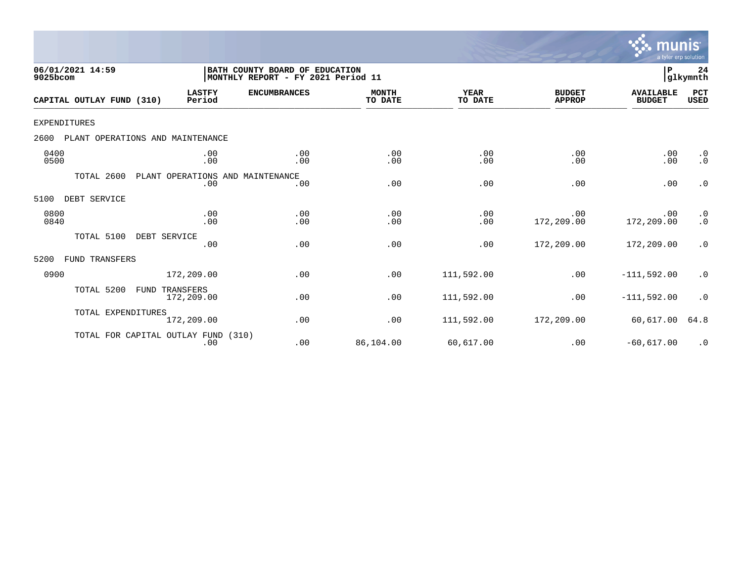

| 06/01/2021 14:59<br>9025bcom             |                                         | BATH COUNTY BOARD OF EDUCATION<br>MONTHLY REPORT - FY 2021 Period 11 |                         |                        |                                | $\mathbf P$                       | 24<br>glkymnth         |
|------------------------------------------|-----------------------------------------|----------------------------------------------------------------------|-------------------------|------------------------|--------------------------------|-----------------------------------|------------------------|
| CAPITAL OUTLAY FUND (310)                | <b>LASTFY</b><br>Period                 | <b>ENCUMBRANCES</b>                                                  | <b>MONTH</b><br>TO DATE | <b>YEAR</b><br>TO DATE | <b>BUDGET</b><br><b>APPROP</b> | <b>AVAILABLE</b><br><b>BUDGET</b> | PCT<br><b>USED</b>     |
| <b>EXPENDITURES</b>                      |                                         |                                                                      |                         |                        |                                |                                   |                        |
| 2600<br>PLANT OPERATIONS AND MAINTENANCE |                                         |                                                                      |                         |                        |                                |                                   |                        |
| 0400<br>0500                             | .00<br>.00                              | .00<br>.00                                                           | .00<br>.00              | .00<br>.00             | .00<br>.00                     | .00<br>.00                        | $\cdot$ 0<br>$\cdot$ 0 |
| TOTAL 2600                               | PLANT OPERATIONS AND MAINTENANCE<br>.00 | .00                                                                  | .00                     | .00                    | .00                            | .00                               | $\cdot$ 0              |
| DEBT SERVICE<br>5100                     |                                         |                                                                      |                         |                        |                                |                                   |                        |
| 0800<br>0840                             | .00<br>.00                              | .00<br>.00                                                           | .00<br>.00              | .00<br>.00             | .00<br>172,209.00              | .00<br>172,209.00                 | $\cdot$ 0<br>$\cdot$ 0 |
| TOTAL 5100                               | DEBT SERVICE<br>.00                     | .00                                                                  | .00                     | .00                    | 172,209.00                     | 172,209.00                        | $\cdot$ 0              |
| FUND TRANSFERS<br>5200                   |                                         |                                                                      |                         |                        |                                |                                   |                        |
| 0900                                     | 172,209.00                              | .00                                                                  | .00                     | 111,592.00             | .00                            | $-111,592.00$                     | $\cdot$ 0              |
| TOTAL 5200<br>FUND                       | TRANSFERS<br>172,209.00                 | .00                                                                  | .00                     | 111,592.00             | .00                            | $-111,592.00$                     | $\cdot$ 0              |
| TOTAL EXPENDITURES                       | 172,209.00                              | .00                                                                  | .00                     | 111,592.00             | 172,209.00                     | 60,617.00                         | 64.8                   |
| TOTAL FOR CAPITAL OUTLAY FUND            | .00                                     | (310)<br>.00                                                         | 86,104.00               | 60,617.00              | .00                            | $-60,617.00$                      | $\cdot$ 0              |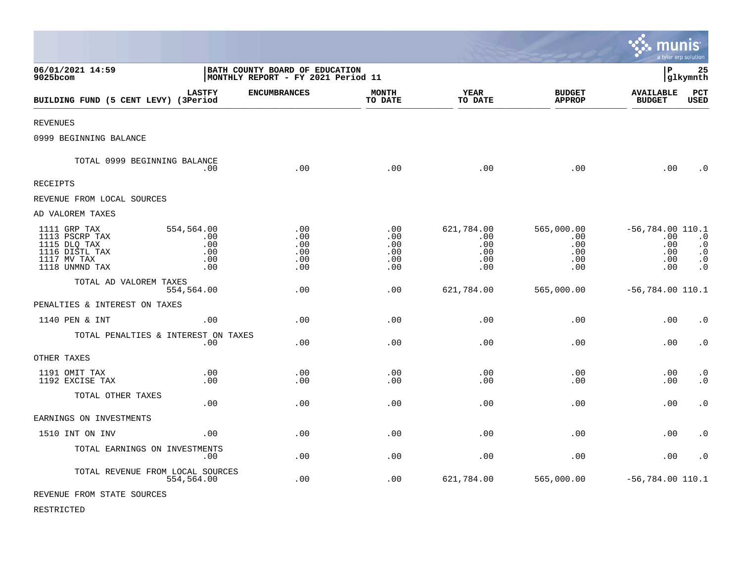|                                                                                                   |                                               |                                                                      |                                             |                                               |                                               | munis                                                 | a tyler erp solution                                          |
|---------------------------------------------------------------------------------------------------|-----------------------------------------------|----------------------------------------------------------------------|---------------------------------------------|-----------------------------------------------|-----------------------------------------------|-------------------------------------------------------|---------------------------------------------------------------|
| 06/01/2021 14:59<br>9025bcom                                                                      |                                               | BATH COUNTY BOARD OF EDUCATION<br>MONTHLY REPORT - FY 2021 Period 11 |                                             |                                               |                                               | l P                                                   | 25<br> glkymnth                                               |
| BUILDING FUND (5 CENT LEVY) (3Period                                                              | <b>LASTFY</b>                                 | <b>ENCUMBRANCES</b>                                                  | <b>MONTH</b><br>TO DATE                     | <b>YEAR</b><br>TO DATE                        | <b>BUDGET</b><br><b>APPROP</b>                | <b>AVAILABLE</b><br><b>BUDGET</b>                     | PCT<br><b>USED</b>                                            |
| <b>REVENUES</b>                                                                                   |                                               |                                                                      |                                             |                                               |                                               |                                                       |                                                               |
| 0999 BEGINNING BALANCE                                                                            |                                               |                                                                      |                                             |                                               |                                               |                                                       |                                                               |
| TOTAL 0999 BEGINNING BALANCE                                                                      | .00                                           | .00                                                                  | .00                                         | .00                                           | .00                                           | .00                                                   | $\cdot$ 0                                                     |
| RECEIPTS                                                                                          |                                               |                                                                      |                                             |                                               |                                               |                                                       |                                                               |
| REVENUE FROM LOCAL SOURCES                                                                        |                                               |                                                                      |                                             |                                               |                                               |                                                       |                                                               |
| AD VALOREM TAXES                                                                                  |                                               |                                                                      |                                             |                                               |                                               |                                                       |                                                               |
| 1111 GRP TAX<br>1113 PSCRP TAX<br>1115 DLQ TAX<br>1116 DISTL TAX<br>1117 MV TAX<br>1118 UNMND TAX | 554,564.00<br>.00<br>.00<br>.00<br>.00<br>.00 | .00<br>.00<br>.00<br>.00<br>.00<br>.00                               | $.00 \,$<br>.00<br>.00<br>.00<br>.00<br>.00 | 621,784.00<br>.00<br>.00<br>.00<br>.00<br>.00 | 565,000.00<br>.00<br>.00<br>.00<br>.00<br>.00 | $-56,784.00$ 110.1<br>.00<br>.00<br>.00<br>.00<br>.00 | $\cdot$ 0<br>$\cdot$ 0<br>$\cdot$ 0<br>$\cdot$ 0<br>$\cdot$ 0 |
| TOTAL AD VALOREM TAXES                                                                            | 554,564.00                                    | .00                                                                  | .00                                         | 621,784.00                                    | 565,000.00                                    | $-56,784.00$ 110.1                                    |                                                               |
| PENALTIES & INTEREST ON TAXES                                                                     |                                               |                                                                      |                                             |                                               |                                               |                                                       |                                                               |
| 1140 PEN & INT                                                                                    | .00                                           | .00                                                                  | .00                                         | .00                                           | .00                                           | .00                                                   | $\cdot$ 0                                                     |
| TOTAL PENALTIES & INTEREST ON TAXES                                                               | .00                                           | .00                                                                  | .00                                         | .00                                           | .00                                           | .00                                                   | $\cdot$ 0                                                     |
| OTHER TAXES                                                                                       |                                               |                                                                      |                                             |                                               |                                               |                                                       |                                                               |
| 1191 OMIT TAX<br>1192 EXCISE TAX                                                                  | .00<br>.00                                    | .00<br>.00                                                           | .00<br>.00                                  | .00<br>.00                                    | .00<br>.00                                    | .00<br>.00                                            | $\cdot$ 0<br>$\cdot$ 0                                        |
| TOTAL OTHER TAXES                                                                                 | .00                                           | .00                                                                  | .00                                         | .00                                           | .00                                           | .00                                                   | $\cdot$ 0                                                     |
| EARNINGS ON INVESTMENTS                                                                           |                                               |                                                                      |                                             |                                               |                                               |                                                       |                                                               |
| 1510 INT ON INV                                                                                   | .00                                           | .00                                                                  | .00                                         | .00                                           | .00                                           | .00                                                   | $\cdot$ 0                                                     |
| TOTAL EARNINGS ON INVESTMENTS                                                                     | .00                                           | .00                                                                  | .00                                         | .00                                           | .00                                           | .00                                                   | $\cdot$ 0                                                     |
| TOTAL REVENUE FROM LOCAL SOURCES                                                                  | 554,564.00                                    | .00                                                                  | .00                                         | 621,784.00                                    | 565,000.00                                    | $-56,784.00$ 110.1                                    |                                                               |
| REVENUE FROM STATE SOURCES                                                                        |                                               |                                                                      |                                             |                                               |                                               |                                                       |                                                               |

 $\mathcal{L}$ 

RESTRICTED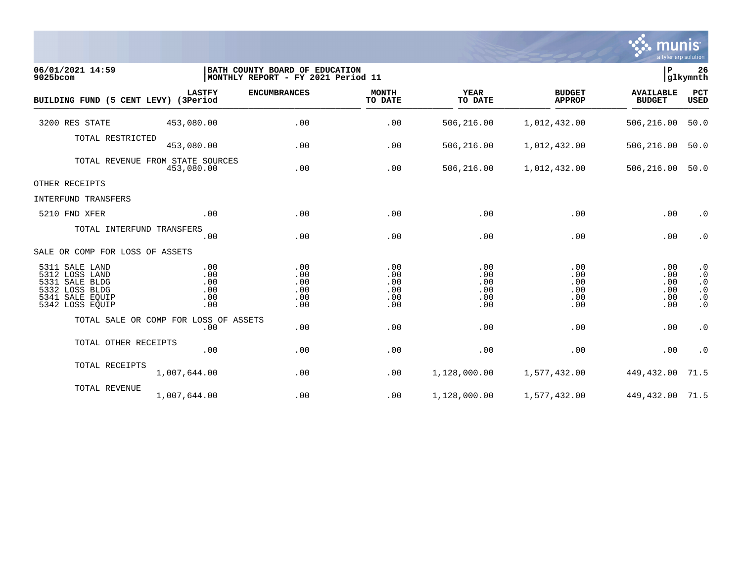

| 06/01/2021 14:59<br>9025bcom                                                                                  |                                                | BATH COUNTY BOARD OF EDUCATION<br> MONTHLY REPORT - FY 2021 Period 11 |                                        |                                        |                                        | P                                      | 26<br>glkymnth                                                             |
|---------------------------------------------------------------------------------------------------------------|------------------------------------------------|-----------------------------------------------------------------------|----------------------------------------|----------------------------------------|----------------------------------------|----------------------------------------|----------------------------------------------------------------------------|
| BUILDING FUND (5 CENT LEVY) (3Period                                                                          | <b>LASTFY</b>                                  | <b>ENCUMBRANCES</b>                                                   | <b>MONTH</b><br>TO DATE                | <b>YEAR</b><br>TO DATE                 | <b>BUDGET</b><br><b>APPROP</b>         | <b>AVAILABLE</b><br><b>BUDGET</b>      | PCT<br>USED                                                                |
| 3200 RES STATE                                                                                                | 453,080.00                                     | .00                                                                   | .00                                    | 506,216.00                             | 1,012,432.00                           | 506,216.00                             | 50.0                                                                       |
| TOTAL RESTRICTED                                                                                              | 453,080.00                                     | .00                                                                   | .00                                    | 506,216.00                             | 1,012,432.00                           | 506,216.00                             | 50.0                                                                       |
|                                                                                                               | TOTAL REVENUE FROM STATE SOURCES<br>453,080.00 | .00                                                                   | .00                                    | 506,216.00                             | 1,012,432.00                           | 506,216.00                             | 50.0                                                                       |
| OTHER RECEIPTS                                                                                                |                                                |                                                                       |                                        |                                        |                                        |                                        |                                                                            |
| INTERFUND TRANSFERS                                                                                           |                                                |                                                                       |                                        |                                        |                                        |                                        |                                                                            |
| 5210 FND XFER                                                                                                 | .00                                            | .00                                                                   | .00                                    | .00                                    | .00                                    | .00                                    | $\cdot$ 0                                                                  |
| TOTAL INTERFUND TRANSFERS                                                                                     | .00                                            | .00                                                                   | .00                                    | .00                                    | .00                                    | .00                                    | $\cdot$ 0                                                                  |
| SALE OR COMP FOR LOSS OF ASSETS                                                                               |                                                |                                                                       |                                        |                                        |                                        |                                        |                                                                            |
| 5311 SALE LAND<br>5312 LOSS LAND<br>5331 SALE BLDG<br>5332 LOSS BLDG<br>5341<br>SALE EQUIP<br>5342 LOSS EQUIP | .00<br>.00<br>.00<br>.00<br>.00<br>.00         | .00<br>.00<br>.00<br>.00<br>.00<br>.00                                | .00<br>.00<br>.00<br>.00<br>.00<br>.00 | .00<br>.00<br>.00<br>.00<br>.00<br>.00 | .00<br>.00<br>.00<br>.00<br>.00<br>.00 | .00<br>.00<br>.00<br>.00<br>.00<br>.00 | $\cdot$ 0<br>$\cdot$ 0<br>$\cdot$ 0<br>$\cdot$ 0<br>$\cdot$ 0<br>$\cdot$ 0 |
|                                                                                                               | TOTAL SALE OR COMP FOR LOSS OF ASSETS<br>.00   | .00                                                                   | .00                                    | .00                                    | .00                                    | .00                                    | $\cdot$ 0                                                                  |
| TOTAL OTHER RECEIPTS                                                                                          | .00                                            | .00                                                                   | .00                                    | .00                                    | .00                                    | .00                                    | $\cdot$ 0                                                                  |
| TOTAL RECEIPTS                                                                                                | 1,007,644.00                                   | .00                                                                   | .00                                    | 1,128,000.00                           | 1,577,432.00                           | 449,432.00                             | 71.5                                                                       |
| TOTAL REVENUE                                                                                                 | 1,007,644.00                                   | .00                                                                   | .00                                    | 1,128,000.00                           | 1,577,432.00                           | 449, 432.00 71.5                       |                                                                            |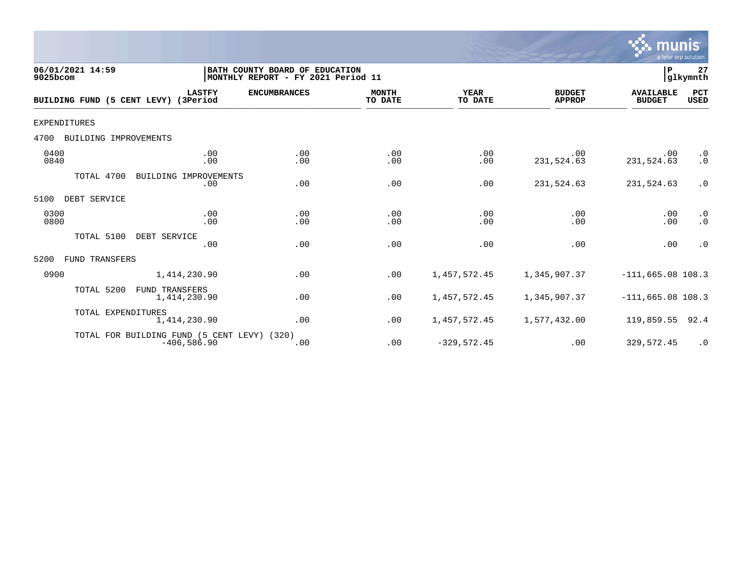

| 06/01/2021 14:59<br>9025bcom         |                                                               | BATH COUNTY BOARD OF EDUCATION<br>MONTHLY REPORT - FY 2021 Period 11 |                  |                        |                                | P                                 | 27<br>glkymnth         |
|--------------------------------------|---------------------------------------------------------------|----------------------------------------------------------------------|------------------|------------------------|--------------------------------|-----------------------------------|------------------------|
| BUILDING FUND (5 CENT LEVY) (3Period | <b>LASTFY</b>                                                 | <b>ENCUMBRANCES</b>                                                  | MONTH<br>TO DATE | <b>YEAR</b><br>TO DATE | <b>BUDGET</b><br><b>APPROP</b> | <b>AVAILABLE</b><br><b>BUDGET</b> | PCT<br><b>USED</b>     |
| <b>EXPENDITURES</b>                  |                                                               |                                                                      |                  |                        |                                |                                   |                        |
| BUILDING IMPROVEMENTS<br>4700        |                                                               |                                                                      |                  |                        |                                |                                   |                        |
| 0400<br>0840                         | .00<br>.00                                                    | .00<br>.00                                                           | .00<br>.00       | .00<br>.00             | .00<br>231,524.63              | .00<br>231,524.63                 | $\cdot$ 0<br>$\cdot$ 0 |
| TOTAL 4700                           | BUILDING IMPROVEMENTS<br>.00                                  | .00                                                                  | .00              | .00                    | 231,524.63                     | 231,524.63                        | $\cdot$ 0              |
| DEBT SERVICE<br>5100                 |                                                               |                                                                      |                  |                        |                                |                                   |                        |
| 0300<br>0800                         | .00<br>.00                                                    | .00<br>.00                                                           | .00<br>.00       | .00<br>.00             | .00<br>.00                     | .00<br>.00                        | $\cdot$ 0<br>$\cdot$ 0 |
| TOTAL 5100                           | DEBT SERVICE<br>.00                                           | .00                                                                  | .00              | .00                    | .00                            | .00                               | $\cdot$ 0              |
| 5200<br>FUND TRANSFERS               |                                                               |                                                                      |                  |                        |                                |                                   |                        |
| 0900                                 | 1,414,230.90                                                  | .00                                                                  | .00              | 1,457,572.45           | 1,345,907.37                   | $-111,665.08$ 108.3               |                        |
| TOTAL 5200                           | <b>FUND TRANSFERS</b><br>1,414,230.90                         | .00                                                                  | .00              | 1,457,572.45           | 1,345,907.37                   | $-111,665.08$ 108.3               |                        |
| TOTAL EXPENDITURES                   | 1,414,230.90                                                  | .00                                                                  | .00              | 1,457,572.45           | 1,577,432.00                   | 119,859.55                        | 92.4                   |
|                                      | TOTAL FOR BUILDING FUND (5 CENT LEVY) (320)<br>$-406, 586.90$ | .00                                                                  | .00              | $-329,572.45$          | .00                            | 329,572.45                        | $\cdot$ 0              |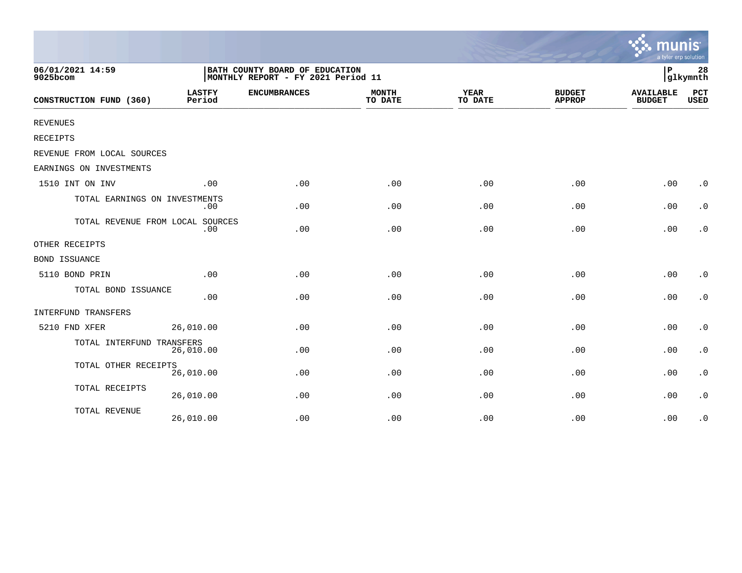|                                  |                         |                                                                      |                         |                        |                                | a tyler erp solution              |                        |
|----------------------------------|-------------------------|----------------------------------------------------------------------|-------------------------|------------------------|--------------------------------|-----------------------------------|------------------------|
| 06/01/2021 14:59<br>9025bcom     |                         | BATH COUNTY BOARD OF EDUCATION<br>MONTHLY REPORT - FY 2021 Period 11 |                         |                        |                                | P                                 | 28<br>glkymnth         |
| CONSTRUCTION FUND (360)          | <b>LASTFY</b><br>Period | <b>ENCUMBRANCES</b>                                                  | <b>MONTH</b><br>TO DATE | <b>YEAR</b><br>TO DATE | <b>BUDGET</b><br><b>APPROP</b> | <b>AVAILABLE</b><br><b>BUDGET</b> | PCT<br><b>USED</b>     |
| <b>REVENUES</b>                  |                         |                                                                      |                         |                        |                                |                                   |                        |
| RECEIPTS                         |                         |                                                                      |                         |                        |                                |                                   |                        |
| REVENUE FROM LOCAL SOURCES       |                         |                                                                      |                         |                        |                                |                                   |                        |
| EARNINGS ON INVESTMENTS          |                         |                                                                      |                         |                        |                                |                                   |                        |
| 1510 INT ON INV                  | .00                     | .00                                                                  | .00                     | .00                    | .00                            | .00                               | $\cdot$ 0              |
| TOTAL EARNINGS ON INVESTMENTS    | .00                     | .00                                                                  | .00                     | .00                    | .00                            | .00                               | $\cdot$ 0              |
| TOTAL REVENUE FROM LOCAL SOURCES | .00                     | .00                                                                  | .00                     | .00                    | .00                            | .00                               | $\cdot$ 0              |
| OTHER RECEIPTS                   |                         |                                                                      |                         |                        |                                |                                   |                        |
| <b>BOND ISSUANCE</b>             |                         |                                                                      |                         |                        |                                |                                   |                        |
| 5110 BOND PRIN                   | .00                     | .00                                                                  | .00                     | .00                    | .00                            | .00                               | $\cdot$ 0              |
| TOTAL BOND ISSUANCE              | .00                     | .00                                                                  | .00                     | .00                    | .00                            | .00                               | $\cdot$ 0              |
| INTERFUND TRANSFERS              |                         |                                                                      |                         |                        |                                |                                   |                        |
| 5210 FND XFER                    | 26,010.00               | .00                                                                  | .00                     | .00                    | .00                            | .00                               | $\boldsymbol{\cdot}$ 0 |
| TOTAL INTERFUND TRANSFERS        | 26,010.00               | .00                                                                  | .00                     | .00                    | .00                            | .00                               | $\boldsymbol{\cdot}$ 0 |
| TOTAL OTHER RECEIPTS             | 26,010.00               | .00                                                                  | .00                     | .00                    | .00                            | .00                               | $\boldsymbol{\cdot}$ 0 |
| TOTAL RECEIPTS                   | 26,010.00               | .00                                                                  | .00                     | .00                    | .00                            | .00                               | $\cdot$ 0              |
| TOTAL REVENUE                    | 26,010.00               | .00                                                                  | .00                     | .00                    | .00                            | .00                               | $\cdot$ 0              |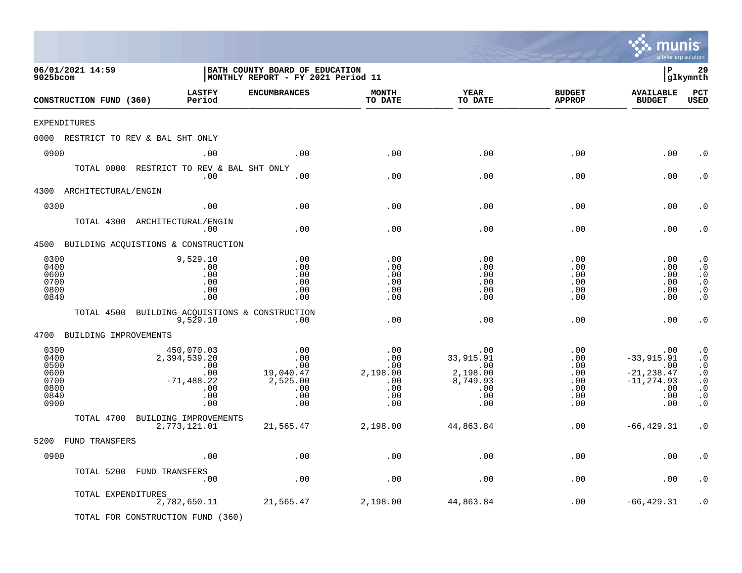|                                                              |                         |                                                                                |                                                                      |                                                           |                                                                           |                                                                | a tyler erp solution                                                              |                                                                                                      |
|--------------------------------------------------------------|-------------------------|--------------------------------------------------------------------------------|----------------------------------------------------------------------|-----------------------------------------------------------|---------------------------------------------------------------------------|----------------------------------------------------------------|-----------------------------------------------------------------------------------|------------------------------------------------------------------------------------------------------|
| 06/01/2021 14:59<br>9025bcom                                 |                         |                                                                                | BATH COUNTY BOARD OF EDUCATION<br>MONTHLY REPORT - FY 2021 Period 11 |                                                           |                                                                           |                                                                | l P                                                                               | 29<br> glkymnth                                                                                      |
|                                                              | CONSTRUCTION FUND (360) | <b>LASTFY</b><br>Period                                                        | <b>ENCUMBRANCES</b>                                                  | <b>MONTH</b><br>TO DATE                                   | <b>YEAR</b><br>TO DATE                                                    | <b>BUDGET</b><br><b>APPROP</b>                                 | <b>AVAILABLE</b><br><b>BUDGET</b>                                                 | PCT<br><b>USED</b>                                                                                   |
| EXPENDITURES                                                 |                         |                                                                                |                                                                      |                                                           |                                                                           |                                                                |                                                                                   |                                                                                                      |
|                                                              |                         | 0000 RESTRICT TO REV & BAL SHT ONLY                                            |                                                                      |                                                           |                                                                           |                                                                |                                                                                   |                                                                                                      |
| 0900                                                         |                         | .00                                                                            | .00                                                                  | .00                                                       | .00                                                                       | .00                                                            | .00                                                                               | $\cdot$ 0                                                                                            |
|                                                              |                         | TOTAL 0000 RESTRICT TO REV & BAL SHT ONLY<br>.00                               | .00                                                                  | .00                                                       | .00                                                                       | .00                                                            | .00                                                                               | . 0                                                                                                  |
| 4300                                                         | ARCHITECTURAL/ENGIN     |                                                                                |                                                                      |                                                           |                                                                           |                                                                |                                                                                   |                                                                                                      |
| 0300                                                         |                         | .00                                                                            | .00                                                                  | .00                                                       | .00                                                                       | .00                                                            | .00                                                                               | . 0                                                                                                  |
|                                                              |                         | TOTAL 4300 ARCHITECTURAL/ENGIN<br>.00                                          | .00                                                                  | .00                                                       | .00                                                                       | .00                                                            | .00                                                                               | . 0                                                                                                  |
|                                                              |                         | 4500 BUILDING ACQUISTIONS & CONSTRUCTION                                       |                                                                      |                                                           |                                                                           |                                                                |                                                                                   |                                                                                                      |
| 0300<br>0400<br>0600<br>0700<br>0800<br>0840                 |                         | 9,529.10<br>.00<br>.00<br>.00<br>.00<br>.00                                    | .00<br>.00<br>.00<br>.00<br>.00<br>.00                               | .00<br>.00<br>.00<br>.00<br>.00<br>.00                    | .00<br>.00<br>.00<br>.00<br>.00<br>.00                                    | .00<br>.00<br>.00<br>.00<br>.00<br>.00                         | .00<br>.00<br>.00<br>.00<br>.00<br>.00                                            | $\cdot$ 0<br>$\cdot$ 0<br>$\cdot$ 0<br>$\cdot$ 0<br>$\cdot$ 0<br>$\cdot$ 0                           |
|                                                              | TOTAL 4500              | BUILDING ACQUISTIONS & CONSTRUCTION<br>9,529.10                                | .00                                                                  | .00                                                       | .00                                                                       | .00                                                            | .00                                                                               | $\cdot$ 0                                                                                            |
| 4700                                                         | BUILDING IMPROVEMENTS   |                                                                                |                                                                      |                                                           |                                                                           |                                                                |                                                                                   |                                                                                                      |
| 0300<br>0400<br>0500<br>0600<br>0700<br>0800<br>0840<br>0900 |                         | 450,070.03<br>2,394,539.20<br>.00<br>.00<br>$-71, 488.22$<br>.00<br>.00<br>.00 | .00<br>.00<br>.00<br>19,040.47<br>2,525.00<br>.00<br>.00<br>.00      | .00<br>.00<br>.00<br>2,198.00<br>.00<br>.00<br>.00<br>.00 | .00<br>33,915.91<br>.00<br>2,198.00<br>8,749.93<br>$.00 \,$<br>.00<br>.00 | .00<br>.00<br>.00<br>$.00 \,$<br>.00<br>.00<br>$.00 \,$<br>.00 | .00<br>$-33,915.91$<br>.00<br>$-21, 238.47$<br>$-11, 274.93$<br>.00<br>.00<br>.00 | $\cdot$ 0<br>$\cdot$ 0<br>$\cdot$ 0<br>$\cdot$ 0<br>$\cdot$ 0<br>$\cdot$ 0<br>$\cdot$ 0<br>$\cdot$ 0 |
|                                                              | TOTAL 4700              | BUILDING IMPROVEMENTS                                                          |                                                                      |                                                           |                                                                           |                                                                |                                                                                   |                                                                                                      |
|                                                              |                         | 2,773,121.01                                                                   | 21,565.47                                                            | 2,198.00                                                  | 44,863.84                                                                 | .00                                                            | $-66, 429.31$                                                                     | $\cdot$ 0                                                                                            |
|                                                              | 5200 FUND TRANSFERS     |                                                                                |                                                                      |                                                           |                                                                           |                                                                |                                                                                   |                                                                                                      |
| 0900                                                         |                         | .00                                                                            | $.00$                                                                | .00                                                       | $.00$                                                                     | .00                                                            | .00                                                                               | . $\boldsymbol{0}$                                                                                   |
|                                                              |                         | TOTAL 5200 FUND TRANSFERS<br>.00                                               | $.00$                                                                | .00                                                       | .00                                                                       | .00                                                            | .00                                                                               | $\cdot$ 0                                                                                            |
|                                                              | TOTAL EXPENDITURES      | 2,782,650.11<br>TOTAL FOR CONSTRUCTION FUND (360)                              | 21,565.47                                                            | 2,198.00                                                  | 44,863.84                                                                 | .00                                                            | $-66, 429.31$                                                                     | $\cdot$ 0                                                                                            |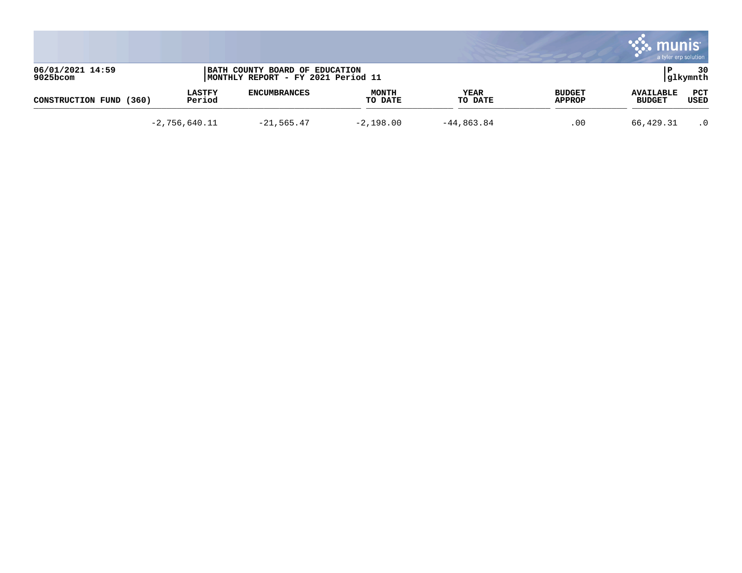|                              |                         |                                                                      |                         |                 |                         | munis<br>a tyler erp solution     |                 |
|------------------------------|-------------------------|----------------------------------------------------------------------|-------------------------|-----------------|-------------------------|-----------------------------------|-----------------|
| 06/01/2021 14:59<br>9025bcom |                         | BATH COUNTY BOARD OF EDUCATION<br>MONTHLY REPORT - FY 2021 Period 11 |                         |                 |                         |                                   | 30<br> glkymnth |
| CONSTRUCTION FUND<br>(360)   | <b>LASTFY</b><br>Period | <b>ENCUMBRANCES</b>                                                  | <b>MONTH</b><br>TO DATE | YEAR<br>TO DATE | <b>BUDGET</b><br>APPROP | <b>AVAILABLE</b><br><b>BUDGET</b> | PCT<br>USED     |
|                              | $-2,756,640.11$         | $-21, 565.47$                                                        | $-2,198.00$             | $-44,863.84$    | .00                     | 66,429.31                         | $\cdot$ 0       |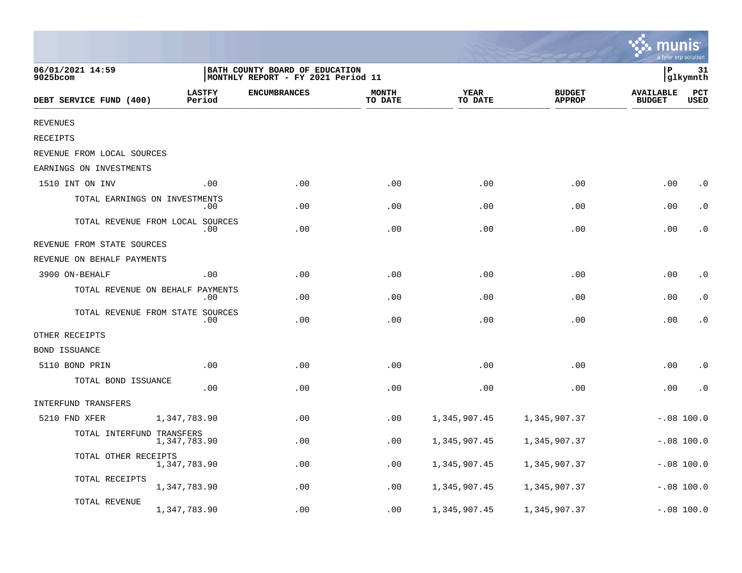|                               |                                         |                                                                       |                         |                        |                                |                                   | a tyler erp solution |
|-------------------------------|-----------------------------------------|-----------------------------------------------------------------------|-------------------------|------------------------|--------------------------------|-----------------------------------|----------------------|
| 06/01/2021 14:59<br>9025bcom  |                                         | BATH COUNTY BOARD OF EDUCATION<br> MONTHLY REPORT - FY 2021 Period 11 |                         |                        |                                | P                                 | 31<br>glkymnth       |
| DEBT SERVICE FUND (400)       | <b>LASTFY</b><br>Period                 | <b>ENCUMBRANCES</b>                                                   | <b>MONTH</b><br>TO DATE | <b>YEAR</b><br>TO DATE | <b>BUDGET</b><br><b>APPROP</b> | <b>AVAILABLE</b><br><b>BUDGET</b> | PCT<br><b>USED</b>   |
| <b>REVENUES</b>               |                                         |                                                                       |                         |                        |                                |                                   |                      |
| RECEIPTS                      |                                         |                                                                       |                         |                        |                                |                                   |                      |
| REVENUE FROM LOCAL SOURCES    |                                         |                                                                       |                         |                        |                                |                                   |                      |
| EARNINGS ON INVESTMENTS       |                                         |                                                                       |                         |                        |                                |                                   |                      |
| 1510 INT ON INV               | .00                                     | .00                                                                   | .00                     | .00                    | .00                            | .00                               | $\cdot$ 0            |
| TOTAL EARNINGS ON INVESTMENTS | $.00 \,$                                | .00                                                                   | .00                     | .00                    | .00                            | .00                               | $\cdot$ 0            |
|                               | TOTAL REVENUE FROM LOCAL SOURCES<br>.00 | .00                                                                   | .00                     | .00                    | .00                            | .00                               | $\cdot$ 0            |
| REVENUE FROM STATE SOURCES    |                                         |                                                                       |                         |                        |                                |                                   |                      |
| REVENUE ON BEHALF PAYMENTS    |                                         |                                                                       |                         |                        |                                |                                   |                      |
| 3900 ON-BEHALF                | .00                                     | .00                                                                   | .00                     | .00                    | .00                            | .00                               | $\cdot$ 0            |
|                               | TOTAL REVENUE ON BEHALF PAYMENTS<br>.00 | .00                                                                   | .00                     | .00                    | .00                            | .00                               | $\cdot$ 0            |
|                               | TOTAL REVENUE FROM STATE SOURCES<br>.00 | .00                                                                   | .00                     | .00                    | .00                            | .00                               | $\cdot$ 0            |
| OTHER RECEIPTS                |                                         |                                                                       |                         |                        |                                |                                   |                      |
| <b>BOND ISSUANCE</b>          |                                         |                                                                       |                         |                        |                                |                                   |                      |
| 5110 BOND PRIN                | .00                                     | .00                                                                   | .00                     | .00                    | .00                            | .00                               | $\cdot$ 0            |
| TOTAL BOND ISSUANCE           | .00                                     | .00                                                                   | .00                     | .00                    | .00                            | .00                               | $\cdot$ 0            |
| INTERFUND TRANSFERS           |                                         |                                                                       |                         |                        |                                |                                   |                      |
| 5210 FND XFER                 | 1,347,783.90                            | .00                                                                   | .00                     | 1,345,907.45           | 1,345,907.37                   |                                   | $-.08$ 100.0         |
| TOTAL INTERFUND TRANSFERS     | 1,347,783.90                            | .00                                                                   | .00                     | 1,345,907.45           | 1,345,907.37                   |                                   | $-.08$ 100.0         |
| TOTAL OTHER RECEIPTS          | 1,347,783.90                            | .00                                                                   | .00                     | 1,345,907.45           | 1,345,907.37                   |                                   | $-.08$ 100.0         |
| TOTAL RECEIPTS                | 1,347,783.90                            | .00                                                                   | .00                     | 1,345,907.45           | 1,345,907.37                   |                                   | $-.08 100.0$         |
| TOTAL REVENUE                 | 1,347,783.90                            | .00                                                                   | .00                     | 1,345,907.45           | 1,345,907.37                   |                                   | $-.08 100.0$         |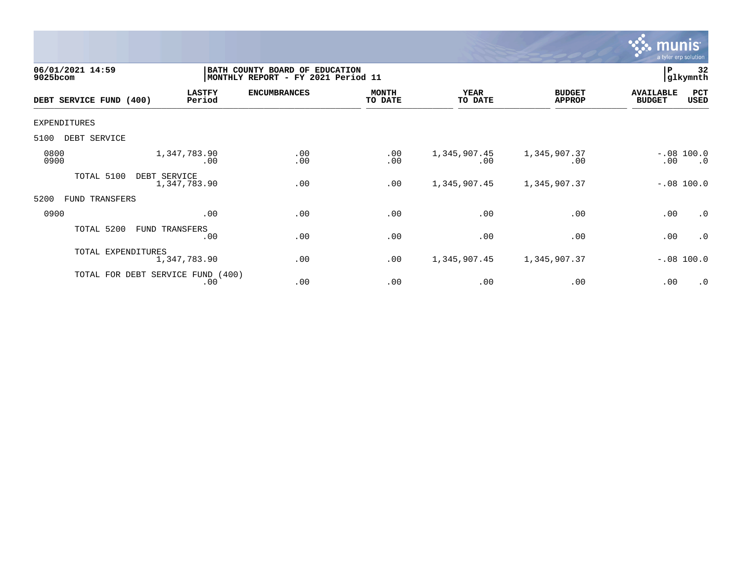

| 06/01/2021 14:59<br>9025bcom |                    |                                          | BATH COUNTY BOARD OF EDUCATION<br>MONTHLY REPORT - FY 2021 Period 11 |                         |                        |                                | P                                 | 32<br>glkymnth            |
|------------------------------|--------------------|------------------------------------------|----------------------------------------------------------------------|-------------------------|------------------------|--------------------------------|-----------------------------------|---------------------------|
| DEBT SERVICE FUND (400)      |                    | <b>LASTFY</b><br>Period                  | <b>ENCUMBRANCES</b>                                                  | <b>MONTH</b><br>TO DATE | <b>YEAR</b><br>TO DATE | <b>BUDGET</b><br><b>APPROP</b> | <b>AVAILABLE</b><br><b>BUDGET</b> | PCT<br><b>USED</b>        |
| EXPENDITURES                 |                    |                                          |                                                                      |                         |                        |                                |                                   |                           |
| 5100<br>DEBT SERVICE         |                    |                                          |                                                                      |                         |                        |                                |                                   |                           |
| 0800<br>0900                 |                    | 1,347,783.90<br>.00                      | .00<br>.00                                                           | .00<br>.00              | 1,345,907.45<br>.00    | 1,345,907.37<br>.00            | .00                               | $-.08 100.0$<br>$\cdot$ 0 |
| TOTAL 5100                   | DEBT SERVICE       | 1,347,783.90                             | .00                                                                  | .00                     | 1,345,907.45           | 1,345,907.37                   |                                   | $-.08 100.0$              |
| 5200<br>FUND                 | TRANSFERS          |                                          |                                                                      |                         |                        |                                |                                   |                           |
| 0900                         |                    | .00                                      | .00                                                                  | .00                     | .00                    | .00                            | .00                               | $\cdot$ 0                 |
| TOTAL 5200                   |                    | FUND TRANSFERS<br>.00                    | .00                                                                  | .00                     | .00                    | .00                            | .00                               | .0                        |
|                              | TOTAL EXPENDITURES | 1,347,783.90                             | .00                                                                  | .00                     | 1,345,907.45           | 1,345,907.37                   |                                   | $-.08$ 100.0              |
|                              |                    | TOTAL FOR DEBT SERVICE FUND (400)<br>.00 | .00                                                                  | .00                     | .00                    | .00                            | .00                               | $\cdot$ 0                 |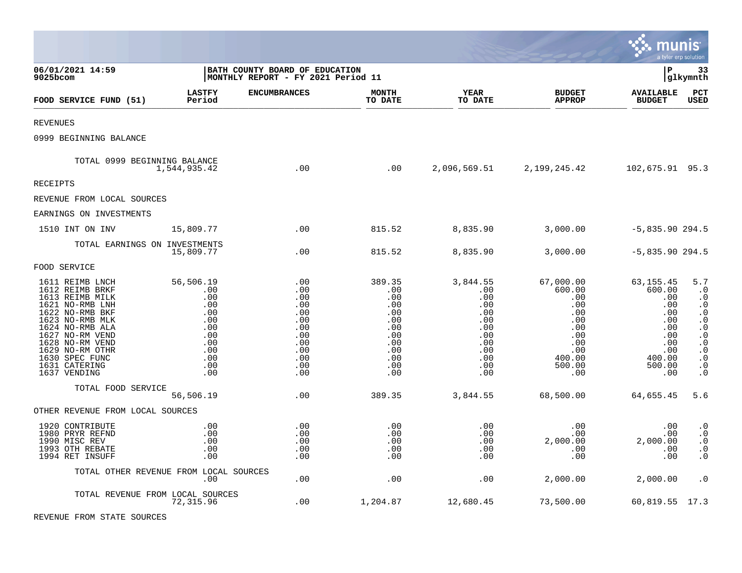|                                                                                                                                                                                                                                               |                                                                                               |                                                                                         |                                                                                            |                                                                                              |                                                                                                        | munis                                                                                                  | a tyler erp solution                                                                                                                                                            |
|-----------------------------------------------------------------------------------------------------------------------------------------------------------------------------------------------------------------------------------------------|-----------------------------------------------------------------------------------------------|-----------------------------------------------------------------------------------------|--------------------------------------------------------------------------------------------|----------------------------------------------------------------------------------------------|--------------------------------------------------------------------------------------------------------|--------------------------------------------------------------------------------------------------------|---------------------------------------------------------------------------------------------------------------------------------------------------------------------------------|
| 06/01/2021 14:59<br>9025bcom                                                                                                                                                                                                                  |                                                                                               | BATH COUNTY BOARD OF EDUCATION<br> MONTHLY REPORT - FY 2021 Period 11                   |                                                                                            |                                                                                              |                                                                                                        | lР                                                                                                     | 33<br> glkymnth                                                                                                                                                                 |
| FOOD SERVICE FUND (51)                                                                                                                                                                                                                        | <b>LASTFY</b><br>Period                                                                       | <b>ENCUMBRANCES</b>                                                                     | <b>MONTH</b><br>TO DATE                                                                    | YEAR<br>TO DATE                                                                              | <b>BUDGET</b><br><b>APPROP</b>                                                                         | <b>AVAILABLE</b><br><b>BUDGET</b>                                                                      | PCT<br><b>USED</b>                                                                                                                                                              |
| <b>REVENUES</b>                                                                                                                                                                                                                               |                                                                                               |                                                                                         |                                                                                            |                                                                                              |                                                                                                        |                                                                                                        |                                                                                                                                                                                 |
| 0999 BEGINNING BALANCE                                                                                                                                                                                                                        |                                                                                               |                                                                                         |                                                                                            |                                                                                              |                                                                                                        |                                                                                                        |                                                                                                                                                                                 |
| TOTAL 0999 BEGINNING BALANCE                                                                                                                                                                                                                  | 1,544,935.42                                                                                  | .00                                                                                     | .00                                                                                        |                                                                                              | 2,096,569.51 2,199,245.42                                                                              | 102,675.91 95.3                                                                                        |                                                                                                                                                                                 |
| <b>RECEIPTS</b>                                                                                                                                                                                                                               |                                                                                               |                                                                                         |                                                                                            |                                                                                              |                                                                                                        |                                                                                                        |                                                                                                                                                                                 |
| REVENUE FROM LOCAL SOURCES                                                                                                                                                                                                                    |                                                                                               |                                                                                         |                                                                                            |                                                                                              |                                                                                                        |                                                                                                        |                                                                                                                                                                                 |
| EARNINGS ON INVESTMENTS                                                                                                                                                                                                                       |                                                                                               |                                                                                         |                                                                                            |                                                                                              |                                                                                                        |                                                                                                        |                                                                                                                                                                                 |
| 1510 INT ON INV                                                                                                                                                                                                                               | 15,809.77                                                                                     | .00                                                                                     | 815.52                                                                                     | 8,835.90                                                                                     | 3,000.00                                                                                               | $-5,835.90$ 294.5                                                                                      |                                                                                                                                                                                 |
| TOTAL EARNINGS ON INVESTMENTS                                                                                                                                                                                                                 | 15,809.77                                                                                     | .00                                                                                     | 815.52                                                                                     | 8,835.90                                                                                     | 3,000.00                                                                                               | $-5,835.90$ 294.5                                                                                      |                                                                                                                                                                                 |
| FOOD SERVICE                                                                                                                                                                                                                                  |                                                                                               |                                                                                         |                                                                                            |                                                                                              |                                                                                                        |                                                                                                        |                                                                                                                                                                                 |
| 1611 REIMB LNCH<br>1612 REIMB BRKF<br>1613 REIMB MILK<br>1621 NO-RMB LNH<br>1622 NO-RMB BKF<br>1623 NO-RMB MLK<br>1624 NO-RMB ALA<br>1627 NO-RM VEND<br>1628 NO-RM VEND<br>1629 NO-RM OTHR<br>1630 SPEC FUNC<br>1631 CATERING<br>1637 VENDING | 56,506.19<br>.00<br>.00<br>.00<br>.00<br>.00<br>.00<br>.00<br>.00<br>.00<br>.00<br>.00<br>.00 | .00<br>.00<br>.00<br>.00<br>.00<br>.00<br>.00<br>.00<br>.00<br>.00<br>.00<br>.00<br>.00 | 389.35<br>.00<br>.00<br>.00<br>.00<br>.00<br>.00<br>.00<br>.00<br>.00<br>.00<br>.00<br>.00 | 3,844.55<br>.00<br>.00<br>.00<br>.00<br>.00<br>.00<br>.00<br>.00<br>.00<br>.00<br>.00<br>.00 | 67,000.00<br>600.00<br>.00<br>.00<br>.00<br>.00<br>.00<br>.00<br>.00<br>.00<br>400.00<br>500.00<br>.00 | 63,155.45<br>600.00<br>.00<br>.00<br>.00<br>.00<br>.00<br>.00<br>.00<br>.00<br>400.00<br>500.00<br>.00 | 5.7<br>$\cdot$ 0<br>$\cdot$ 0<br>$\cdot$ 0<br>$\cdot$ 0<br>$\cdot$ 0<br>$\cdot$ 0<br>$\cdot$ 0<br>$\boldsymbol{\cdot}$ 0<br>. $\boldsymbol{0}$<br>$\cdot$ 0<br>$\cdot$ 0<br>. 0 |
| TOTAL FOOD SERVICE                                                                                                                                                                                                                            | 56,506.19                                                                                     | .00                                                                                     | 389.35                                                                                     | 3,844.55                                                                                     | 68,500.00                                                                                              | 64,655.45                                                                                              | 5.6                                                                                                                                                                             |
| OTHER REVENUE FROM LOCAL SOURCES                                                                                                                                                                                                              |                                                                                               |                                                                                         |                                                                                            |                                                                                              |                                                                                                        |                                                                                                        |                                                                                                                                                                                 |
| 1920 CONTRIBUTE<br>1980 PRYR REFND<br>1990 MISC REV<br>1993 OTH REBATE<br>1994 RET INSUFF                                                                                                                                                     | .00<br>.00<br>.00<br>.00<br>.00                                                               | .00<br>.00<br>.00<br>.00<br>.00                                                         | .00<br>.00<br>.00<br>.00<br>.00                                                            | .00<br>.00<br>.00<br>.00<br>.00                                                              | $.00 \,$<br>$.00 \,$<br>2,000.00<br>.00<br>.00                                                         | .00<br>.00<br>2,000.00<br>.00<br>.00                                                                   | $\cdot$ 0<br>$\boldsymbol{\cdot}$ 0<br>$\cdot$ 0<br>$\cdot$ 0<br>$\cdot$ 0                                                                                                      |
|                                                                                                                                                                                                                                               | TOTAL OTHER REVENUE FROM LOCAL SOURCES<br>.00                                                 | .00                                                                                     | .00                                                                                        | .00                                                                                          | 2,000.00                                                                                               | 2,000.00                                                                                               | $\cdot$ 0                                                                                                                                                                       |
| TOTAL REVENUE FROM LOCAL SOURCES                                                                                                                                                                                                              | 72,315.96                                                                                     | .00                                                                                     | 1,204.87                                                                                   | 12,680.45                                                                                    | 73,500.00                                                                                              | 60,819.55 17.3                                                                                         |                                                                                                                                                                                 |

**Contract Contract** 

REVENUE FROM STATE SOURCES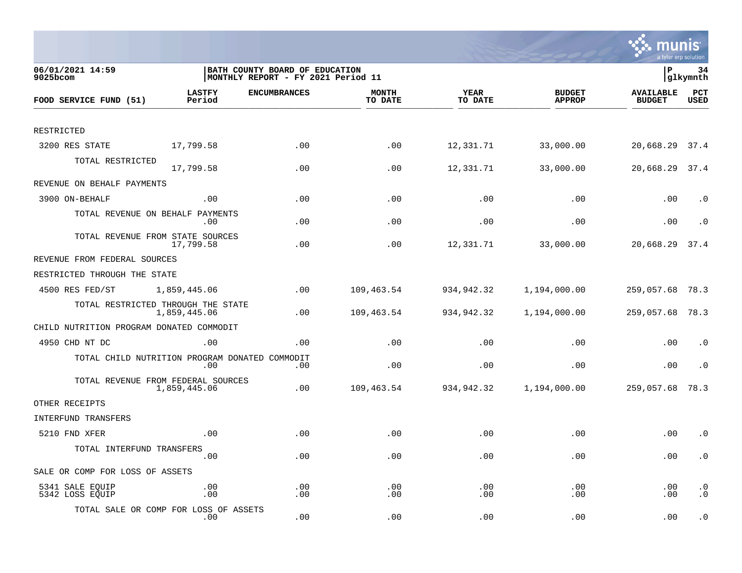

| 06/01/2021 14:59<br>$9025$ bcom                |                         | BATH COUNTY BOARD OF EDUCATION<br>MONTHLY REPORT - FY 2021 Period 11 |                         |                        |                                | lР                                | 34<br> glkymnth        |
|------------------------------------------------|-------------------------|----------------------------------------------------------------------|-------------------------|------------------------|--------------------------------|-----------------------------------|------------------------|
| FOOD SERVICE FUND (51)                         | <b>LASTFY</b><br>Period | <b>ENCUMBRANCES</b>                                                  | <b>MONTH</b><br>TO DATE | <b>YEAR</b><br>TO DATE | <b>BUDGET</b><br><b>APPROP</b> | <b>AVAILABLE</b><br><b>BUDGET</b> | PCT<br>USED            |
|                                                |                         |                                                                      |                         |                        |                                |                                   |                        |
| RESTRICTED                                     |                         |                                                                      |                         |                        |                                |                                   |                        |
| 3200 RES STATE                                 | 17,799.58               | .00                                                                  | .00                     | 12,331.71              | 33,000.00                      | 20,668.29 37.4                    |                        |
| TOTAL RESTRICTED                               | 17,799.58               | .00                                                                  | .00                     | 12,331.71              | 33,000.00                      | 20,668.29 37.4                    |                        |
| REVENUE ON BEHALF PAYMENTS                     |                         |                                                                      |                         |                        |                                |                                   |                        |
| 3900 ON-BEHALF                                 | .00                     | .00                                                                  | .00                     | .00                    | .00                            | .00                               | $\cdot$ 0              |
| TOTAL REVENUE ON BEHALF PAYMENTS               | $.00 \,$                | .00                                                                  | .00                     | .00                    | .00                            | .00                               | . 0                    |
| TOTAL REVENUE FROM STATE SOURCES               | 17,799.58               | .00                                                                  | .00                     | 12,331.71              | 33,000.00                      | 20,668.29                         | 37.4                   |
| REVENUE FROM FEDERAL SOURCES                   |                         |                                                                      |                         |                        |                                |                                   |                        |
| RESTRICTED THROUGH THE STATE                   |                         |                                                                      |                         |                        |                                |                                   |                        |
| 4500 RES FED/ST                                | 1,859,445.06            | .00                                                                  | 109,463.54              | 934,942.32             | 1,194,000.00                   | 259,057.68 78.3                   |                        |
| TOTAL RESTRICTED THROUGH THE STATE             | 1,859,445.06            | .00                                                                  | 109,463.54              | 934,942.32             | 1,194,000.00                   | 259,057.68 78.3                   |                        |
| CHILD NUTRITION PROGRAM DONATED COMMODIT       |                         |                                                                      |                         |                        |                                |                                   |                        |
| 4950 CHD NT DC                                 | .00                     | .00                                                                  | .00                     | .00                    | .00                            | .00                               | $\cdot$ 0              |
| TOTAL CHILD NUTRITION PROGRAM DONATED COMMODIT | $.00 \,$                | .00                                                                  | .00                     | .00                    | .00                            | .00                               | . 0                    |
| TOTAL REVENUE FROM FEDERAL SOURCES             | 1,859,445.06            | .00                                                                  | 109,463.54              | 934,942.32             | 1,194,000.00                   | 259,057.68                        | 78.3                   |
| OTHER RECEIPTS                                 |                         |                                                                      |                         |                        |                                |                                   |                        |
| INTERFUND TRANSFERS                            |                         |                                                                      |                         |                        |                                |                                   |                        |
| 5210 FND XFER                                  | .00                     | .00                                                                  | .00                     | .00                    | .00                            | .00                               | $\cdot$ 0              |
| TOTAL INTERFUND TRANSFERS                      | .00                     | .00                                                                  | .00                     | .00                    | .00                            | .00                               | $\cdot$ 0              |
| SALE OR COMP FOR LOSS OF ASSETS                |                         |                                                                      |                         |                        |                                |                                   |                        |
| 5341 SALE EQUIP<br>5342 LOSS EQUIP             | .00<br>.00              | .00<br>.00                                                           | .00<br>.00              | .00<br>.00             | .00<br>.00                     | .00<br>.00                        | $\cdot$ 0<br>$\cdot$ 0 |
| TOTAL SALE OR COMP FOR LOSS OF ASSETS          | $.00 \,$                | .00                                                                  | .00                     | .00                    | .00                            | .00                               | $\cdot$ 0              |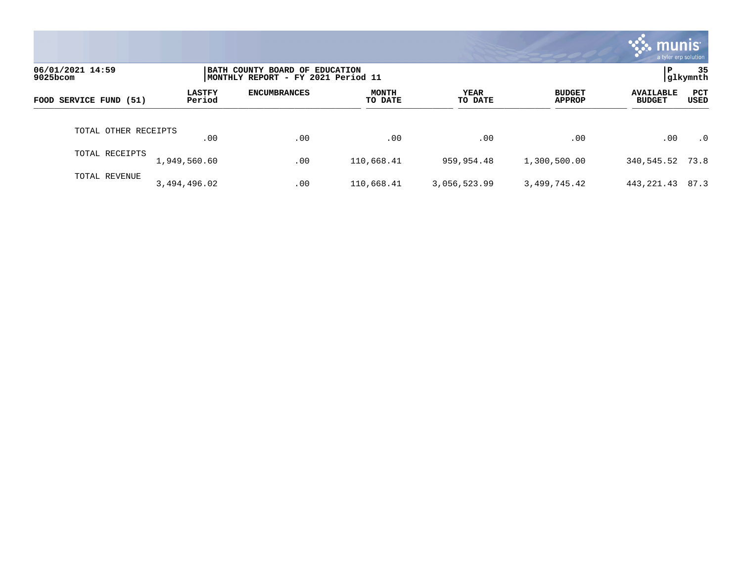|                              |                         |                                                                       |                         |                 |                                | <b>munis</b><br>a tyler erp solution |                    |
|------------------------------|-------------------------|-----------------------------------------------------------------------|-------------------------|-----------------|--------------------------------|--------------------------------------|--------------------|
| 06/01/2021 14:59<br>9025bcom |                         | BATH COUNTY BOARD OF EDUCATION<br> MONTHLY REPORT - FY 2021 Period 11 |                         |                 |                                | l P                                  | 35<br> glkymnth    |
| FOOD SERVICE FUND (51)       | <b>LASTFY</b><br>Period | <b>ENCUMBRANCES</b>                                                   | <b>MONTH</b><br>TO DATE | YEAR<br>TO DATE | <b>BUDGET</b><br><b>APPROP</b> | <b>AVAILABLE</b><br><b>BUDGET</b>    | PCT<br><b>USED</b> |
| TOTAL OTHER RECEIPTS         | .00                     | .00                                                                   | .00                     | .00             | .00                            | .00                                  | $\cdot$ 0          |
| TOTAL RECEIPTS               | 1,949,560.60            | .00                                                                   | 110,668.41              | 959,954.48      | 1,300,500.00                   | 340,545.52 73.8                      |                    |
| TOTAL REVENUE                | 3,494,496.02            | .00                                                                   | 110,668.41              | 3,056,523.99    | 3,499,745.42                   | 443, 221.43                          | 87.3               |

**Tara**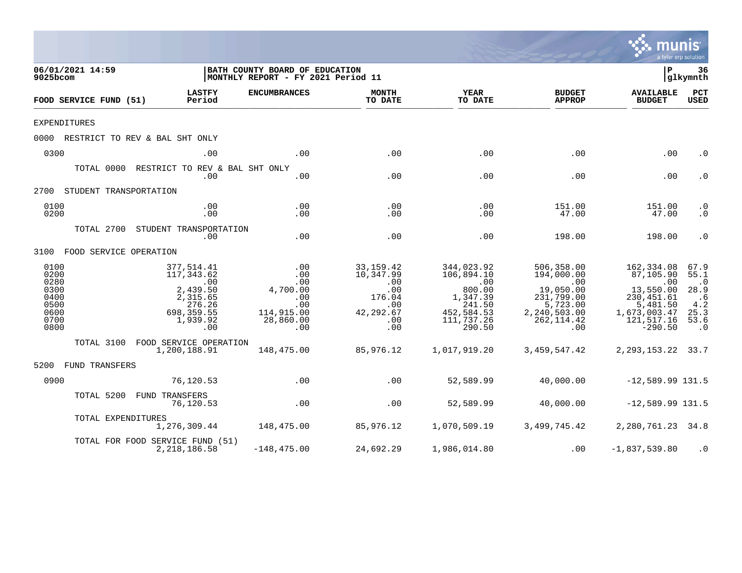|                                                                      |                                                                                                     |                                                                               |                                                                                                                       |                                                                                                                   |                                                                                                                          | mu                                                                                                                       | a tyler erp solution                                                                          |
|----------------------------------------------------------------------|-----------------------------------------------------------------------------------------------------|-------------------------------------------------------------------------------|-----------------------------------------------------------------------------------------------------------------------|-------------------------------------------------------------------------------------------------------------------|--------------------------------------------------------------------------------------------------------------------------|--------------------------------------------------------------------------------------------------------------------------|-----------------------------------------------------------------------------------------------|
| 06/01/2021 14:59<br>9025bcom                                         |                                                                                                     | BATH COUNTY BOARD OF EDUCATION<br>MONTHLY REPORT - FY 2021 Period 11          |                                                                                                                       |                                                                                                                   |                                                                                                                          | l P                                                                                                                      | 36<br> glkymnth                                                                               |
| FOOD SERVICE FUND (51)                                               | <b>LASTFY</b><br>Period                                                                             | <b>ENCUMBRANCES</b>                                                           | <b>MONTH</b><br>TO DATE                                                                                               | <b>YEAR</b><br>TO DATE                                                                                            | <b>BUDGET</b><br><b>APPROP</b>                                                                                           | <b>AVAILABLE</b><br><b>BUDGET</b>                                                                                        | PCT<br><b>USED</b>                                                                            |
| <b>EXPENDITURES</b>                                                  |                                                                                                     |                                                                               |                                                                                                                       |                                                                                                                   |                                                                                                                          |                                                                                                                          |                                                                                               |
|                                                                      | 0000 RESTRICT TO REV & BAL SHT ONLY                                                                 |                                                                               |                                                                                                                       |                                                                                                                   |                                                                                                                          |                                                                                                                          |                                                                                               |
| 0300                                                                 | .00                                                                                                 | .00                                                                           | .00                                                                                                                   | .00                                                                                                               | .00                                                                                                                      | .00                                                                                                                      | $\cdot$ 0                                                                                     |
|                                                                      | TOTAL 0000 RESTRICT TO REV & BAL SHT ONLY<br>.00                                                    | .00                                                                           | .00                                                                                                                   | .00                                                                                                               | .00                                                                                                                      | .00                                                                                                                      | $\cdot$ 0                                                                                     |
| 2700 STUDENT TRANSPORTATION                                          |                                                                                                     |                                                                               |                                                                                                                       |                                                                                                                   |                                                                                                                          |                                                                                                                          |                                                                                               |
| 0100<br>0200                                                         | .00<br>.00                                                                                          | .00<br>.00                                                                    | .00<br>.00                                                                                                            | .00<br>.00                                                                                                        | 151.00<br>47.00                                                                                                          | 151.00<br>47.00                                                                                                          | $\cdot$ 0<br>$\cdot$ 0                                                                        |
|                                                                      | TOTAL 2700 STUDENT TRANSPORTATION<br>.00                                                            | .00                                                                           | .00                                                                                                                   | .00                                                                                                               | 198.00                                                                                                                   | 198.00                                                                                                                   | $\cdot$ 0                                                                                     |
| 3100 FOOD SERVICE OPERATION                                          |                                                                                                     |                                                                               |                                                                                                                       |                                                                                                                   |                                                                                                                          |                                                                                                                          |                                                                                               |
| 0100<br>0200<br>0280<br>0300<br>0400<br>0500<br>0600<br>0700<br>0800 | 377,514.41<br>117,343.62<br>.00<br>2,439.50<br>2,315.65<br>276.26<br>698, 359.55<br>1,939.92<br>.00 | .00<br>.00<br>.00<br>4,700.00<br>.00<br>.00<br>114,915.00<br>28,860.00<br>.00 | 33,159.42<br>10,347.99<br>.00<br>.00<br>176.04<br>$\overline{\phantom{0}}$ .00<br>42,292.67<br>$\overline{00}$<br>.00 | 344,023.92<br>106,894.10<br>$\overline{00}$<br>800.00<br>1,347.39<br>241.50<br>452,584.53<br>111,737.26<br>290.50 | 506,358.00<br>194,000.00<br>$\overline{00}$<br>19,050.00<br>231,799.00<br>5,723.00<br>2,240,503.00<br>262, 114.42<br>.00 | 162,334.08<br>87,105.90<br>$\sim 00$<br>13,550.00<br>230, 451.61<br>5,481.50<br>1,673,003.47<br>121, 517.16<br>$-290.50$ | 67.9<br>55.1<br>$\cdot$ 0<br>28.9<br>.6<br>4.2<br>25.3<br>53.6<br>$\overline{\phantom{0}}$ .0 |
|                                                                      | TOTAL 3100 FOOD SERVICE OPERATION<br>1,200,188.91                                                   | 148,475.00                                                                    | 85,976.12                                                                                                             | 1,017,919.20                                                                                                      | 3,459,547.42                                                                                                             | 2, 293, 153. 22 33. 7                                                                                                    |                                                                                               |
| 5200 FUND TRANSFERS                                                  |                                                                                                     |                                                                               |                                                                                                                       |                                                                                                                   |                                                                                                                          |                                                                                                                          |                                                                                               |
| 0900                                                                 | 76,120.53                                                                                           | .00                                                                           | .00                                                                                                                   | 52,589.99                                                                                                         | 40,000.00                                                                                                                | $-12,589.99$ 131.5                                                                                                       |                                                                                               |
| TOTAL 5200                                                           | FUND TRANSFERS<br>76,120.53                                                                         | $\overline{00}$                                                               | .00                                                                                                                   |                                                                                                                   | 52,589.99 40,000.00                                                                                                      | $-12,589.99$ 131.5                                                                                                       |                                                                                               |
|                                                                      | TOTAL EXPENDITURES                                                                                  | 1,276,309.44 148,475.00                                                       | 85,976.12                                                                                                             | 1,070,509.19                                                                                                      | 3,499,745.42                                                                                                             | 2,280,761.23 34.8                                                                                                        |                                                                                               |
|                                                                      | TOTAL FOR FOOD SERVICE FUND (51)<br>2,218,186.58                                                    | $-148, 475.00$                                                                | 24,692.29                                                                                                             | 1,986,014.80                                                                                                      | .00                                                                                                                      | $-1,837,539.80$                                                                                                          | $\cdot$ 0                                                                                     |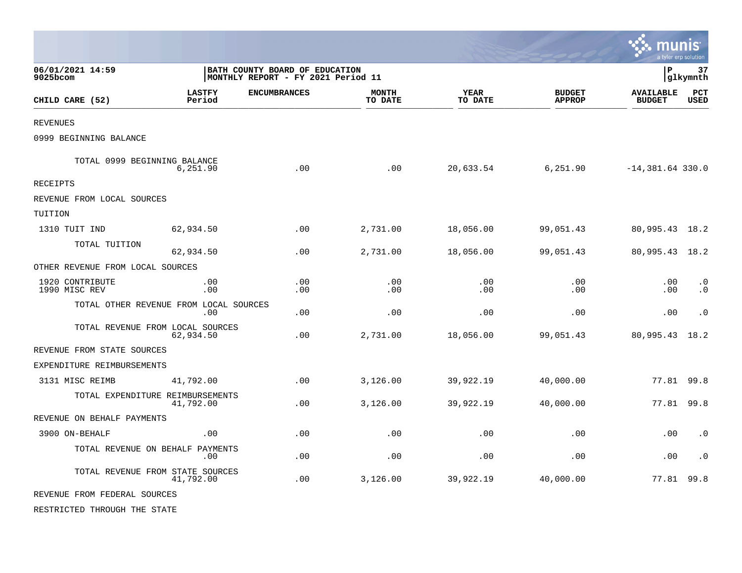|                                  |                                               |                                                                      |                         |                        |                                | munis                             | a tyler erp solution   |
|----------------------------------|-----------------------------------------------|----------------------------------------------------------------------|-------------------------|------------------------|--------------------------------|-----------------------------------|------------------------|
| 06/01/2021 14:59<br>$9025$ bcom  |                                               | BATH COUNTY BOARD OF EDUCATION<br>MONTHLY REPORT - FY 2021 Period 11 |                         |                        |                                | l P                               | 37<br> glkymnth        |
| CHILD CARE (52)                  | <b>LASTFY</b><br>Period                       | <b>ENCUMBRANCES</b>                                                  | <b>MONTH</b><br>TO DATE | <b>YEAR</b><br>TO DATE | <b>BUDGET</b><br><b>APPROP</b> | <b>AVAILABLE</b><br><b>BUDGET</b> | PCT<br><b>USED</b>     |
| <b>REVENUES</b>                  |                                               |                                                                      |                         |                        |                                |                                   |                        |
| 0999 BEGINNING BALANCE           |                                               |                                                                      |                         |                        |                                |                                   |                        |
|                                  | TOTAL 0999 BEGINNING BALANCE<br>6,251.90      | .00                                                                  | .00                     | 20,633.54              | 6,251.90                       | $-14,381.64$ 330.0                |                        |
| <b>RECEIPTS</b>                  |                                               |                                                                      |                         |                        |                                |                                   |                        |
| REVENUE FROM LOCAL SOURCES       |                                               |                                                                      |                         |                        |                                |                                   |                        |
| TUITION                          |                                               |                                                                      |                         |                        |                                |                                   |                        |
| 1310 TUIT IND                    | 62,934.50                                     | .00                                                                  | 2,731.00                | 18,056.00              | 99,051.43                      | 80,995.43 18.2                    |                        |
| TOTAL TUITION                    | 62,934.50                                     | .00                                                                  | 2,731.00                | 18,056.00              | 99,051.43                      | 80,995.43 18.2                    |                        |
| OTHER REVENUE FROM LOCAL SOURCES |                                               |                                                                      |                         |                        |                                |                                   |                        |
| 1920 CONTRIBUTE<br>1990 MISC REV | .00<br>.00                                    | .00<br>.00                                                           | .00<br>.00              | .00<br>.00             | .00<br>.00                     | .00<br>.00                        | $\cdot$ 0<br>$\cdot$ 0 |
|                                  | TOTAL OTHER REVENUE FROM LOCAL SOURCES<br>.00 | .00                                                                  | .00                     | .00                    | .00                            | .00                               | $\cdot$ 0              |
|                                  | TOTAL REVENUE FROM LOCAL SOURCES<br>62,934.50 | .00                                                                  | 2,731.00                | 18,056.00              | 99,051.43                      | 80,995.43                         | 18.2                   |
| REVENUE FROM STATE SOURCES       |                                               |                                                                      |                         |                        |                                |                                   |                        |
| EXPENDITURE REIMBURSEMENTS       |                                               |                                                                      |                         |                        |                                |                                   |                        |
| 3131 MISC REIMB                  | 41,792.00                                     | .00                                                                  | 3,126.00                | 39,922.19              | 40,000.00                      | 77.81                             | 99.8                   |
|                                  | TOTAL EXPENDITURE REIMBURSEMENTS<br>41,792.00 | .00                                                                  | 3,126.00                | 39,922.19              | 40,000.00                      | 77.81 99.8                        |                        |
| REVENUE ON BEHALF PAYMENTS       |                                               |                                                                      |                         |                        |                                |                                   |                        |
| 3900 ON-BEHALF                   | .00                                           | .00                                                                  | .00                     | .00                    | .00                            | .00                               | $\cdot$ 0              |
|                                  | TOTAL REVENUE ON BEHALF PAYMENTS<br>.00       | .00                                                                  | .00                     | .00                    | .00                            | .00                               | $\cdot$ 0              |
|                                  | TOTAL REVENUE FROM STATE SOURCES<br>41,792.00 | .00                                                                  | 3,126.00                | 39,922.19              | 40,000.00                      | 77.81 99.8                        |                        |
| REVENUE FROM FEDERAL SOURCES     |                                               |                                                                      |                         |                        |                                |                                   |                        |
| RESTRICTED THROUGH THE STATE     |                                               |                                                                      |                         |                        |                                |                                   |                        |

 $\mathcal{L}$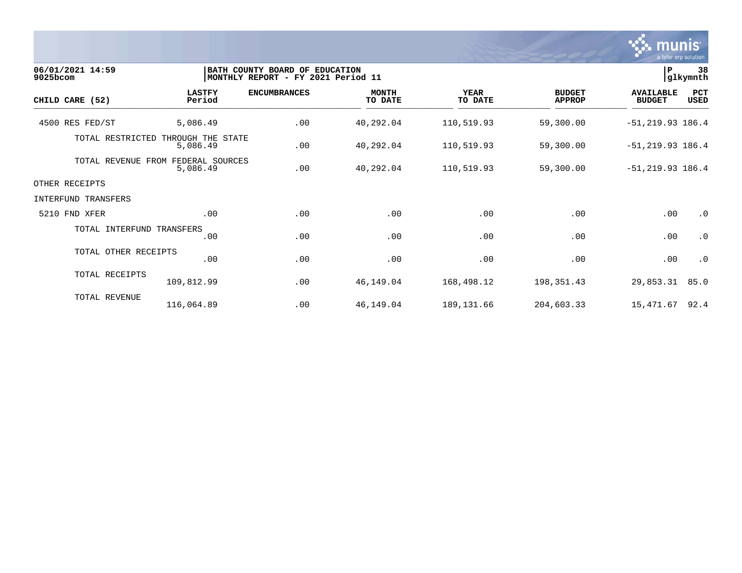

| $9025$ bcom | 06/01/2021 14:59          |                               | BATH COUNTY BOARD OF EDUCATION<br> MONTHLY REPORT - FY 2021 Period 11 |                         |                        |                                | $\, {\bf P}$                      | 38<br>glkymnth     |
|-------------|---------------------------|-------------------------------|-----------------------------------------------------------------------|-------------------------|------------------------|--------------------------------|-----------------------------------|--------------------|
|             | CHILD CARE (52)           | <b>LASTFY</b><br>Period       | <b>ENCUMBRANCES</b>                                                   | <b>MONTH</b><br>TO DATE | <b>YEAR</b><br>TO DATE | <b>BUDGET</b><br><b>APPROP</b> | <b>AVAILABLE</b><br><b>BUDGET</b> | PCT<br><b>USED</b> |
|             | 4500 RES FED/ST           | 5,086.49                      | .00                                                                   | 40,292.04               | 110,519.93             | 59,300.00                      | $-51, 219.93$ 186.4               |                    |
|             | TOTAL RESTRICTED          | THROUGH THE STATE<br>5,086.49 | .00                                                                   | 40,292.04               | 110,519.93             | 59,300.00                      | $-51, 219.93$ 186.4               |                    |
|             | TOTAL REVENUE FROM        | FEDERAL SOURCES<br>5,086.49   | .00                                                                   | 40,292.04               | 110,519.93             | 59,300.00                      | $-51, 219.93$ 186.4               |                    |
|             | OTHER RECEIPTS            |                               |                                                                       |                         |                        |                                |                                   |                    |
|             | INTERFUND TRANSFERS       |                               |                                                                       |                         |                        |                                |                                   |                    |
|             | 5210 FND XFER             | .00                           | .00                                                                   | .00                     | .00                    | .00                            | .00                               | $\cdot$ 0          |
|             | TOTAL INTERFUND TRANSFERS | .00                           | .00                                                                   | .00                     | .00                    | .00                            | .00                               | $\cdot$ 0          |
|             | TOTAL OTHER RECEIPTS      | .00                           | .00                                                                   | .00                     | .00                    | .00                            | .00                               | $\cdot$ 0          |
|             | TOTAL RECEIPTS            | 109,812.99                    | .00                                                                   | 46,149.04               | 168,498.12             | 198,351.43                     | 29,853.31                         | 85.0               |
|             | TOTAL REVENUE             | 116,064.89                    | .00                                                                   | 46,149.04               | 189, 131.66            | 204,603.33                     | 15,471.67                         | 92.4               |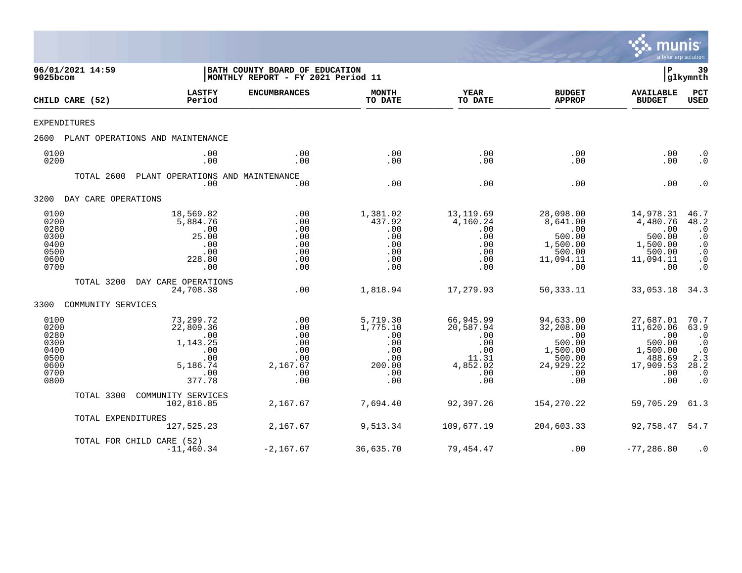

| 9025bcom                                                             | 06/01/2021 14:59    |                                                                                      | BATH COUNTY BOARD OF EDUCATION<br>MONTHLY REPORT - FY 2021 Period 11 |                                                                          |                                                                                |                                                                                          | ΙP                                                                                       | 39<br> glkymnth                                                                                           |
|----------------------------------------------------------------------|---------------------|--------------------------------------------------------------------------------------|----------------------------------------------------------------------|--------------------------------------------------------------------------|--------------------------------------------------------------------------------|------------------------------------------------------------------------------------------|------------------------------------------------------------------------------------------|-----------------------------------------------------------------------------------------------------------|
|                                                                      | CHILD CARE (52)     | <b>LASTFY</b><br>Period                                                              | <b>ENCUMBRANCES</b>                                                  | <b>MONTH</b><br>TO DATE                                                  | <b>YEAR</b><br>TO DATE                                                         | <b>BUDGET</b><br><b>APPROP</b>                                                           | <b>AVAILABLE</b><br><b>BUDGET</b>                                                        | <b>PCT</b><br>USED                                                                                        |
| <b>EXPENDITURES</b>                                                  |                     |                                                                                      |                                                                      |                                                                          |                                                                                |                                                                                          |                                                                                          |                                                                                                           |
| 2600                                                                 |                     | PLANT OPERATIONS AND MAINTENANCE                                                     |                                                                      |                                                                          |                                                                                |                                                                                          |                                                                                          |                                                                                                           |
| 0100<br>0200                                                         |                     | .00<br>.00                                                                           | .00<br>.00                                                           | .00<br>.00                                                               | .00<br>.00                                                                     | .00<br>.00                                                                               | .00<br>.00                                                                               | $\cdot$ 0<br>$\cdot$ 0                                                                                    |
|                                                                      | TOTAL 2600          | PLANT OPERATIONS AND MAINTENANCE<br>.00                                              | .00                                                                  | .00                                                                      | .00                                                                            | .00                                                                                      | .00                                                                                      | $\cdot$ 0                                                                                                 |
| 3200                                                                 | DAY CARE OPERATIONS |                                                                                      |                                                                      |                                                                          |                                                                                |                                                                                          |                                                                                          |                                                                                                           |
| 0100<br>0200<br>0280<br>0300<br>0400<br>0500<br>0600<br>0700         |                     | 18,569.82<br>5,884.76<br>.00<br>25.00<br>.00<br>.00<br>228.80<br>.00                 | .00<br>.00<br>.00<br>.00<br>.00<br>.00<br>.00<br>.00                 | 1,381.02<br>437.92<br>.00<br>.00<br>.00<br>.00<br>.00<br>.00             | 13,119.69<br>4,160.24<br>.00<br>.00<br>.00<br>.00<br>.00<br>.00                | 28,098.00<br>8,641.00<br>.00<br>500.00<br>1,500.00<br>500.00<br>11,094.11<br>.00         | 14,978.31<br>4,480.76<br>.00<br>500.00<br>1,500.00<br>500.00<br>11,094.11<br>.00         | 46.7<br>48.2<br>$\cdot$ 0<br>$\cdot$ 0<br>$\cdot$ 0<br>$\cdot$ 0<br>$\cdot$ 0<br>$\cdot$ 0                |
|                                                                      | TOTAL 3200          | DAY CARE OPERATIONS<br>24,708.38                                                     | .00                                                                  | 1,818.94                                                                 | 17,279.93                                                                      | 50, 333. 11                                                                              | 33,053.18                                                                                | 34.3                                                                                                      |
| 3300                                                                 | COMMUNITY SERVICES  |                                                                                      |                                                                      |                                                                          |                                                                                |                                                                                          |                                                                                          |                                                                                                           |
| 0100<br>0200<br>0280<br>0300<br>0400<br>0500<br>0600<br>0700<br>0800 |                     | 73,299.72<br>22,809.36<br>.00<br>1,143.25<br>.00<br>.00<br>5,186.74<br>.00<br>377.78 | .00<br>.00<br>.00<br>.00<br>.00<br>.00<br>2,167.67<br>.00<br>.00     | 5,719.30<br>1,775.10<br>.00<br>.00<br>.00<br>.00<br>200.00<br>.00<br>.00 | 66,945.99<br>20,587.94<br>.00<br>.00<br>.00<br>11.31<br>4,852.02<br>.00<br>.00 | 94,633.00<br>32,208.00<br>.00<br>500.00<br>1,500.00<br>500.00<br>24,929.22<br>.00<br>.00 | 27,687.01<br>11,620.06<br>.00<br>500.00<br>1,500.00<br>488.69<br>17,909.53<br>.00<br>.00 | 70.7<br>63.9<br>$\cdot$ 0<br>$\cdot$ 0<br>$\cdot$ 0<br>2.3<br>28.2<br>$\boldsymbol{\cdot}$ 0<br>$\cdot$ 0 |
|                                                                      | TOTAL 3300          | COMMUNITY SERVICES<br>102,816.85                                                     | 2,167.67                                                             | 7,694.40                                                                 | 92,397.26                                                                      | 154,270.22                                                                               | 59,705.29                                                                                | 61.3                                                                                                      |
|                                                                      | TOTAL EXPENDITURES  | 127,525.23                                                                           | 2,167.67                                                             | 9,513.34                                                                 | 109,677.19                                                                     | 204,603.33                                                                               | 92,758.47                                                                                | 54.7                                                                                                      |
|                                                                      |                     | TOTAL FOR CHILD CARE (52)<br>$-11,460.34$                                            | $-2,167.67$                                                          | 36,635.70                                                                | 79,454.47                                                                      | .00                                                                                      | $-77, 286.80$                                                                            | $\cdot$ 0                                                                                                 |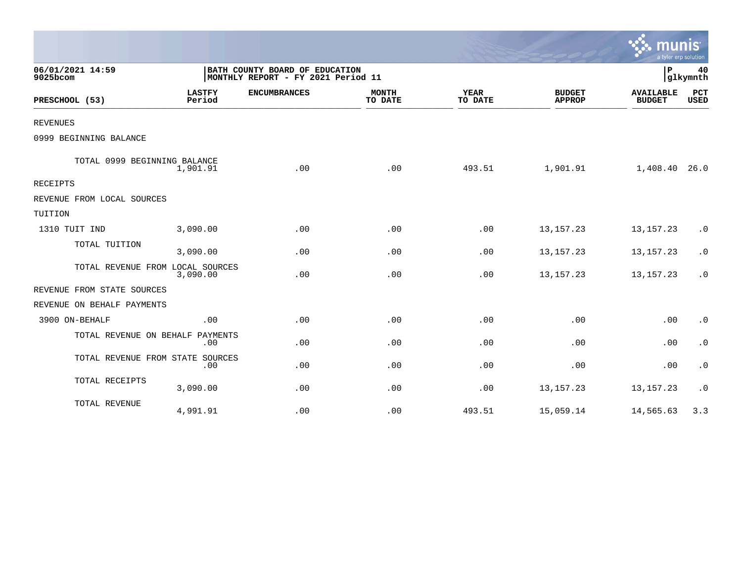|                                  |                         |                                                                      |                         |                        |                                | a tyler erp solution              |                    |
|----------------------------------|-------------------------|----------------------------------------------------------------------|-------------------------|------------------------|--------------------------------|-----------------------------------|--------------------|
| 06/01/2021 14:59<br>9025bcom     |                         | BATH COUNTY BOARD OF EDUCATION<br>MONTHLY REPORT - FY 2021 Period 11 |                         |                        |                                | P                                 | 40<br>glkymnth     |
| PRESCHOOL (53)                   | <b>LASTFY</b><br>Period | <b>ENCUMBRANCES</b>                                                  | <b>MONTH</b><br>TO DATE | <b>YEAR</b><br>TO DATE | <b>BUDGET</b><br><b>APPROP</b> | <b>AVAILABLE</b><br><b>BUDGET</b> | PCT<br><b>USED</b> |
| <b>REVENUES</b>                  |                         |                                                                      |                         |                        |                                |                                   |                    |
| 0999 BEGINNING BALANCE           |                         |                                                                      |                         |                        |                                |                                   |                    |
| TOTAL 0999 BEGINNING BALANCE     | 1,901.91                | .00                                                                  | .00                     | 493.51                 | 1,901.91                       | 1,408.40 26.0                     |                    |
| <b>RECEIPTS</b>                  |                         |                                                                      |                         |                        |                                |                                   |                    |
| REVENUE FROM LOCAL SOURCES       |                         |                                                                      |                         |                        |                                |                                   |                    |
| TUITION                          |                         |                                                                      |                         |                        |                                |                                   |                    |
| 1310 TUIT IND                    | 3,090.00                | .00                                                                  | .00                     | .00                    | 13, 157. 23                    | 13, 157. 23                       | $\cdot$ 0          |
| TOTAL TUITION                    | 3,090.00                | .00                                                                  | .00                     | .00                    | 13, 157. 23                    | 13, 157. 23                       | $\cdot$ 0          |
| TOTAL REVENUE FROM LOCAL SOURCES | 3,090.00                | .00                                                                  | .00                     | .00                    | 13, 157. 23                    | 13, 157. 23                       | $\cdot$ 0          |
| REVENUE FROM STATE SOURCES       |                         |                                                                      |                         |                        |                                |                                   |                    |
| REVENUE ON BEHALF PAYMENTS       |                         |                                                                      |                         |                        |                                |                                   |                    |
| 3900 ON-BEHALF                   | .00                     | .00                                                                  | .00                     | .00                    | .00                            | .00                               | $\cdot$ 0          |
| TOTAL REVENUE ON BEHALF PAYMENTS | .00                     | .00                                                                  | .00                     | .00                    | .00                            | .00                               | $\cdot$ 0          |
| TOTAL REVENUE FROM STATE SOURCES | .00                     | .00                                                                  | .00                     | .00                    | .00                            | .00                               | $\cdot$ 0          |
| TOTAL RECEIPTS                   | 3,090.00                | .00                                                                  | .00                     | .00                    | 13, 157. 23                    | 13, 157. 23                       | $\cdot$ 0          |
| TOTAL REVENUE                    | 4,991.91                | .00                                                                  | .00                     | 493.51                 | 15,059.14                      | 14,565.63                         | 3.3                |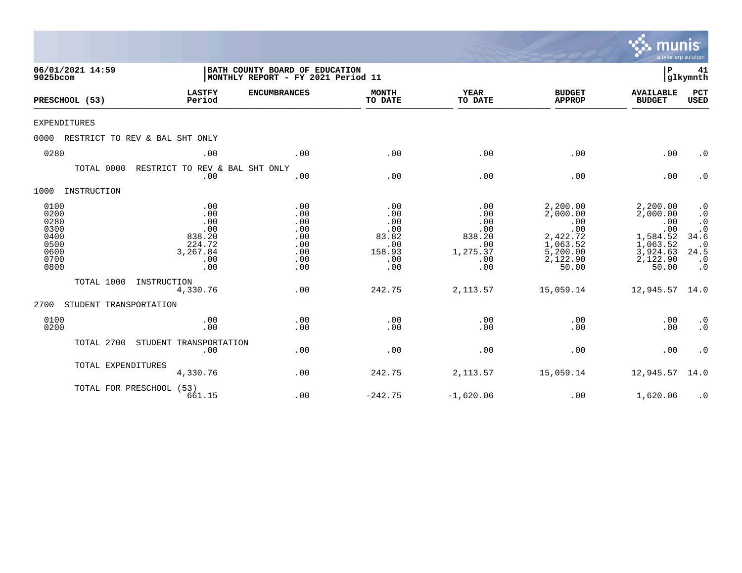|                                                                      |                                |                                                                        |                                                                      |                                                                  |                                                                     |                                                                                             | munis<br>a tyler erp solution                                                               |                                                                                                                      |
|----------------------------------------------------------------------|--------------------------------|------------------------------------------------------------------------|----------------------------------------------------------------------|------------------------------------------------------------------|---------------------------------------------------------------------|---------------------------------------------------------------------------------------------|---------------------------------------------------------------------------------------------|----------------------------------------------------------------------------------------------------------------------|
| 9025bcom                                                             | 06/01/2021 14:59               |                                                                        | BATH COUNTY BOARD OF EDUCATION<br>MONTHLY REPORT - FY 2021 Period 11 |                                                                  |                                                                     |                                                                                             | ΙP                                                                                          | 41<br> glkymnth                                                                                                      |
|                                                                      | PRESCHOOL (53)                 | <b>LASTFY</b><br>Period                                                | <b>ENCUMBRANCES</b>                                                  | <b>MONTH</b><br>TO DATE                                          | <b>YEAR</b><br>TO DATE                                              | <b>BUDGET</b><br><b>APPROP</b>                                                              | <b>AVAILABLE</b><br><b>BUDGET</b>                                                           | PCT<br><b>USED</b>                                                                                                   |
| <b>EXPENDITURES</b>                                                  |                                |                                                                        |                                                                      |                                                                  |                                                                     |                                                                                             |                                                                                             |                                                                                                                      |
| 0000                                                                 | RESTRICT TO REV & BAL SHT ONLY |                                                                        |                                                                      |                                                                  |                                                                     |                                                                                             |                                                                                             |                                                                                                                      |
| 0280                                                                 |                                | .00                                                                    | .00                                                                  | .00                                                              | .00                                                                 | .00                                                                                         | .00                                                                                         | $\cdot$ 0                                                                                                            |
|                                                                      | TOTAL 0000                     | RESTRICT TO REV & BAL SHT ONLY<br>.00                                  | .00                                                                  | .00                                                              | .00                                                                 | .00                                                                                         | .00                                                                                         | $\cdot$ 0                                                                                                            |
| 1000                                                                 | INSTRUCTION                    |                                                                        |                                                                      |                                                                  |                                                                     |                                                                                             |                                                                                             |                                                                                                                      |
| 0100<br>0200<br>0280<br>0300<br>0400<br>0500<br>0600<br>0700<br>0800 |                                | .00<br>.00<br>.00<br>.00<br>838.20<br>224.72<br>3,267.84<br>.00<br>.00 | .00<br>.00<br>.00<br>.00<br>.00<br>.00<br>.00<br>.00<br>.00          | .00<br>.00<br>.00<br>.00<br>83.82<br>.00<br>158.93<br>.00<br>.00 | .00<br>.00<br>.00<br>.00<br>838.20<br>.00<br>1,275.37<br>.00<br>.00 | 2,200.00<br>2,000.00<br>.00<br>.00<br>2,422.72<br>1,063.52<br>5,200.00<br>2,122.90<br>50.00 | 2,200.00<br>2,000.00<br>.00<br>.00<br>1,584.52<br>1,063.52<br>3,924.63<br>2,122.90<br>50.00 | $\cdot$ 0<br>$\cdot$ 0<br>$\cdot$ 0<br>$\boldsymbol{\cdot}$ 0<br>34.6<br>$\cdot$ 0<br>24.5<br>$\cdot$ 0<br>$\cdot$ 0 |
|                                                                      | TOTAL 1000                     | INSTRUCTION<br>4,330.76                                                | .00                                                                  | 242.75                                                           | 2,113.57                                                            | 15,059.14                                                                                   | 12,945.57                                                                                   | 14.0                                                                                                                 |
| 2700                                                                 | STUDENT TRANSPORTATION         |                                                                        |                                                                      |                                                                  |                                                                     |                                                                                             |                                                                                             |                                                                                                                      |
| 0100<br>0200                                                         |                                | .00<br>.00                                                             | .00<br>.00                                                           | .00<br>.00                                                       | .00<br>.00                                                          | .00<br>.00                                                                                  | .00<br>.00                                                                                  | $\cdot$ 0<br>$\cdot$ 0                                                                                               |
|                                                                      | TOTAL 2700                     | STUDENT TRANSPORTATION<br>.00                                          | .00                                                                  | .00                                                              | .00                                                                 | .00                                                                                         | .00                                                                                         | $\cdot$ 0                                                                                                            |
|                                                                      | TOTAL EXPENDITURES             | 4,330.76                                                               | .00                                                                  | 242.75                                                           | 2,113.57                                                            | 15,059.14                                                                                   | 12,945.57                                                                                   | 14.0                                                                                                                 |
|                                                                      | TOTAL FOR PRESCHOOL (53)       | 661.15                                                                 | .00                                                                  | $-242.75$                                                        | $-1,620.06$                                                         | .00                                                                                         | 1,620.06                                                                                    | $\cdot$ 0                                                                                                            |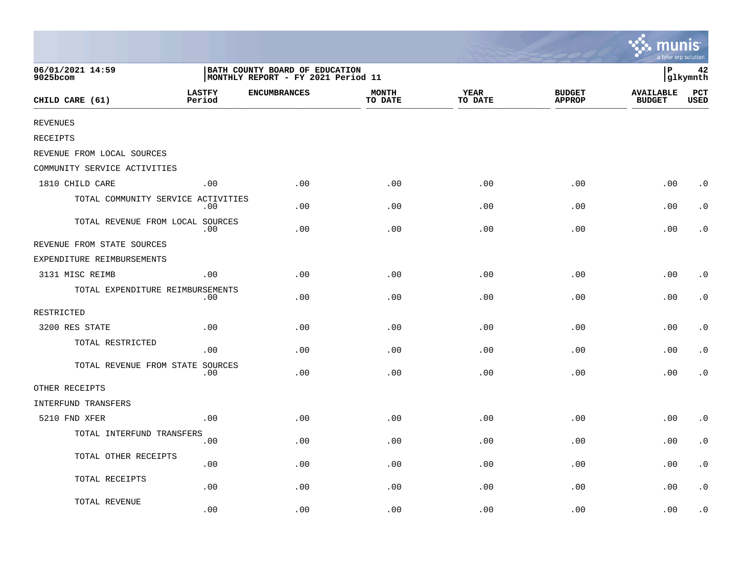|                                    |                         |                                                                      |                         |                        |                                | mun<br>a tyler erp solution       |                        |
|------------------------------------|-------------------------|----------------------------------------------------------------------|-------------------------|------------------------|--------------------------------|-----------------------------------|------------------------|
| 06/01/2021 14:59<br>9025bcom       |                         | BATH COUNTY BOARD OF EDUCATION<br>MONTHLY REPORT - FY 2021 Period 11 |                         |                        |                                | ∣P                                | 42<br>glkymnth         |
| CHILD CARE (61)                    | <b>LASTFY</b><br>Period | <b>ENCUMBRANCES</b>                                                  | <b>MONTH</b><br>TO DATE | <b>YEAR</b><br>TO DATE | <b>BUDGET</b><br><b>APPROP</b> | <b>AVAILABLE</b><br><b>BUDGET</b> | $_{\rm PCT}$<br>USED   |
| <b>REVENUES</b>                    |                         |                                                                      |                         |                        |                                |                                   |                        |
| <b>RECEIPTS</b>                    |                         |                                                                      |                         |                        |                                |                                   |                        |
| REVENUE FROM LOCAL SOURCES         |                         |                                                                      |                         |                        |                                |                                   |                        |
| COMMUNITY SERVICE ACTIVITIES       |                         |                                                                      |                         |                        |                                |                                   |                        |
| 1810 CHILD CARE                    | .00                     | .00                                                                  | .00                     | .00                    | .00                            | .00                               | $\cdot$ 0              |
| TOTAL COMMUNITY SERVICE ACTIVITIES | .00                     | .00                                                                  | .00                     | .00                    | .00                            | .00                               | $\cdot$ 0              |
| TOTAL REVENUE FROM LOCAL SOURCES   | .00                     | .00                                                                  | .00                     | .00                    | .00                            | .00                               | $\cdot$ 0              |
| REVENUE FROM STATE SOURCES         |                         |                                                                      |                         |                        |                                |                                   |                        |
| EXPENDITURE REIMBURSEMENTS         |                         |                                                                      |                         |                        |                                |                                   |                        |
| 3131 MISC REIMB                    | .00                     | .00                                                                  | .00                     | .00                    | .00                            | .00                               | $\cdot$ 0              |
| TOTAL EXPENDITURE REIMBURSEMENTS   | .00                     | .00                                                                  | .00                     | .00                    | .00                            | .00                               | $\cdot$ 0              |
| RESTRICTED                         |                         |                                                                      |                         |                        |                                |                                   |                        |
| 3200 RES STATE                     | .00                     | .00                                                                  | .00                     | .00                    | .00                            | .00                               | $\cdot$ 0              |
| TOTAL RESTRICTED                   | .00                     | .00                                                                  | .00                     | .00                    | .00                            | .00                               | $\cdot$ 0              |
| TOTAL REVENUE FROM STATE SOURCES   | .00                     | .00                                                                  | .00                     | .00                    | .00                            | .00                               | $\cdot$ 0              |
| OTHER RECEIPTS                     |                         |                                                                      |                         |                        |                                |                                   |                        |
| INTERFUND TRANSFERS                |                         |                                                                      |                         |                        |                                |                                   |                        |
| 5210 FND XFER                      | .00                     | .00                                                                  | .00                     | .00                    | .00                            | .00                               | $\cdot$ 0              |
| TOTAL INTERFUND TRANSFERS          | .00                     | .00                                                                  | .00                     | .00                    | .00                            | .00                               | $\cdot$ 0              |
| TOTAL OTHER RECEIPTS               | .00                     | .00                                                                  | .00                     | .00                    | .00                            | .00                               | $\cdot$ 0              |
| TOTAL RECEIPTS                     | .00                     | .00                                                                  | .00                     | .00                    | .00                            | .00                               | $\boldsymbol{\cdot}$ 0 |
| TOTAL REVENUE                      | .00                     | .00                                                                  | .00                     | .00                    | .00                            | .00                               | . 0                    |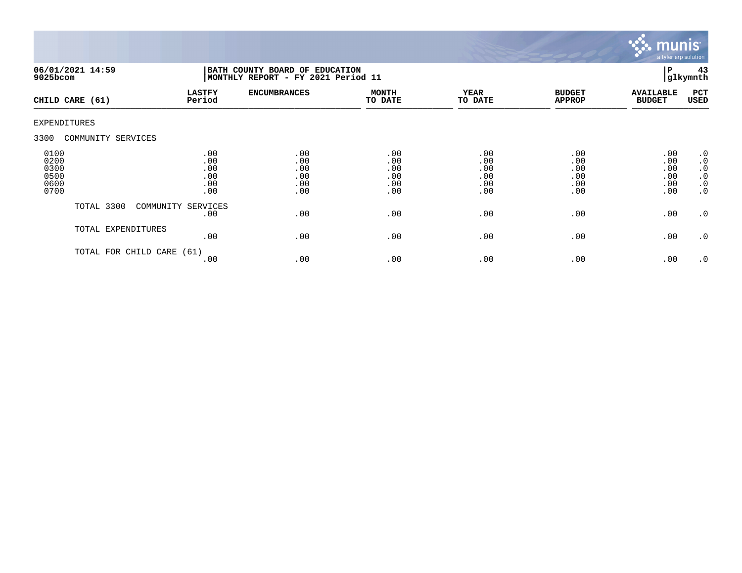

| $9025$ bcom                                  | 06/01/2021 14:59     | BATH COUNTY BOARD OF EDUCATION<br>MONTHLY REPORT - FY 2021 Period 11 |                                        |                                        |                                        |                                        | 43<br>l P<br>glkymnth                  |                                                                                  |
|----------------------------------------------|----------------------|----------------------------------------------------------------------|----------------------------------------|----------------------------------------|----------------------------------------|----------------------------------------|----------------------------------------|----------------------------------------------------------------------------------|
|                                              | CHILD CARE (61)      | <b>LASTFY</b><br>Period                                              | <b>ENCUMBRANCES</b>                    | <b>MONTH</b><br>TO DATE                | <b>YEAR</b><br>TO DATE                 | <b>BUDGET</b><br><b>APPROP</b>         | <b>AVAILABLE</b><br><b>BUDGET</b>      | PCT<br>USED                                                                      |
| EXPENDITURES                                 |                      |                                                                      |                                        |                                        |                                        |                                        |                                        |                                                                                  |
| 3300                                         | COMMUNITY SERVICES   |                                                                      |                                        |                                        |                                        |                                        |                                        |                                                                                  |
| 0100<br>0200<br>0300<br>0500<br>0600<br>0700 |                      | .00<br>.00<br>.00<br>.00<br>.00<br>.00                               | .00<br>.00<br>.00<br>.00<br>.00<br>.00 | .00<br>.00<br>.00<br>.00<br>.00<br>.00 | .00<br>.00<br>.00<br>.00<br>.00<br>.00 | .00<br>.00<br>.00<br>.00<br>.00<br>.00 | .00<br>.00<br>.00<br>.00<br>.00<br>.00 | .0<br>$\boldsymbol{\cdot}$ 0<br>$\cdot$ 0<br>$\cdot$ 0<br>$\cdot$ 0<br>$\cdot$ 0 |
|                                              | TOTAL 3300           | COMMUNITY SERVICES<br>.00                                            | .00                                    | .00                                    | .00                                    | .00                                    | .00                                    | $\cdot$ 0                                                                        |
|                                              | TOTAL EXPENDITURES   | .00                                                                  | .00                                    | .00                                    | .00                                    | .00                                    | .00                                    | $\cdot$ 0                                                                        |
|                                              | TOTAL FOR CHILD CARE | (61)<br>.00                                                          | .00                                    | .00                                    | .00                                    | .00                                    | .00                                    | $\cdot$ 0                                                                        |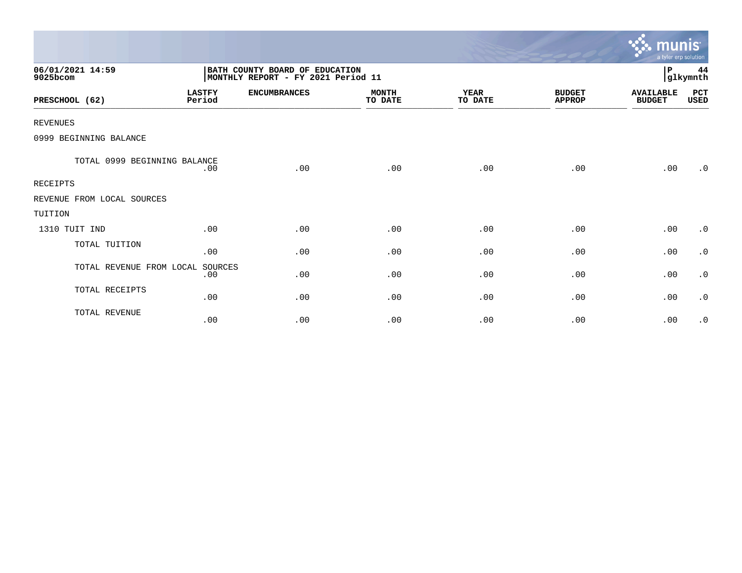|                              |                         |                                                                      |                         |                        |                                | <u>munis </u><br>a tyler erp solution |                |
|------------------------------|-------------------------|----------------------------------------------------------------------|-------------------------|------------------------|--------------------------------|---------------------------------------|----------------|
| 06/01/2021 14:59<br>9025bcom |                         | BATH COUNTY BOARD OF EDUCATION<br>MONTHLY REPORT - FY 2021 Period 11 |                         |                        |                                | P                                     | 44<br>glkymnth |
| PRESCHOOL (62)               | <b>LASTFY</b><br>Period | <b>ENCUMBRANCES</b>                                                  | <b>MONTH</b><br>TO DATE | <b>YEAR</b><br>TO DATE | <b>BUDGET</b><br><b>APPROP</b> | <b>AVAILABLE</b><br><b>BUDGET</b>     | PCT<br>USED    |
| <b>REVENUES</b>              |                         |                                                                      |                         |                        |                                |                                       |                |
| 0999 BEGINNING BALANCE       |                         |                                                                      |                         |                        |                                |                                       |                |
| TOTAL 0999 BEGINNING BALANCE | .00                     | .00                                                                  | .00                     | .00                    | .00                            | .00                                   | .0             |
| <b>RECEIPTS</b>              |                         |                                                                      |                         |                        |                                |                                       |                |
| REVENUE FROM LOCAL SOURCES   |                         |                                                                      |                         |                        |                                |                                       |                |
| TUITION                      |                         |                                                                      |                         |                        |                                |                                       |                |
| 1310 TUIT IND                | .00                     | .00                                                                  | .00                     | .00                    | .00                            | .00                                   | $\cdot$ 0      |
| TOTAL TUITION                | .00                     | .00                                                                  | .00                     | .00                    | .00                            | .00                                   | $\cdot$ 0      |
| TOTAL REVENUE FROM LOCAL     | SOURCES<br>.00          | .00                                                                  | .00                     | .00                    | .00                            | .00                                   | $\cdot$ 0      |
| TOTAL RECEIPTS               | .00                     | .00                                                                  | .00                     | .00                    | .00                            | .00                                   | $\cdot$ 0      |
| TOTAL REVENUE                | .00                     | .00                                                                  | .00                     | .00                    | .00                            | .00                                   | $\cdot$ 0      |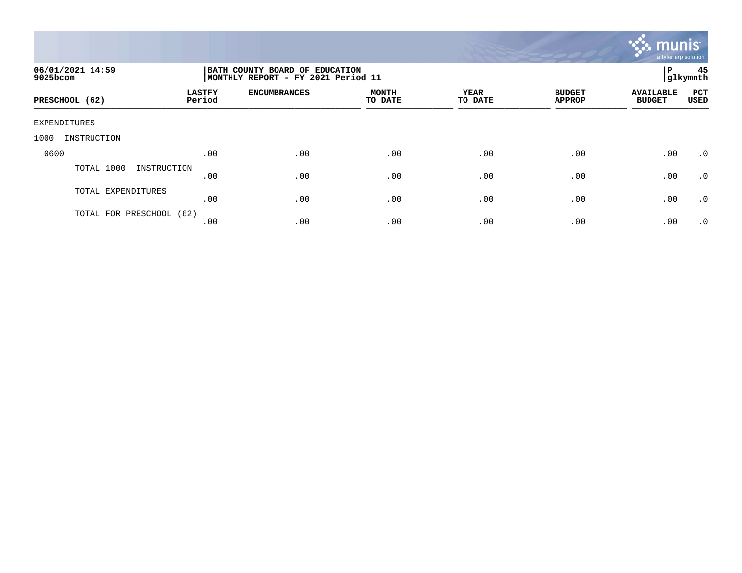

| 06/01/2021 14:59<br>9025bcom |                         | BATH COUNTY BOARD OF EDUCATION<br>MONTHLY REPORT - FY 2021 Period 11 |                         |                 |                                |                                   |             |  |
|------------------------------|-------------------------|----------------------------------------------------------------------|-------------------------|-----------------|--------------------------------|-----------------------------------|-------------|--|
| PRESCHOOL (62)               | <b>LASTFY</b><br>Period | <b>ENCUMBRANCES</b>                                                  | <b>MONTH</b><br>TO DATE | YEAR<br>TO DATE | <b>BUDGET</b><br><b>APPROP</b> | <b>AVAILABLE</b><br><b>BUDGET</b> | PCT<br>USED |  |
| EXPENDITURES                 |                         |                                                                      |                         |                 |                                |                                   |             |  |
| INSTRUCTION<br>1000          |                         |                                                                      |                         |                 |                                |                                   |             |  |
| 0600                         | .00                     | .00                                                                  | .00                     | .00             | .00                            | .00                               | $\cdot$ 0   |  |
| TOTAL 1000<br>INSTRUCTION    | .00                     | .00                                                                  | .00                     | .00             | .00                            | .00                               | .0          |  |
| TOTAL EXPENDITURES           | .00                     | .00                                                                  | .00                     | .00             | .00                            | .00                               | .0          |  |
| TOTAL FOR PRESCHOOL (62)     | .00                     | .00                                                                  | .00                     | .00             | .00                            | .00                               | $\cdot$ 0   |  |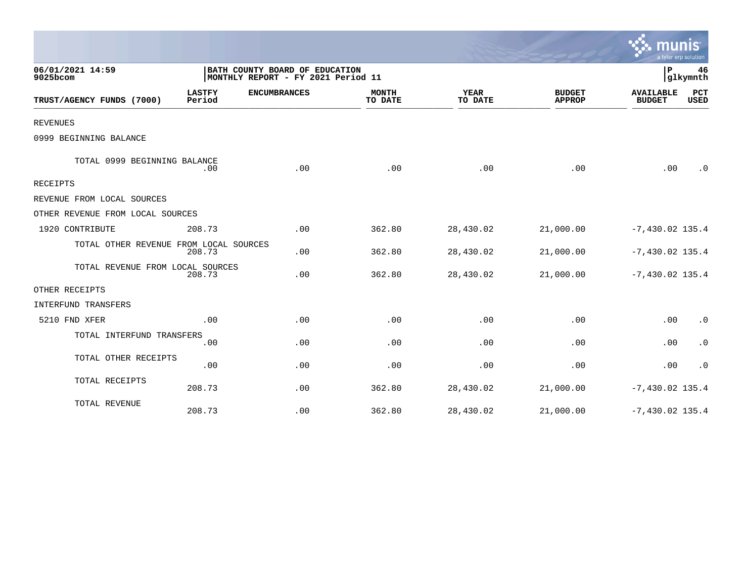|                                        |                         |                                                                      |                         |                        |                                |                                   | a tyler erp solution   |
|----------------------------------------|-------------------------|----------------------------------------------------------------------|-------------------------|------------------------|--------------------------------|-----------------------------------|------------------------|
| 06/01/2021 14:59<br>9025bcom           |                         | BATH COUNTY BOARD OF EDUCATION<br>MONTHLY REPORT - FY 2021 Period 11 |                         |                        |                                | $\mathbf P$                       | 46<br>glkymnth         |
| TRUST/AGENCY FUNDS (7000)              | <b>LASTFY</b><br>Period | <b>ENCUMBRANCES</b>                                                  | <b>MONTH</b><br>TO DATE | <b>YEAR</b><br>TO DATE | <b>BUDGET</b><br><b>APPROP</b> | <b>AVAILABLE</b><br><b>BUDGET</b> | PCT<br><b>USED</b>     |
| <b>REVENUES</b>                        |                         |                                                                      |                         |                        |                                |                                   |                        |
| 0999 BEGINNING BALANCE                 |                         |                                                                      |                         |                        |                                |                                   |                        |
| TOTAL 0999 BEGINNING BALANCE           | .00                     | .00                                                                  | .00                     | .00                    | .00                            | .00                               | $\cdot$ 0              |
| <b>RECEIPTS</b>                        |                         |                                                                      |                         |                        |                                |                                   |                        |
| REVENUE FROM LOCAL SOURCES             |                         |                                                                      |                         |                        |                                |                                   |                        |
| OTHER REVENUE FROM LOCAL SOURCES       |                         |                                                                      |                         |                        |                                |                                   |                        |
| 1920 CONTRIBUTE                        | 208.73                  | .00                                                                  | 362.80                  | 28,430.02              | 21,000.00                      | $-7,430.02$ 135.4                 |                        |
| TOTAL OTHER REVENUE FROM LOCAL SOURCES | 208.73                  | .00                                                                  | 362.80                  | 28,430.02              | 21,000.00                      | $-7,430.02$ 135.4                 |                        |
| TOTAL REVENUE FROM LOCAL SOURCES       | 208.73                  | .00                                                                  | 362.80                  | 28,430.02              | 21,000.00                      | $-7,430.02$ 135.4                 |                        |
| OTHER RECEIPTS                         |                         |                                                                      |                         |                        |                                |                                   |                        |
| INTERFUND TRANSFERS                    |                         |                                                                      |                         |                        |                                |                                   |                        |
| 5210 FND XFER                          | .00                     | .00                                                                  | .00                     | .00                    | .00                            | .00                               | $\cdot$ 0              |
| TOTAL INTERFUND TRANSFERS              | .00                     | .00                                                                  | .00                     | .00                    | .00                            | .00                               | $\boldsymbol{\cdot}$ 0 |
| TOTAL OTHER RECEIPTS                   | .00                     | .00                                                                  | .00                     | .00                    | .00                            | .00                               | $\cdot$ 0              |
| TOTAL RECEIPTS                         | 208.73                  | .00                                                                  | 362.80                  | 28,430.02              | 21,000.00                      | $-7,430.02$ 135.4                 |                        |
| TOTAL REVENUE                          | 208.73                  | .00                                                                  | 362.80                  | 28,430.02              | 21,000.00                      | $-7,430.02$ 135.4                 |                        |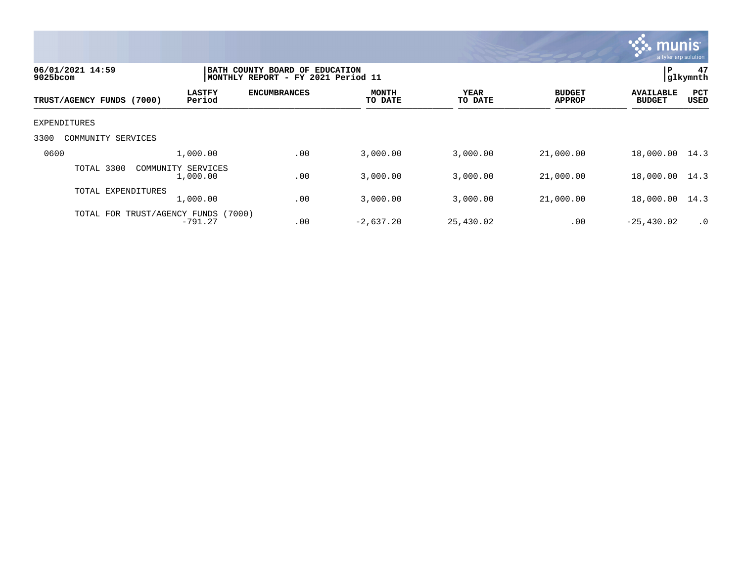

| 06/01/2021 14:59<br>$9025$ bcom | BATH COUNTY BOARD OF EDUCATION<br> MONTHLY REPORT - FY 2021 Period 11 | P<br>47<br>glkymnth |                         |                 |                                |                                   |                    |
|---------------------------------|-----------------------------------------------------------------------|---------------------|-------------------------|-----------------|--------------------------------|-----------------------------------|--------------------|
| TRUST/AGENCY FUNDS (7000)       | <b>LASTFY</b><br>Period                                               | <b>ENCUMBRANCES</b> | <b>MONTH</b><br>TO DATE | YEAR<br>TO DATE | <b>BUDGET</b><br><b>APPROP</b> | <b>AVAILABLE</b><br><b>BUDGET</b> | <b>PCT</b><br>USED |
| EXPENDITURES                    |                                                                       |                     |                         |                 |                                |                                   |                    |
| 3300<br>SERVICES<br>COMMUNITY   |                                                                       |                     |                         |                 |                                |                                   |                    |
| 0600                            | 1,000.00                                                              | .00                 | 3,000.00                | 3,000.00        | 21,000.00                      | 18,000.00                         | 14.3               |
| TOTAL 3300                      | COMMUNITY SERVICES<br>1,000.00                                        | .00                 | 3,000.00                | 3,000.00        | 21,000.00                      | 18,000.00                         | 14.3               |
| TOTAL EXPENDITURES              | 1,000.00                                                              | .00                 | 3,000.00                | 3,000.00        | 21,000.00                      | 18,000.00                         | 14.3               |
| TOTAL FOR TRUST/AGENCY FUNDS    | (7000)<br>$-791.27$                                                   | .00                 | $-2,637.20$             | 25,430.02       | .00                            | $-25,430.02$                      | $\cdot$ 0          |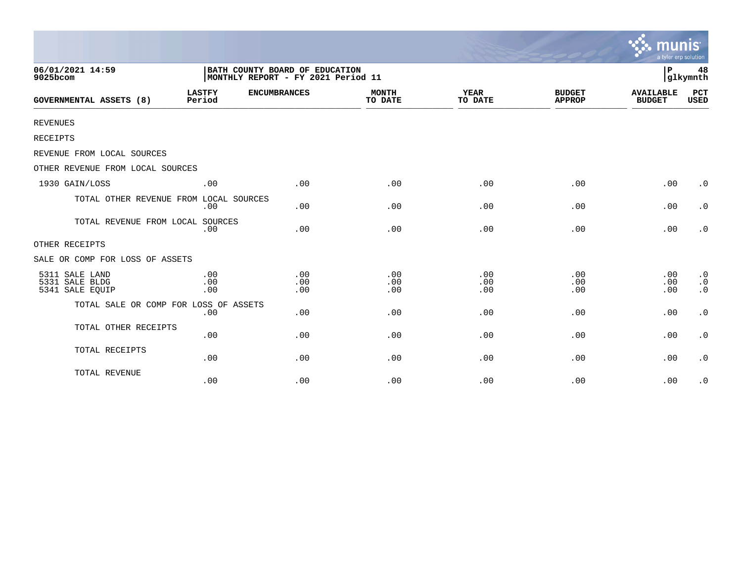|                                                     |                                                                      |                     |                         |                        |                                | munis<br>a tyler erp solution     |                                                  |
|-----------------------------------------------------|----------------------------------------------------------------------|---------------------|-------------------------|------------------------|--------------------------------|-----------------------------------|--------------------------------------------------|
| 06/01/2021 14:59<br>9025bcom                        | BATH COUNTY BOARD OF EDUCATION<br>MONTHLY REPORT - FY 2021 Period 11 |                     |                         |                        |                                | l P                               | 48<br>glkymnth                                   |
| <b>GOVERNMENTAL ASSETS (8)</b>                      | <b>LASTFY</b><br>Period                                              | <b>ENCUMBRANCES</b> | <b>MONTH</b><br>TO DATE | <b>YEAR</b><br>TO DATE | <b>BUDGET</b><br><b>APPROP</b> | <b>AVAILABLE</b><br><b>BUDGET</b> | <b>PCT</b><br><b>USED</b>                        |
| <b>REVENUES</b>                                     |                                                                      |                     |                         |                        |                                |                                   |                                                  |
| RECEIPTS                                            |                                                                      |                     |                         |                        |                                |                                   |                                                  |
| REVENUE FROM LOCAL SOURCES                          |                                                                      |                     |                         |                        |                                |                                   |                                                  |
| OTHER REVENUE FROM LOCAL SOURCES                    |                                                                      |                     |                         |                        |                                |                                   |                                                  |
| 1930 GAIN/LOSS                                      | .00                                                                  | .00                 | .00                     | .00                    | .00                            | .00                               | $\cdot$ 0                                        |
| TOTAL OTHER REVENUE FROM LOCAL SOURCES              | .00                                                                  | .00                 | .00                     | .00                    | .00                            | .00                               | $\cdot$ 0                                        |
| TOTAL REVENUE FROM LOCAL SOURCES                    | .00                                                                  | .00                 | .00                     | .00                    | .00                            | .00                               | $\cdot$ 0                                        |
| OTHER RECEIPTS                                      |                                                                      |                     |                         |                        |                                |                                   |                                                  |
| SALE OR COMP FOR LOSS OF ASSETS                     |                                                                      |                     |                         |                        |                                |                                   |                                                  |
| 5311 SALE LAND<br>5331 SALE BLDG<br>5341 SALE EQUIP | .00<br>.00<br>.00                                                    | .00<br>.00<br>.00   | .00<br>.00<br>.00       | .00<br>.00<br>.00      | .00<br>.00<br>.00              | .00<br>.00<br>.00                 | $\cdot$ 0<br>$\boldsymbol{\cdot}$ 0<br>$\cdot$ 0 |
| TOTAL SALE OR COMP FOR LOSS OF ASSETS               | .00                                                                  | .00                 | .00                     | .00                    | .00                            | .00                               | $\cdot$ 0                                        |
| TOTAL OTHER RECEIPTS                                | .00                                                                  | .00                 | .00                     | .00                    | .00                            | .00                               | $\cdot$ 0                                        |
| TOTAL RECEIPTS                                      | .00                                                                  | .00                 | .00                     | .00                    | .00                            | .00                               | $\cdot$ 0                                        |
| TOTAL REVENUE                                       | .00                                                                  | .00                 | .00                     | .00                    | .00                            | .00                               | $\cdot$ 0                                        |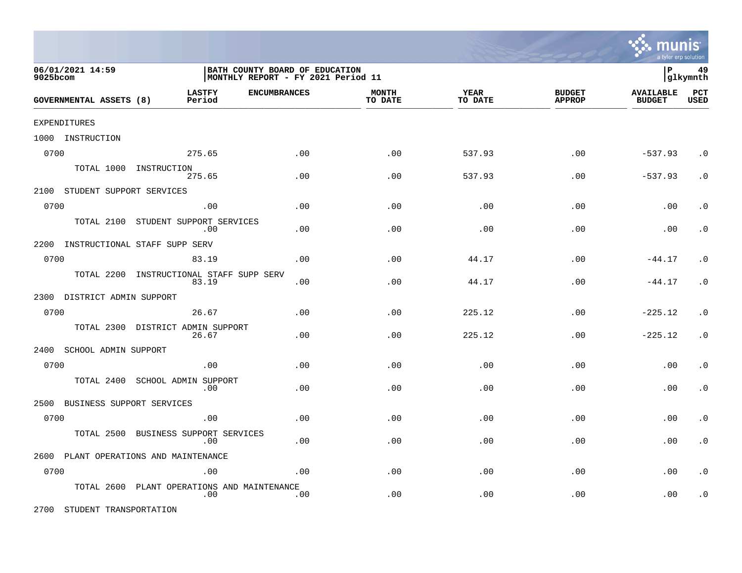

| 06/01/2021 14:59<br>9025bcom |                               |                                                   | BATH COUNTY BOARD OF EDUCATION<br>MONTHLY REPORT - FY 2021 Period 11 |                         |                 |                                |                                   |                    |
|------------------------------|-------------------------------|---------------------------------------------------|----------------------------------------------------------------------|-------------------------|-----------------|--------------------------------|-----------------------------------|--------------------|
| GOVERNMENTAL ASSETS (8)      |                               | <b>LASTFY</b><br>Period                           | <b>ENCUMBRANCES</b>                                                  | <b>MONTH</b><br>TO DATE | YEAR<br>TO DATE | <b>BUDGET</b><br><b>APPROP</b> | <b>AVAILABLE</b><br><b>BUDGET</b> | PCT<br><b>USED</b> |
| <b>EXPENDITURES</b>          |                               |                                                   |                                                                      |                         |                 |                                |                                   |                    |
| 1000 INSTRUCTION             |                               |                                                   |                                                                      |                         |                 |                                |                                   |                    |
| 0700                         |                               | 275.65                                            | .00                                                                  | .00                     | 537.93          | .00                            | $-537.93$                         | $\cdot$ 0          |
|                              | TOTAL 1000 INSTRUCTION        | 275.65                                            | .00                                                                  | .00                     | 537.93          | .00                            | $-537.93$                         | $\cdot$ 0          |
|                              | 2100 STUDENT SUPPORT SERVICES |                                                   |                                                                      |                         |                 |                                |                                   |                    |
| 0700                         |                               | .00                                               | .00                                                                  | .00                     | .00             | .00                            | .00                               | $\cdot$ 0          |
|                              |                               | TOTAL 2100 STUDENT SUPPORT SERVICES<br>.00        | .00                                                                  | .00                     | .00             | .00                            | .00                               | $\cdot$ 0          |
| 2200                         | INSTRUCTIONAL STAFF SUPP SERV |                                                   |                                                                      |                         |                 |                                |                                   |                    |
| 0700                         |                               | 83.19                                             | .00                                                                  | .00                     | 44.17           | .00                            | $-44.17$                          | $\cdot$ 0          |
|                              |                               | TOTAL 2200 INSTRUCTIONAL STAFF SUPP SERV<br>83.19 | .00                                                                  | .00                     | 44.17           | .00                            | $-44.17$                          | $\cdot$ 0          |
|                              | 2300 DISTRICT ADMIN SUPPORT   |                                                   |                                                                      |                         |                 |                                |                                   |                    |
| 0700                         |                               | 26.67                                             | .00                                                                  | .00                     | 225.12          | .00                            | $-225.12$                         | $\cdot$ 0          |
|                              |                               | TOTAL 2300 DISTRICT ADMIN SUPPORT<br>26.67        | .00                                                                  | .00                     | 225.12          | .00                            | $-225.12$                         | $\cdot$ 0          |
|                              | 2400 SCHOOL ADMIN SUPPORT     |                                                   |                                                                      |                         |                 |                                |                                   |                    |
| 0700                         |                               | .00                                               | .00                                                                  | .00                     | .00             | .00                            | .00                               | $\cdot$ 0          |
|                              | TOTAL 2400                    | SCHOOL ADMIN SUPPORT<br>.00                       | .00                                                                  | .00                     | .00             | .00                            | .00                               | $\cdot$ 0          |
| 2500                         | BUSINESS SUPPORT SERVICES     |                                                   |                                                                      |                         |                 |                                |                                   |                    |
| 0700                         |                               | .00                                               | .00                                                                  | .00                     | .00             | .00                            | .00                               | $\cdot$ 0          |
|                              | TOTAL 2500                    | BUSINESS SUPPORT SERVICES<br>.00                  | .00                                                                  | .00                     | .00             | .00                            | .00                               | $\cdot$ 0          |
| 2600                         |                               | PLANT OPERATIONS AND MAINTENANCE                  |                                                                      |                         |                 |                                |                                   |                    |
| 0700                         |                               | .00                                               | .00                                                                  | .00                     | .00             | .00                            | .00                               | $\cdot$ 0          |
|                              | TOTAL 2600                    | PLANT OPERATIONS AND MAINTENANCE<br>.00           | .00                                                                  | .00                     | .00             | .00                            | .00                               | $\cdot$ 0          |

2700 STUDENT TRANSPORTATION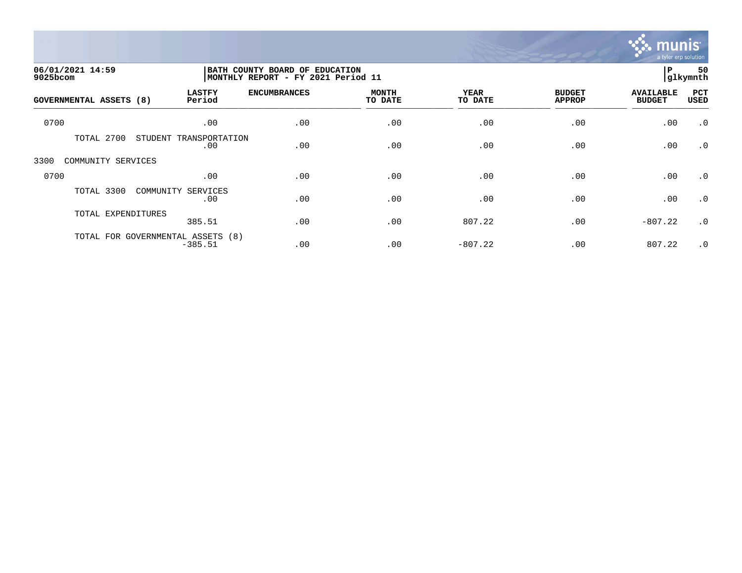

| 06/01/2021 14:59<br>9025bcom |                                                | BATH COUNTY BOARD OF EDUCATION<br>MONTHLY REPORT - FY 2021 Period 11 |                         |                        |                                |                                   | 50<br>glkymnth |
|------------------------------|------------------------------------------------|----------------------------------------------------------------------|-------------------------|------------------------|--------------------------------|-----------------------------------|----------------|
| GOVERNMENTAL ASSETS (8)      | <b>LASTFY</b><br>Period                        | <b>ENCUMBRANCES</b>                                                  | <b>MONTH</b><br>TO DATE | <b>YEAR</b><br>TO DATE | <b>BUDGET</b><br><b>APPROP</b> | <b>AVAILABLE</b><br><b>BUDGET</b> | PCT<br>USED    |
| 0700                         | .00                                            | .00                                                                  | .00                     | .00                    | .00                            | .00                               | $\cdot$ 0      |
| 2700<br>TOTAL                | STUDENT<br>TRANSPORTATION<br>.00               | .00                                                                  | .00                     | .00                    | .00                            | .00                               | $\cdot$ 0      |
| 3300<br>COMMUNITY SERVICES   |                                                |                                                                      |                         |                        |                                |                                   |                |
| 0700                         | .00                                            | .00                                                                  | .00                     | .00                    | .00                            | .00                               | $\cdot$ 0      |
| TOTAL 3300                   | COMMUNITY SERVICES<br>.00                      | .00                                                                  | .00                     | .00                    | .00                            | .00                               | $\cdot$ 0      |
| TOTAL EXPENDITURES           | 385.51                                         | .00                                                                  | .00                     | 807.22                 | .00                            | $-807.22$                         | $\cdot$ 0      |
|                              | TOTAL FOR GOVERNMENTAL ASSETS (8)<br>$-385.51$ | .00                                                                  | .00                     | $-807.22$              | .00                            | 807.22                            | $\cdot$ 0      |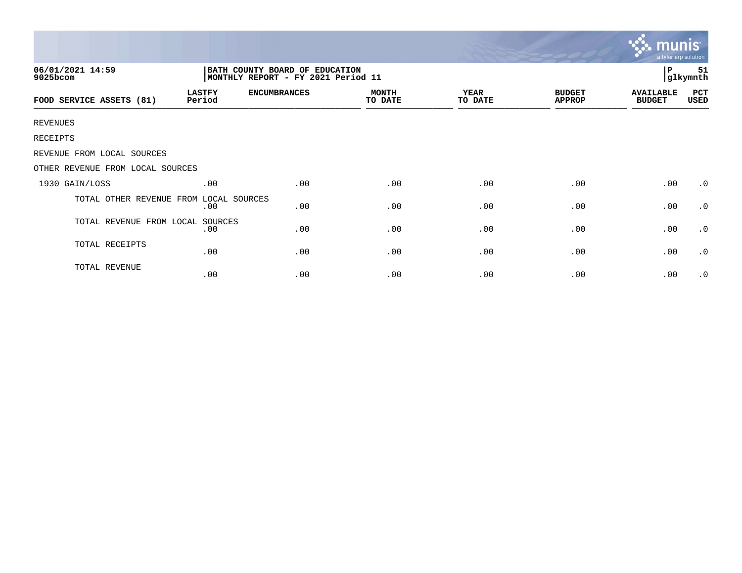|                                  |                         |                                                                      |                         |                 |                                | mun<br>a tyler erp solution       |                    |
|----------------------------------|-------------------------|----------------------------------------------------------------------|-------------------------|-----------------|--------------------------------|-----------------------------------|--------------------|
| 06/01/2021 14:59<br>9025bcom     |                         | BATH COUNTY BOARD OF EDUCATION<br>MONTHLY REPORT - FY 2021 Period 11 |                         |                 |                                | P                                 | 51<br>glkymnth     |
| FOOD SERVICE ASSETS (81)         | <b>LASTFY</b><br>Period | <b>ENCUMBRANCES</b>                                                  | <b>MONTH</b><br>TO DATE | YEAR<br>TO DATE | <b>BUDGET</b><br><b>APPROP</b> | <b>AVAILABLE</b><br><b>BUDGET</b> | <b>PCT</b><br>USED |
| <b>REVENUES</b>                  |                         |                                                                      |                         |                 |                                |                                   |                    |
| RECEIPTS                         |                         |                                                                      |                         |                 |                                |                                   |                    |
| REVENUE FROM LOCAL SOURCES       |                         |                                                                      |                         |                 |                                |                                   |                    |
| OTHER REVENUE FROM LOCAL SOURCES |                         |                                                                      |                         |                 |                                |                                   |                    |
| 1930 GAIN/LOSS                   | .00                     | .00                                                                  | .00                     | .00             | .00                            | .00                               | $\cdot$ 0          |
| TOTAL OTHER REVENUE FROM         | LOCAL SOURCES<br>.00    | .00                                                                  | .00                     | .00             | .00                            | .00                               | $\cdot$ 0          |
| TOTAL REVENUE FROM LOCAL         | SOURCES<br>.00          | .00                                                                  | .00                     | .00             | .00                            | .00                               | $\cdot$ 0          |
| TOTAL RECEIPTS                   | .00                     | .00                                                                  | .00                     | .00             | .00                            | .00                               | $\cdot$ 0          |
| TOTAL REVENUE                    | .00                     | .00                                                                  | .00                     | .00             | .00                            | .00                               | $\cdot$ 0          |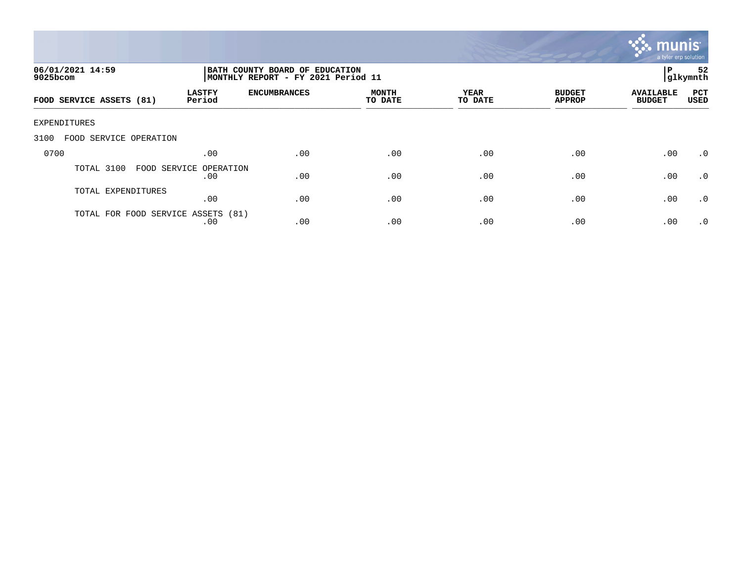

| 06/01/2021 14:59<br>$9025$ bcom    |                               | BATH COUNTY BOARD OF EDUCATION<br>MONTHLY REPORT - FY 2021 Period 11 | 52<br>ΙP<br>glkymnth    |                 |                                |                                   |                    |
|------------------------------------|-------------------------------|----------------------------------------------------------------------|-------------------------|-----------------|--------------------------------|-----------------------------------|--------------------|
| FOOD SERVICE ASSETS (81)           | <b>LASTFY</b><br>Period       | <b>ENCUMBRANCES</b>                                                  | <b>MONTH</b><br>TO DATE | YEAR<br>TO DATE | <b>BUDGET</b><br><b>APPROP</b> | <b>AVAILABLE</b><br><b>BUDGET</b> | PCT<br><b>USED</b> |
| <b>EXPENDITURES</b>                |                               |                                                                      |                         |                 |                                |                                   |                    |
| 3100<br>FOOD SERVICE OPERATION     |                               |                                                                      |                         |                 |                                |                                   |                    |
| 0700                               | .00                           | .00                                                                  | .00                     | .00             | .00                            | .00                               | .0                 |
| TOTAL 3100                         | FOOD SERVICE OPERATION<br>.00 | .00                                                                  | .00                     | .00             | .00                            | .00                               | .0                 |
| TOTAL EXPENDITURES                 | .00                           | .00                                                                  | .00                     | .00             | .00                            | .00                               | $\cdot$ 0          |
| TOTAL FOR FOOD SERVICE ASSETS (81) | .00                           | .00                                                                  | .00                     | .00             | .00                            | .00                               | $\cdot$ 0          |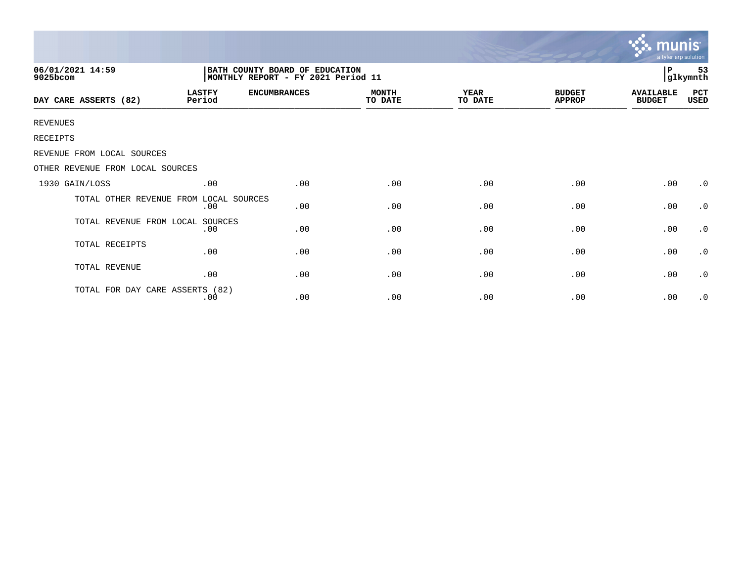|                                  |                                                                       |                     |                         |                 |                                | <b>munis</b><br>a tyler erp solution |                     |  |
|----------------------------------|-----------------------------------------------------------------------|---------------------|-------------------------|-----------------|--------------------------------|--------------------------------------|---------------------|--|
| 06/01/2021 14:59<br>9025bcom     | BATH COUNTY BOARD OF EDUCATION<br> MONTHLY REPORT - FY 2021 Period 11 |                     |                         |                 |                                |                                      | 53<br>P<br>glkymnth |  |
| DAY CARE ASSERTS (82)            | <b>LASTFY</b><br>Period                                               | <b>ENCUMBRANCES</b> | <b>MONTH</b><br>TO DATE | YEAR<br>TO DATE | <b>BUDGET</b><br><b>APPROP</b> | <b>AVAILABLE</b><br><b>BUDGET</b>    | PCT<br>USED         |  |
| <b>REVENUES</b>                  |                                                                       |                     |                         |                 |                                |                                      |                     |  |
| RECEIPTS                         |                                                                       |                     |                         |                 |                                |                                      |                     |  |
| REVENUE FROM LOCAL SOURCES       |                                                                       |                     |                         |                 |                                |                                      |                     |  |
| OTHER REVENUE FROM LOCAL SOURCES |                                                                       |                     |                         |                 |                                |                                      |                     |  |
| 1930 GAIN/LOSS                   | .00                                                                   | .00                 | .00                     | .00             | .00                            | .00                                  | $\cdot$ 0           |  |
| TOTAL OTHER REVENUE FROM         | LOCAL SOURCES<br>.00                                                  | .00                 | .00                     | .00             | .00                            | .00                                  | $\cdot$ 0           |  |
| TOTAL REVENUE FROM LOCAL         | SOURCES<br>.00                                                        | .00                 | .00                     | .00             | .00                            | .00                                  | $\cdot$ 0           |  |
| TOTAL RECEIPTS                   | .00                                                                   | .00                 | .00                     | .00             | .00                            | .00                                  | $\cdot$ 0           |  |
| TOTAL REVENUE                    | .00                                                                   | .00                 | .00                     | .00             | .00                            | .00                                  | $\cdot$ 0           |  |
| TOTAL FOR DAY CARE ASSERTS (82)  | .00                                                                   | .00                 | .00                     | .00             | .00                            | .00                                  | $\cdot$ 0           |  |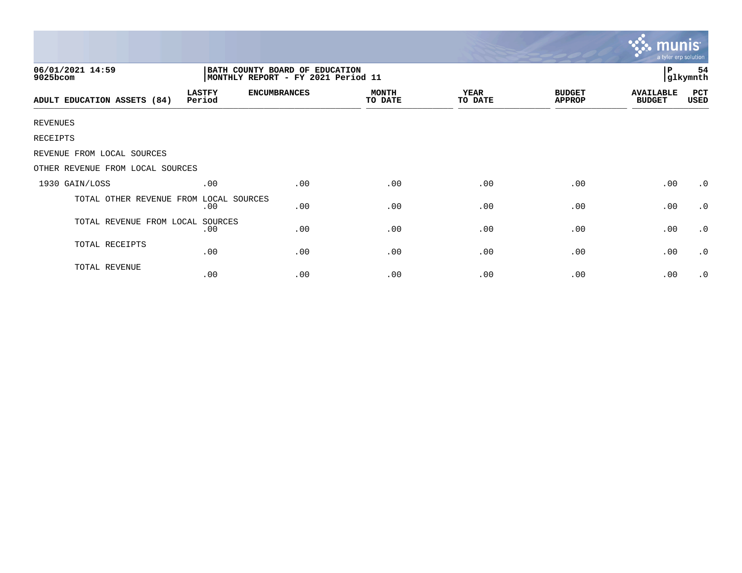|                                  |                                                                      |                     |                         |                        |                                | mun<br>a tyler erp solution       |                |
|----------------------------------|----------------------------------------------------------------------|---------------------|-------------------------|------------------------|--------------------------------|-----------------------------------|----------------|
| 06/01/2021 14:59<br>9025bcom     | BATH COUNTY BOARD OF EDUCATION<br>MONTHLY REPORT - FY 2021 Period 11 |                     |                         |                        |                                | $\, {\bf P}$                      | 54<br>glkymnth |
| ADULT EDUCATION ASSETS (84)      | <b>LASTFY</b><br>Period                                              | <b>ENCUMBRANCES</b> | <b>MONTH</b><br>TO DATE | <b>YEAR</b><br>TO DATE | <b>BUDGET</b><br><b>APPROP</b> | <b>AVAILABLE</b><br><b>BUDGET</b> | PCT<br>USED    |
| <b>REVENUES</b>                  |                                                                      |                     |                         |                        |                                |                                   |                |
| RECEIPTS                         |                                                                      |                     |                         |                        |                                |                                   |                |
| REVENUE FROM LOCAL SOURCES       |                                                                      |                     |                         |                        |                                |                                   |                |
| OTHER REVENUE FROM LOCAL SOURCES |                                                                      |                     |                         |                        |                                |                                   |                |
| 1930 GAIN/LOSS                   | .00                                                                  | .00                 | .00                     | .00                    | .00                            | .00                               | $\cdot$ 0      |
| TOTAL OTHER REVENUE FROM         | LOCAL SOURCES<br>.00                                                 | .00                 | .00                     | .00                    | .00                            | .00                               | $\cdot$ 0      |
| TOTAL REVENUE FROM LOCAL         | SOURCES<br>.00                                                       | .00                 | .00                     | .00                    | .00                            | .00                               | $\cdot$ 0      |
| TOTAL RECEIPTS                   | .00                                                                  | .00                 | .00                     | .00                    | .00                            | .00                               | $\cdot$ 0      |
| TOTAL REVENUE                    | .00                                                                  | .00                 | .00                     | .00                    | .00                            | .00                               | $\cdot$ 0      |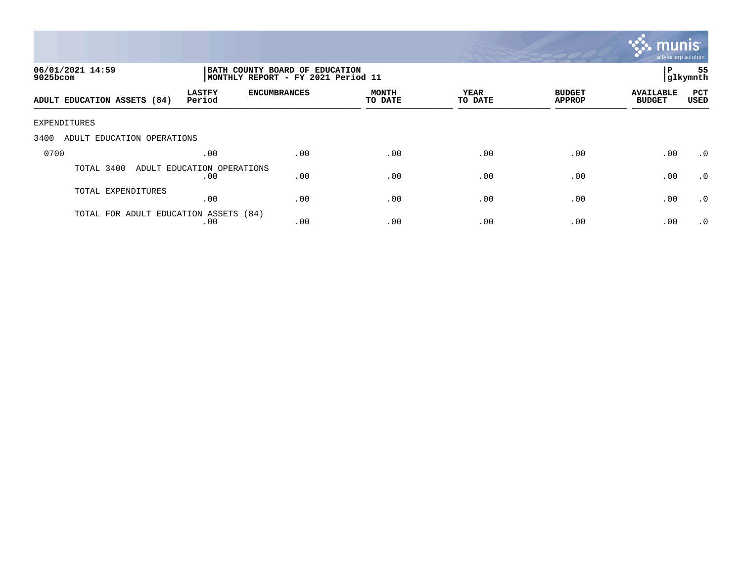

| 06/01/2021 14:59<br>$9025$ bcom       |                                   |                     | BATH COUNTY BOARD OF EDUCATION<br>MONTHLY REPORT - FY 2021 Period 11 |                 |                                |                                   |                    |
|---------------------------------------|-----------------------------------|---------------------|----------------------------------------------------------------------|-----------------|--------------------------------|-----------------------------------|--------------------|
| ADULT EDUCATION ASSETS (84)           | <b>LASTFY</b><br>Period           | <b>ENCUMBRANCES</b> | MONTH<br>TO DATE                                                     | YEAR<br>TO DATE | <b>BUDGET</b><br><b>APPROP</b> | <b>AVAILABLE</b><br><b>BUDGET</b> | PCT<br><b>USED</b> |
| EXPENDITURES                          |                                   |                     |                                                                      |                 |                                |                                   |                    |
| 3400<br>ADULT EDUCATION OPERATIONS    |                                   |                     |                                                                      |                 |                                |                                   |                    |
| 0700                                  | .00                               | .00                 | .00                                                                  | .00             | .00                            | .00                               | $\cdot$ 0          |
| TOTAL 3400                            | ADULT EDUCATION OPERATIONS<br>.00 | .00                 | .00                                                                  | .00             | .00                            | .00                               | $\cdot$ 0          |
| TOTAL EXPENDITURES                    | .00                               | .00                 | .00                                                                  | .00             | .00                            | .00                               | .0                 |
| TOTAL FOR ADULT EDUCATION ASSETS (84) | .00                               | .00                 | .00                                                                  | .00             | .00                            | .00                               | $\cdot$ 0          |